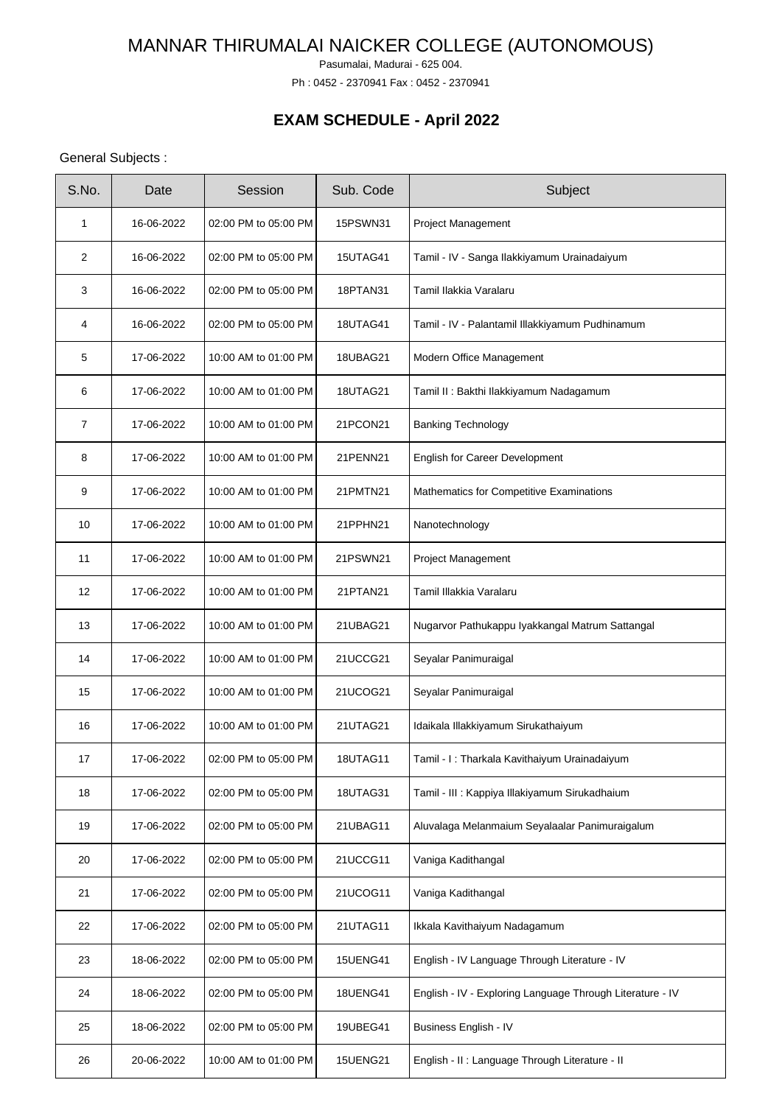Pasumalai, Madurai - 625 004.

Ph : 0452 - 2370941 Fax : 0452 - 2370941

# **EXAM SCHEDULE - April 2022**

## General Subjects :

| S.No. | Date       | Session              | Sub. Code       | Subject                                                   |
|-------|------------|----------------------|-----------------|-----------------------------------------------------------|
| 1     | 16-06-2022 | 02:00 PM to 05:00 PM | <b>15PSWN31</b> | <b>Project Management</b>                                 |
| 2     | 16-06-2022 | 02:00 PM to 05:00 PM | 15UTAG41        | Tamil - IV - Sanga Ilakkiyamum Urainadaiyum               |
| 3     | 16-06-2022 | 02:00 PM to 05:00 PM | 18PTAN31        | Tamil Ilakkia Varalaru                                    |
| 4     | 16-06-2022 | 02:00 PM to 05:00 PM | 18UTAG41        | Tamil - IV - Palantamil Illakkiyamum Pudhinamum           |
| 5     | 17-06-2022 | 10:00 AM to 01:00 PM | 18UBAG21        | Modern Office Management                                  |
| 6     | 17-06-2022 | 10:00 AM to 01:00 PM | 18UTAG21        | Tamil II : Bakthi Ilakkiyamum Nadagamum                   |
| 7     | 17-06-2022 | 10:00 AM to 01:00 PM | 21PCON21        | <b>Banking Technology</b>                                 |
| 8     | 17-06-2022 | 10:00 AM to 01:00 PM | 21PENN21        | English for Career Development                            |
| 9     | 17-06-2022 | 10:00 AM to 01:00 PM | 21PMTN21        | Mathematics for Competitive Examinations                  |
| 10    | 17-06-2022 | 10:00 AM to 01:00 PM | 21PPHN21        | Nanotechnology                                            |
| 11    | 17-06-2022 | 10:00 AM to 01:00 PM | 21PSWN21        | Project Management                                        |
| 12    | 17-06-2022 | 10:00 AM to 01:00 PM | 21PTAN21        | Tamil Illakkia Varalaru                                   |
| 13    | 17-06-2022 | 10:00 AM to 01:00 PM | 21UBAG21        | Nugarvor Pathukappu Iyakkangal Matrum Sattangal           |
| 14    | 17-06-2022 | 10:00 AM to 01:00 PM | 21UCCG21        | Seyalar Panimuraigal                                      |
| 15    | 17-06-2022 | 10:00 AM to 01:00 PM | 21UCOG21        | Seyalar Panimuraigal                                      |
| 16    | 17-06-2022 | 10:00 AM to 01:00 PM | 21UTAG21        | Idaikala Illakkiyamum Sirukathaiyum                       |
| 17    | 17-06-2022 | 02:00 PM to 05:00 PM | 18UTAG11        | Tamil - I: Tharkala Kavithaiyum Urainadaiyum              |
| 18    | 17-06-2022 | 02:00 PM to 05:00 PM | 18UTAG31        | Tamil - III : Kappiya Illakiyamum Sirukadhaium            |
| 19    | 17-06-2022 | 02:00 PM to 05:00 PM | 21UBAG11        | Aluvalaga Melanmaium Seyalaalar Panimuraigalum            |
| 20    | 17-06-2022 | 02:00 PM to 05:00 PM | 21UCCG11        | Vaniga Kadithangal                                        |
| 21    | 17-06-2022 | 02:00 PM to 05:00 PM | 21UCOG11        | Vaniga Kadithangal                                        |
| 22    | 17-06-2022 | 02:00 PM to 05:00 PM | 21UTAG11        | Ikkala Kavithaiyum Nadagamum                              |
| 23    | 18-06-2022 | 02:00 PM to 05:00 PM | <b>15UENG41</b> | English - IV Language Through Literature - IV             |
| 24    | 18-06-2022 | 02:00 PM to 05:00 PM | <b>18UENG41</b> | English - IV - Exploring Language Through Literature - IV |
| 25    | 18-06-2022 | 02:00 PM to 05:00 PM | 19UBEG41        | Business English - IV                                     |
| 26    | 20-06-2022 | 10:00 AM to 01:00 PM | 15UENG21        | English - II : Language Through Literature - II           |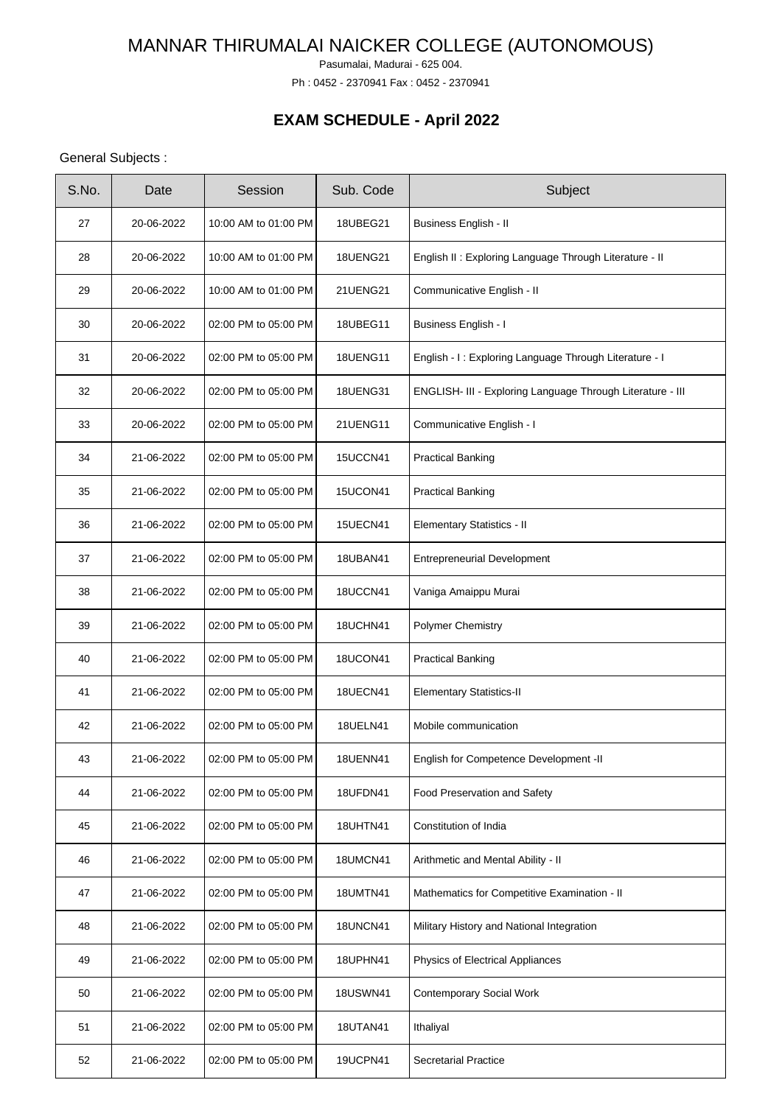Pasumalai, Madurai - 625 004.

Ph : 0452 - 2370941 Fax : 0452 - 2370941

# **EXAM SCHEDULE - April 2022**

## General Subjects :

| S.No. | Date       | Session              | Sub. Code       | Subject                                                    |
|-------|------------|----------------------|-----------------|------------------------------------------------------------|
| 27    | 20-06-2022 | 10:00 AM to 01:00 PM | <b>18UBEG21</b> | Business English - II                                      |
| 28    | 20-06-2022 | 10:00 AM to 01:00 PM | <b>18UENG21</b> | English II : Exploring Language Through Literature - II    |
| 29    | 20-06-2022 | 10:00 AM to 01:00 PM | 21UENG21        | Communicative English - II                                 |
| 30    | 20-06-2022 | 02:00 PM to 05:00 PM | 18UBEG11        | <b>Business English - I</b>                                |
| 31    | 20-06-2022 | 02:00 PM to 05:00 PM | <b>18UENG11</b> | English - I: Exploring Language Through Literature - I     |
| 32    | 20-06-2022 | 02:00 PM to 05:00 PM | <b>18UENG31</b> | ENGLISH- III - Exploring Language Through Literature - III |
| 33    | 20-06-2022 | 02:00 PM to 05:00 PM | 21UENG11        | Communicative English - I                                  |
| 34    | 21-06-2022 | 02:00 PM to 05:00 PM | 15UCCN41        | <b>Practical Banking</b>                                   |
| 35    | 21-06-2022 | 02:00 PM to 05:00 PM | 15UCON41        | <b>Practical Banking</b>                                   |
| 36    | 21-06-2022 | 02:00 PM to 05:00 PM | <b>15UECN41</b> | Elementary Statistics - II                                 |
| 37    | 21-06-2022 | 02:00 PM to 05:00 PM | <b>18UBAN41</b> | <b>Entrepreneurial Development</b>                         |
| 38    | 21-06-2022 | 02:00 PM to 05:00 PM | 18UCCN41        | Vaniga Amaippu Murai                                       |
| 39    | 21-06-2022 | 02:00 PM to 05:00 PM | 18UCHN41        | <b>Polymer Chemistry</b>                                   |
| 40    | 21-06-2022 | 02:00 PM to 05:00 PM | 18UCON41        | <b>Practical Banking</b>                                   |
| 41    | 21-06-2022 | 02:00 PM to 05:00 PM | <b>18UECN41</b> | <b>Elementary Statistics-II</b>                            |
| 42    | 21-06-2022 | 02:00 PM to 05:00 PM | <b>18UELN41</b> | Mobile communication                                       |
| 43    | 21-06-2022 | 02:00 PM to 05:00 PM | <b>18UENN41</b> | English for Competence Development -II                     |
| 44    | 21-06-2022 | 02:00 PM to 05:00 PM | 18UFDN41        | Food Preservation and Safety                               |
| 45    | 21-06-2022 | 02:00 PM to 05:00 PM | <b>18UHTN41</b> | Constitution of India                                      |
| 46    | 21-06-2022 | 02:00 PM to 05:00 PM | 18UMCN41        | Arithmetic and Mental Ability - II                         |
| 47    | 21-06-2022 | 02:00 PM to 05:00 PM | <b>18UMTN41</b> | Mathematics for Competitive Examination - II               |
| 48    | 21-06-2022 | 02:00 PM to 05:00 PM | 18UNCN41        | Military History and National Integration                  |
| 49    | 21-06-2022 | 02:00 PM to 05:00 PM | 18UPHN41        | Physics of Electrical Appliances                           |
| 50    | 21-06-2022 | 02:00 PM to 05:00 PM | <b>18USWN41</b> | <b>Contemporary Social Work</b>                            |
| 51    | 21-06-2022 | 02:00 PM to 05:00 PM | <b>18UTAN41</b> | Ithaliyal                                                  |
| 52    | 21-06-2022 | 02:00 PM to 05:00 PM | <b>19UCPN41</b> | <b>Secretarial Practice</b>                                |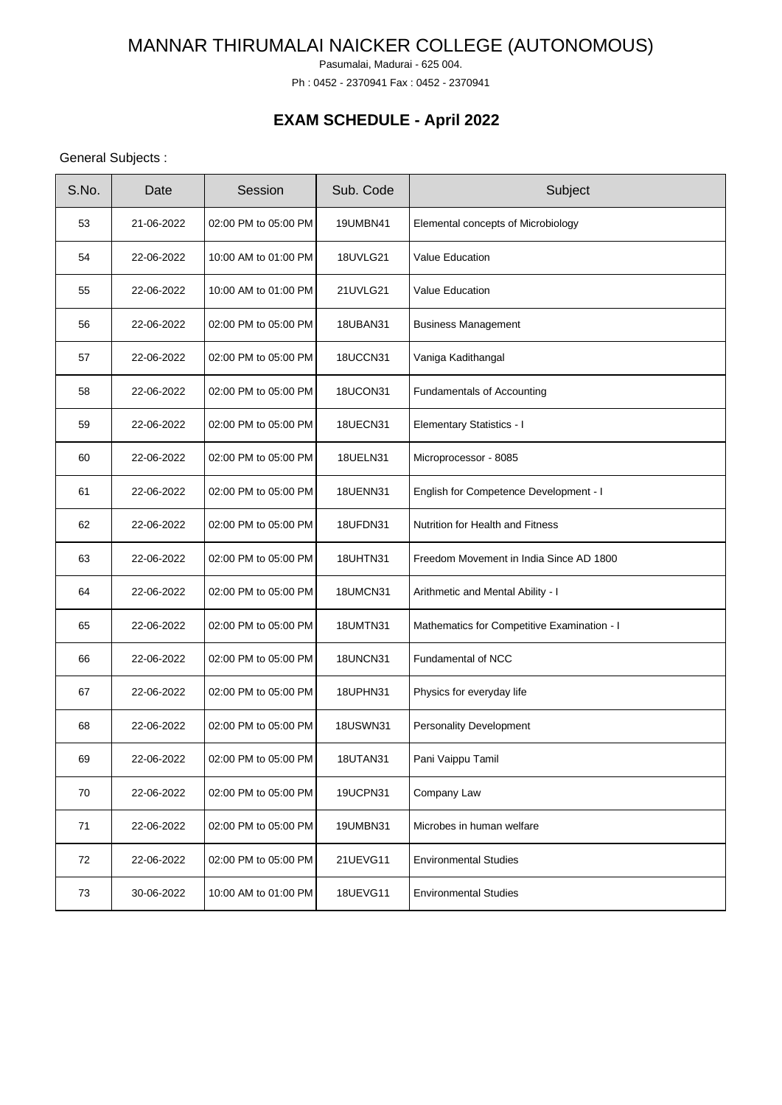Pasumalai, Madurai - 625 004.

Ph : 0452 - 2370941 Fax : 0452 - 2370941

## **EXAM SCHEDULE - April 2022**

## General Subjects :

| S.No. | Date       | Session              | Sub. Code       | Subject                                     |
|-------|------------|----------------------|-----------------|---------------------------------------------|
| 53    | 21-06-2022 | 02:00 PM to 05:00 PM | <b>19UMBN41</b> | Elemental concepts of Microbiology          |
| 54    | 22-06-2022 | 10:00 AM to 01:00 PM | 18UVLG21        | <b>Value Education</b>                      |
| 55    | 22-06-2022 | 10:00 AM to 01:00 PM | 21UVLG21        | <b>Value Education</b>                      |
| 56    | 22-06-2022 | 02:00 PM to 05:00 PM | <b>18UBAN31</b> | <b>Business Management</b>                  |
| 57    | 22-06-2022 | 02:00 PM to 05:00 PM | 18UCCN31        | Vaniga Kadithangal                          |
| 58    | 22-06-2022 | 02:00 PM to 05:00 PM | 18UCON31        | <b>Fundamentals of Accounting</b>           |
| 59    | 22-06-2022 | 02:00 PM to 05:00 PM | 18UECN31        | <b>Elementary Statistics - I</b>            |
| 60    | 22-06-2022 | 02:00 PM to 05:00 PM | <b>18UELN31</b> | Microprocessor - 8085                       |
| 61    | 22-06-2022 | 02:00 PM to 05:00 PM | <b>18UENN31</b> | English for Competence Development - I      |
| 62    | 22-06-2022 | 02:00 PM to 05:00 PM | 18UFDN31        | Nutrition for Health and Fitness            |
| 63    | 22-06-2022 | 02:00 PM to 05:00 PM | <b>18UHTN31</b> | Freedom Movement in India Since AD 1800     |
| 64    | 22-06-2022 | 02:00 PM to 05:00 PM | 18UMCN31        | Arithmetic and Mental Ability - I           |
| 65    | 22-06-2022 | 02:00 PM to 05:00 PM | <b>18UMTN31</b> | Mathematics for Competitive Examination - I |
| 66    | 22-06-2022 | 02:00 PM to 05:00 PM | 18UNCN31        | Fundamental of NCC                          |
| 67    | 22-06-2022 | 02:00 PM to 05:00 PM | 18UPHN31        | Physics for everyday life                   |
| 68    | 22-06-2022 | 02:00 PM to 05:00 PM | <b>18USWN31</b> | <b>Personality Development</b>              |
| 69    | 22-06-2022 | 02:00 PM to 05:00 PM | 18UTAN31        | Pani Vaippu Tamil                           |
| 70    | 22-06-2022 | 02:00 PM to 05:00 PM | <b>19UCPN31</b> | Company Law                                 |
| 71    | 22-06-2022 | 02:00 PM to 05:00 PM | 19UMBN31        | Microbes in human welfare                   |
| 72    | 22-06-2022 | 02:00 PM to 05:00 PM | 21UEVG11        | <b>Environmental Studies</b>                |
| 73    | 30-06-2022 | 10:00 AM to 01:00 PM | <b>18UEVG11</b> | <b>Environmental Studies</b>                |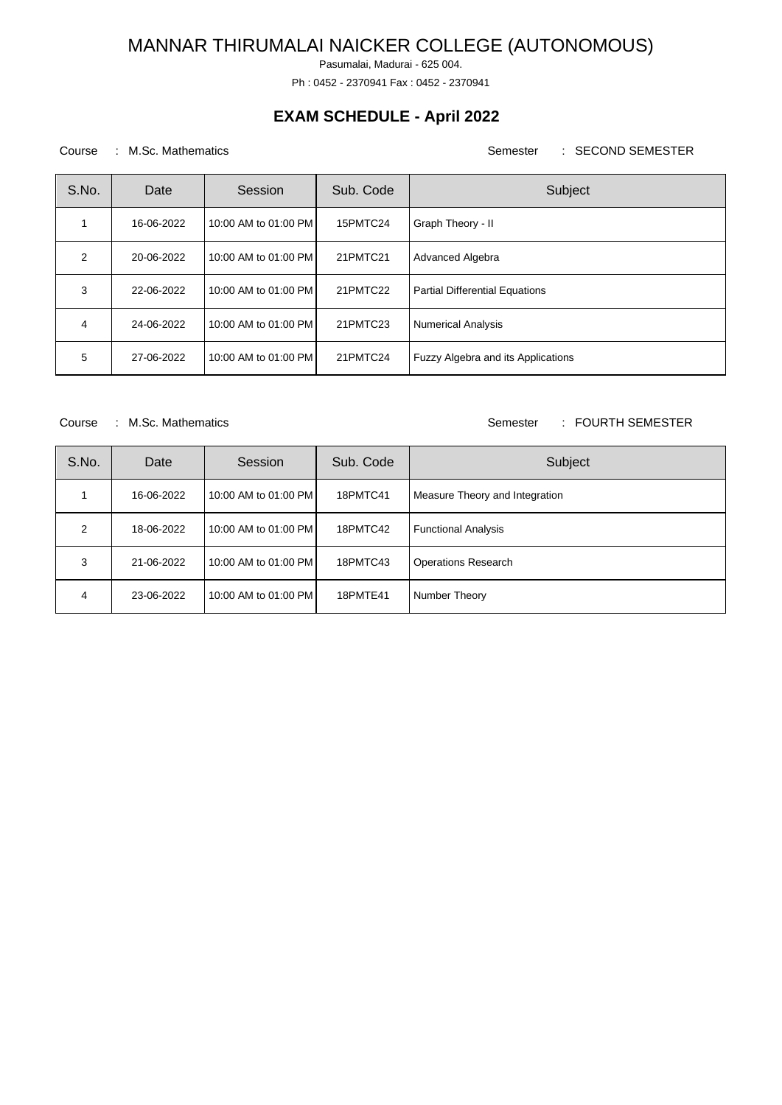Pasumalai, Madurai - 625 004.

Ph : 0452 - 2370941 Fax : 0452 - 2370941

## **EXAM SCHEDULE - April 2022**

### Course : M.Sc. Mathematics **Semester : SECOND SEMESTER**

| S.No.         | Date       | Session              | Sub. Code | Subject                               |
|---------------|------------|----------------------|-----------|---------------------------------------|
|               | 16-06-2022 | 10:00 AM to 01:00 PM | 15PMTC24  | Graph Theory - II                     |
| $\mathcal{P}$ | 20-06-2022 | 10:00 AM to 01:00 PM | 21PMTC21  | Advanced Algebra                      |
| 3             | 22-06-2022 | 10:00 AM to 01:00 PM | 21PMTC22  | <b>Partial Differential Equations</b> |
| 4             | 24-06-2022 | 10:00 AM to 01:00 PM | 21PMTC23  | <b>Numerical Analysis</b>             |
| 5             | 27-06-2022 | 10:00 AM to 01:00 PM | 21PMTC24  | Fuzzy Algebra and its Applications    |

#### Course : M.Sc. Mathematics **Semester : FOURTH SEMESTER**

| S.No.         | Date       | Session              | Sub. Code | Subject                        |
|---------------|------------|----------------------|-----------|--------------------------------|
|               | 16-06-2022 | 10:00 AM to 01:00 PM | 18PMTC41  | Measure Theory and Integration |
| $\mathcal{P}$ | 18-06-2022 | 10:00 AM to 01:00 PM | 18PMTC42  | <b>Functional Analysis</b>     |
| 3             | 21-06-2022 | 10:00 AM to 01:00 PM | 18PMTC43  | <b>Operations Research</b>     |
| 4             | 23-06-2022 | 10:00 AM to 01:00 PM | 18PMTE41  | Number Theory                  |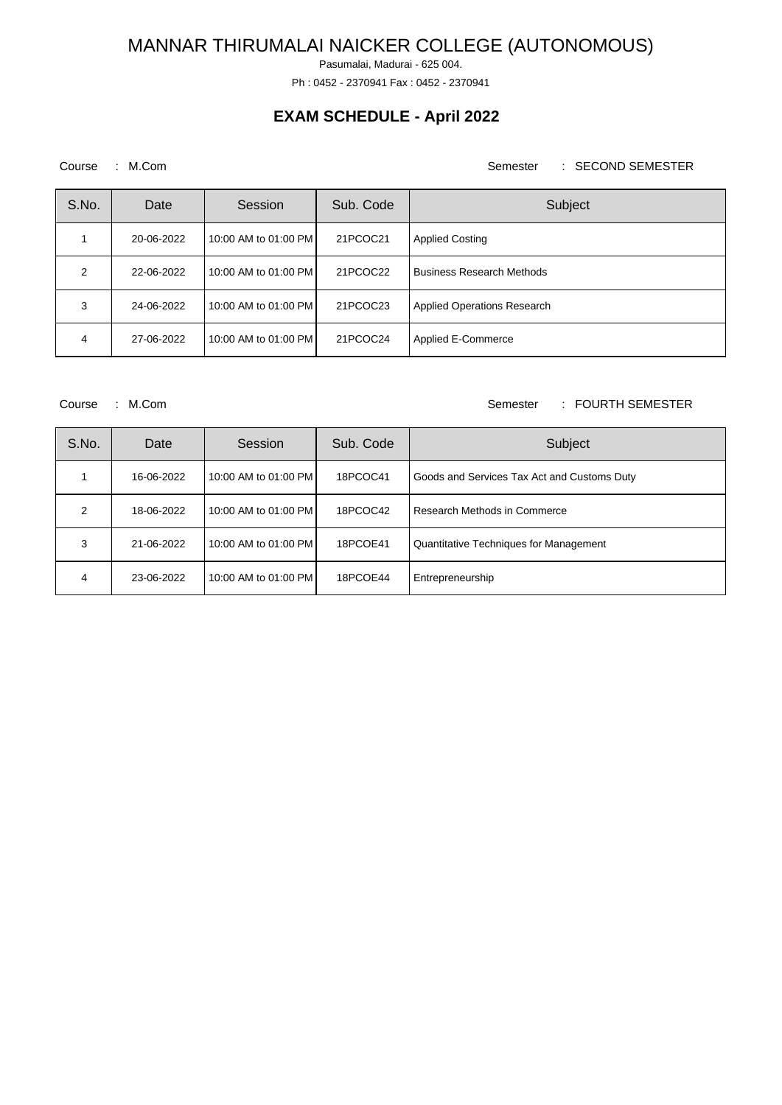Pasumalai, Madurai - 625 004.

Ph : 0452 - 2370941 Fax : 0452 - 2370941

## **EXAM SCHEDULE - April 2022**

### Course : M.Com Semester : SECOND SEMESTER

| S.No. | Date       | Session              | Sub. Code | Subject                          |
|-------|------------|----------------------|-----------|----------------------------------|
|       | 20-06-2022 | 10:00 AM to 01:00 PM | 21PCOC21  | <b>Applied Costing</b>           |
| 2     | 22-06-2022 | 10:00 AM to 01:00 PM | 21PCOC22  | <b>Business Research Methods</b> |
| 3     | 24-06-2022 | 10:00 AM to 01:00 PM | 21PCOC23  | Applied Operations Research      |
| 4     | 27-06-2022 | 10:00 AM to 01:00 PM | 21PCOC24  | Applied E-Commerce               |

#### Course : M.Com Semester : FOURTH SEMESTER

| S.No. | Date       | Session              | Sub. Code | Subject                                     |
|-------|------------|----------------------|-----------|---------------------------------------------|
|       | 16-06-2022 | 10:00 AM to 01:00 PM | 18PCOC41  | Goods and Services Tax Act and Customs Duty |
| 2     | 18-06-2022 | 10:00 AM to 01:00 PM | 18PCOC42  | Research Methods in Commerce                |
| 3     | 21-06-2022 | 10:00 AM to 01:00 PM | 18PCOE41  | Quantitative Techniques for Management      |
| 4     | 23-06-2022 | 10:00 AM to 01:00 PM | 18PCOE44  | Entrepreneurship                            |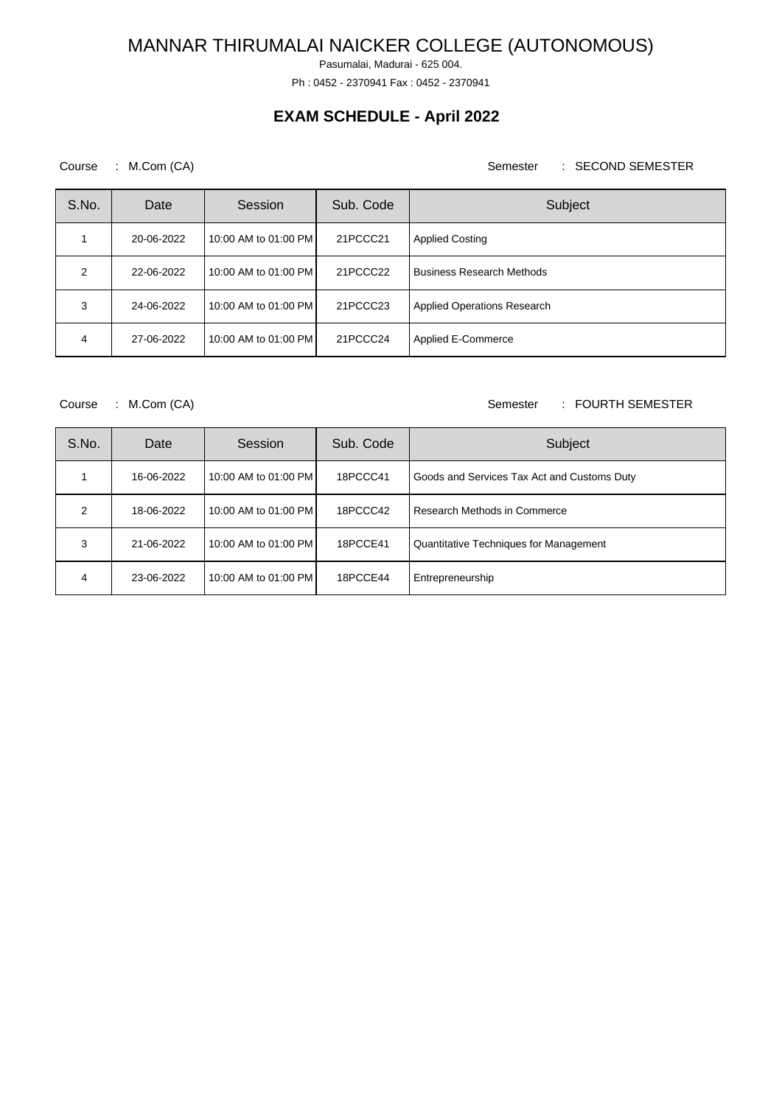Pasumalai, Madurai - 625 004.

Ph : 0452 - 2370941 Fax : 0452 - 2370941

## **EXAM SCHEDULE - April 2022**

### Course : M.Com (CA) Semester : SECOND SEMESTER

| S.No. | Date       | Session              | Sub. Code | Subject                            |
|-------|------------|----------------------|-----------|------------------------------------|
|       | 20-06-2022 | 10:00 AM to 01:00 PM | 21PCCC21  | <b>Applied Costing</b>             |
| 2     | 22-06-2022 | 10:00 AM to 01:00 PM | 21PCCC22  | <b>Business Research Methods</b>   |
| 3     | 24-06-2022 | 10:00 AM to 01:00 PM | 21PCCC23  | <b>Applied Operations Research</b> |
| 4     | 27-06-2022 | 10:00 AM to 01:00 PM | 21PCCC24  | Applied E-Commerce                 |

### Course : M.Com (CA) Semester : FOURTH SEMESTER

| S.No. | Date       | Session              | Sub. Code | Subject                                     |
|-------|------------|----------------------|-----------|---------------------------------------------|
|       | 16-06-2022 | 10:00 AM to 01:00 PM | 18PCCC41  | Goods and Services Tax Act and Customs Duty |
| 2     | 18-06-2022 | 10:00 AM to 01:00 PM | 18PCCC42  | Research Methods in Commerce                |
| 3     | 21-06-2022 | 10:00 AM to 01:00 PM | 18PCCE41  | Quantitative Techniques for Management      |
| 4     | 23-06-2022 | 10:00 AM to 01:00 PM | 18PCCE44  | Entrepreneurship                            |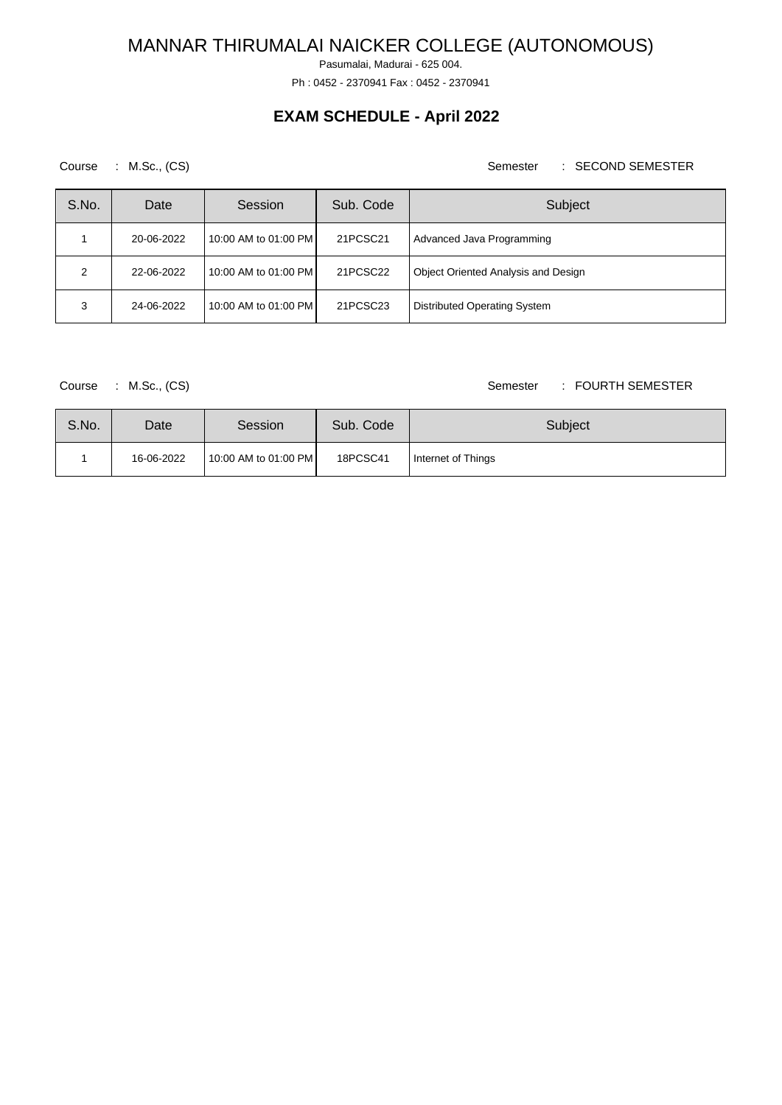Pasumalai, Madurai - 625 004.

Ph : 0452 - 2370941 Fax : 0452 - 2370941

## **EXAM SCHEDULE - April 2022**

### Course : M.Sc., (CS) Semester : SECOND SEMESTER

| S.No. | Date       | Session              | Sub. Code | Subject                             |
|-------|------------|----------------------|-----------|-------------------------------------|
|       | 20-06-2022 | 10:00 AM to 01:00 PM | 21PCSC21  | Advanced Java Programming           |
| ົ     | 22-06-2022 | 10:00 AM to 01:00 PM | 21PCSC22  | Object Oriented Analysis and Design |
| 3     | 24-06-2022 | 10:00 AM to 01:00 PM | 21PCSC23  | Distributed Operating System        |

### Course : M.Sc., (CS) Course : M.Sc., (CS)

| S.No. | Date       | Session              | Sub. Code | Subject            |
|-------|------------|----------------------|-----------|--------------------|
|       | 16-06-2022 | 10:00 AM to 01:00 PM | 18PCSC41  | Internet of Things |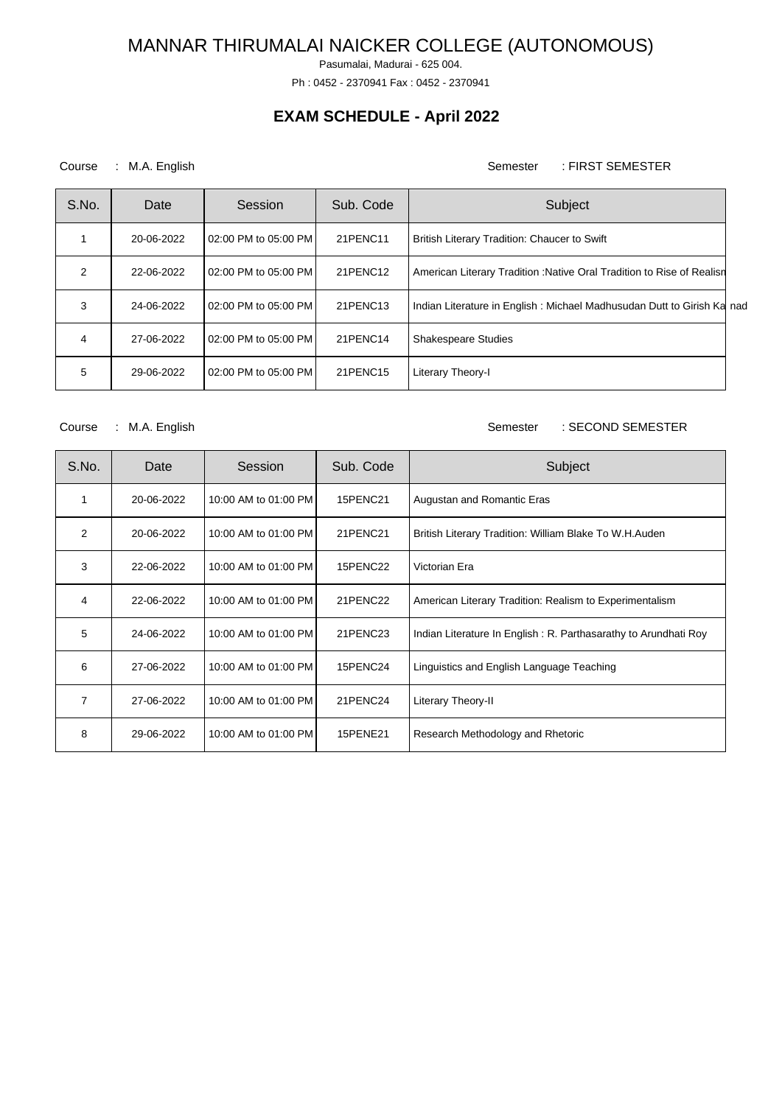Pasumalai, Madurai - 625 004.

Ph : 0452 - 2370941 Fax : 0452 - 2370941

## **EXAM SCHEDULE - April 2022**

### Course : M.A. English Semester : FIRST SEMESTER

| S.No. | Date       | Session              | Sub. Code | Subject                                                                |  |
|-------|------------|----------------------|-----------|------------------------------------------------------------------------|--|
|       | 20-06-2022 | 02:00 PM to 05:00 PM | 21PENC11  | British Literary Tradition: Chaucer to Swift                           |  |
| 2     | 22-06-2022 | 02:00 PM to 05:00 PM | 21PENC12  | American Literary Tradition: Native Oral Tradition to Rise of Realisn  |  |
| 3     | 24-06-2022 | 02:00 PM to 05:00 PM | 21PENC13  | Indian Literature in English: Michael Madhusudan Dutt to Girish Ka nad |  |
| 4     | 27-06-2022 | 02:00 PM to 05:00 PM | 21PENC14  | <b>Shakespeare Studies</b>                                             |  |
| 5     | 29-06-2022 | 02:00 PM to 05:00 PM | 21PENC15  | Literary Theory-I                                                      |  |

### Course : M.A. English Semester : SECOND SEMESTER

| S.No. | Date       | Session              | Sub. Code | Subject                                                         |
|-------|------------|----------------------|-----------|-----------------------------------------------------------------|
| 1     | 20-06-2022 | 10:00 AM to 01:00 PM | 15PENC21  | Augustan and Romantic Eras                                      |
| 2     | 20-06-2022 | 10:00 AM to 01:00 PM | 21PENC21  | British Literary Tradition: William Blake To W.H.Auden          |
| 3     | 22-06-2022 | 10:00 AM to 01:00 PM | 15PENC22  | Victorian Era                                                   |
| 4     | 22-06-2022 | 10:00 AM to 01:00 PM | 21PENC22  | American Literary Tradition: Realism to Experimentalism         |
| 5     | 24-06-2022 | 10:00 AM to 01:00 PM | 21PENC23  | Indian Literature In English: R. Parthasarathy to Arundhati Roy |
| 6     | 27-06-2022 | 10:00 AM to 01:00 PM | 15PENC24  | Linguistics and English Language Teaching                       |
| 7     | 27-06-2022 | 10:00 AM to 01:00 PM | 21PENC24  | Literary Theory-II                                              |
| 8     | 29-06-2022 | 10:00 AM to 01:00 PM | 15PENE21  | Research Methodology and Rhetoric                               |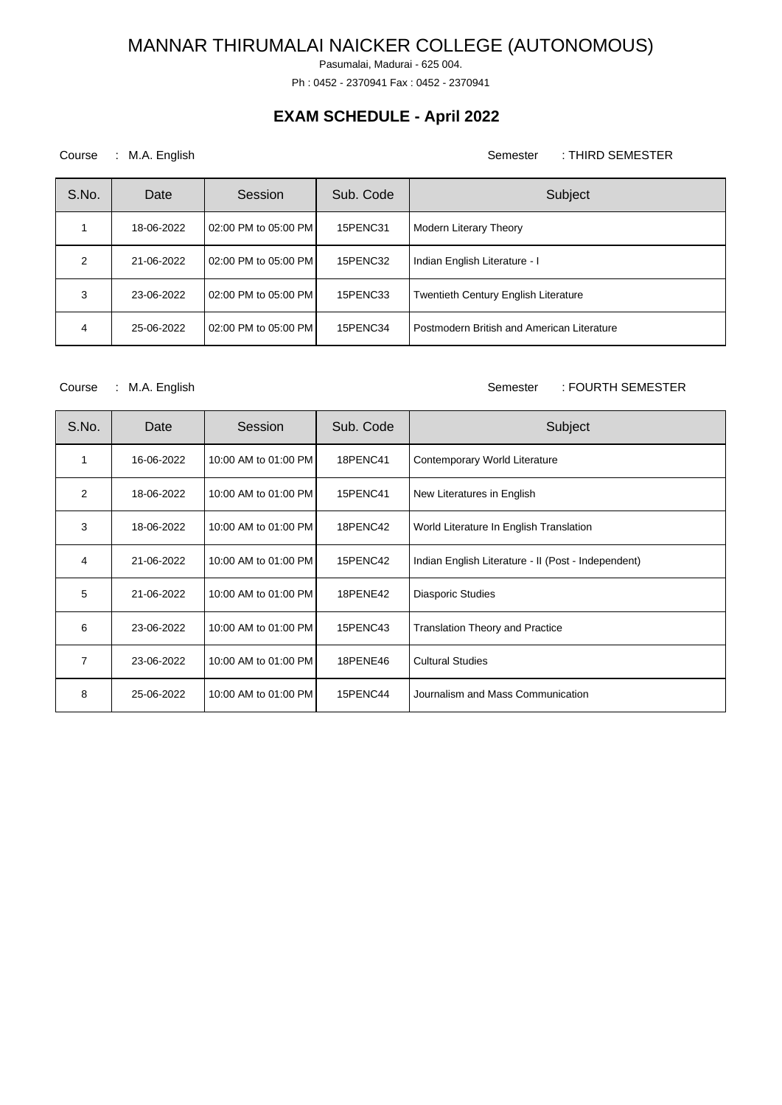Pasumalai, Madurai - 625 004.

Ph : 0452 - 2370941 Fax : 0452 - 2370941

## **EXAM SCHEDULE - April 2022**

### Course : M.A. English Semester : THIRD SEMESTER

| S.No.         | Date       | Session                | Sub. Code | Subject                                     |
|---------------|------------|------------------------|-----------|---------------------------------------------|
|               | 18-06-2022 | 02:00 PM to 05:00 PM   | 15PENC31  | Modern Literary Theory                      |
| $\mathcal{P}$ | 21-06-2022 | 02:00 PM to 05:00 PM I | 15PENC32  | Indian English Literature - I               |
| 3             | 23-06-2022 | 02:00 PM to 05:00 PM   | 15PENC33  | <b>Twentieth Century English Literature</b> |
| 4             | 25-06-2022 | 02:00 PM to 05:00 PM   | 15PENC34  | Postmodern British and American Literature  |

Course : M.A. English Semester : FOURTH SEMESTER

| S.No. | Date       | Session              | Sub. Code       | Subject                                             |
|-------|------------|----------------------|-----------------|-----------------------------------------------------|
| 1     | 16-06-2022 | 10:00 AM to 01:00 PM | <b>18PENC41</b> | Contemporary World Literature                       |
| 2     | 18-06-2022 | 10:00 AM to 01:00 PM | <b>15PENC41</b> | New Literatures in English                          |
| 3     | 18-06-2022 | 10:00 AM to 01:00 PM | 18PENC42        | World Literature In English Translation             |
| 4     | 21-06-2022 | 10:00 AM to 01:00 PM | 15PENC42        | Indian English Literature - II (Post - Independent) |
| 5     | 21-06-2022 | 10:00 AM to 01:00 PM | 18PENE42        | <b>Diasporic Studies</b>                            |
| 6     | 23-06-2022 | 10:00 AM to 01:00 PM | 15PENC43        | <b>Translation Theory and Practice</b>              |
| 7     | 23-06-2022 | 10:00 AM to 01:00 PM | 18PENE46        | <b>Cultural Studies</b>                             |
| 8     | 25-06-2022 | 10:00 AM to 01:00 PM | 15PENC44        | Journalism and Mass Communication                   |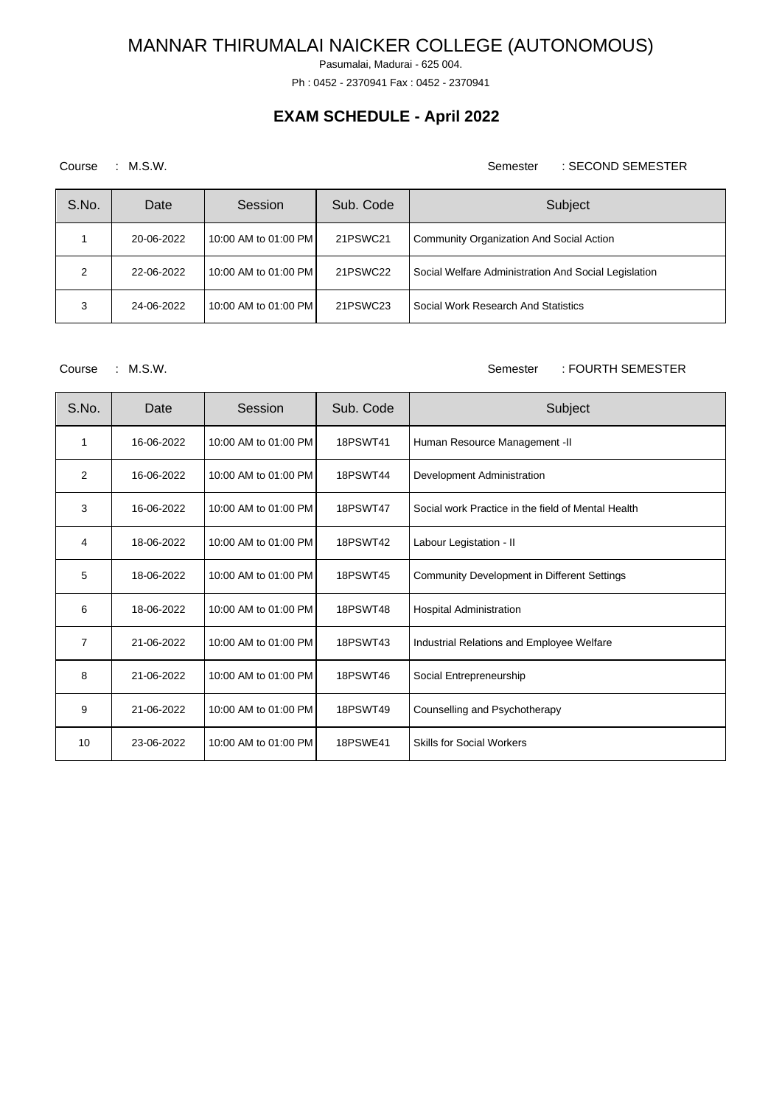Pasumalai, Madurai - 625 004.

Ph : 0452 - 2370941 Fax : 0452 - 2370941

## **EXAM SCHEDULE - April 2022**

Course : M.S.W. Semester : SECOND SEMESTER

| S.No. | Date       | Session              | Sub. Code | Subject                                              |
|-------|------------|----------------------|-----------|------------------------------------------------------|
|       | 20-06-2022 | 10:00 AM to 01:00 PM | 21PSWC21  | Community Organization And Social Action             |
| っ     | 22-06-2022 | 10:00 AM to 01:00 PM | 21PSWC22  | Social Welfare Administration And Social Legislation |
| 3     | 24-06-2022 | 10:00 AM to 01:00 PM | 21PSWC23  | Social Work Research And Statistics                  |

Course : M.S.W. Semester : FOURTH SEMESTER

| S.No.          | Date       | Session              | Sub. Code       | Subject                                            |
|----------------|------------|----------------------|-----------------|----------------------------------------------------|
| 1              | 16-06-2022 | 10:00 AM to 01:00 PM | <b>18PSWT41</b> | Human Resource Management -II                      |
| 2              | 16-06-2022 | 10:00 AM to 01:00 PM | <b>18PSWT44</b> | Development Administration                         |
| 3              | 16-06-2022 | 10:00 AM to 01:00 PM | <b>18PSWT47</b> | Social work Practice in the field of Mental Health |
| $\overline{4}$ | 18-06-2022 | 10:00 AM to 01:00 PM | <b>18PSWT42</b> | Labour Legistation - II                            |
| 5              | 18-06-2022 | 10:00 AM to 01:00 PM | <b>18PSWT45</b> | Community Development in Different Settings        |
| 6              | 18-06-2022 | 10:00 AM to 01:00 PM | <b>18PSWT48</b> | <b>Hospital Administration</b>                     |
| $\overline{7}$ | 21-06-2022 | 10:00 AM to 01:00 PM | 18PSWT43        | Industrial Relations and Employee Welfare          |
| 8              | 21-06-2022 | 10:00 AM to 01:00 PM | 18PSWT46        | Social Entrepreneurship                            |
| 9              | 21-06-2022 | 10:00 AM to 01:00 PM | 18PSWT49        | Counselling and Psychotherapy                      |
| 10             | 23-06-2022 | 10:00 AM to 01:00 PM | <b>18PSWE41</b> | <b>Skills for Social Workers</b>                   |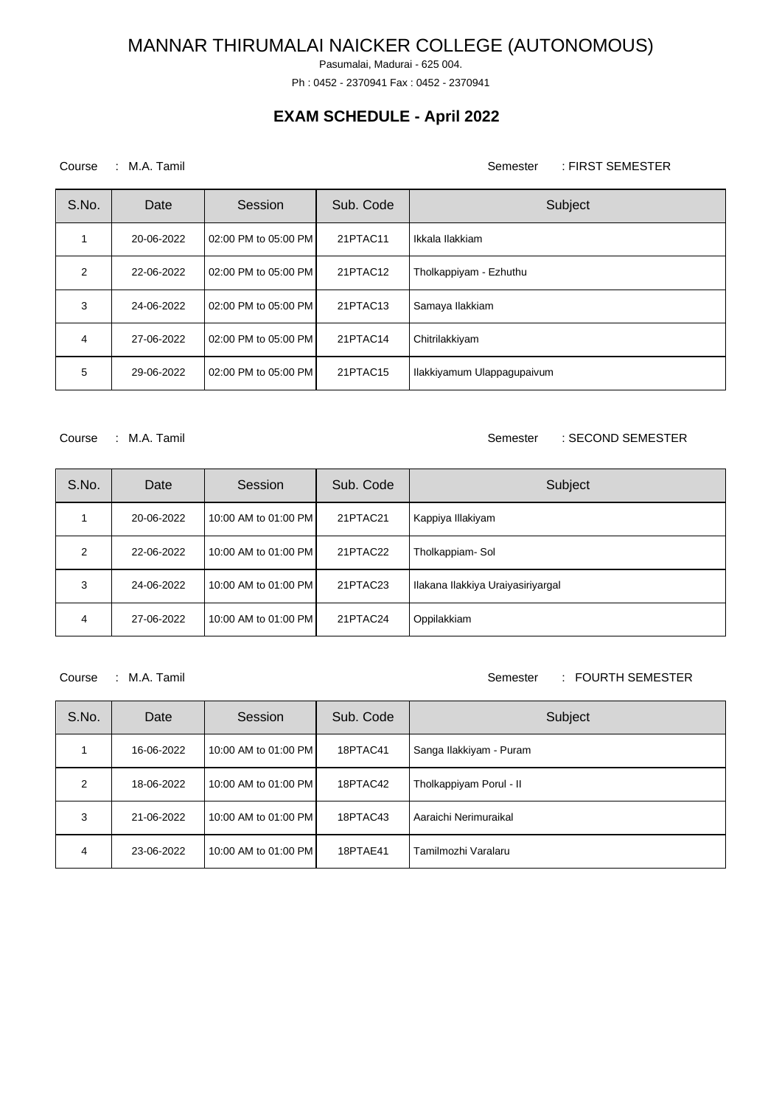Pasumalai, Madurai - 625 004.

Ph : 0452 - 2370941 Fax : 0452 - 2370941

## **EXAM SCHEDULE - April 2022**

### Course : M.A. Tamil Course : M.A. Tamil Semester : FIRST SEMESTER

| S.No.          | Date       | Session              | Sub. Code | Subject                    |
|----------------|------------|----------------------|-----------|----------------------------|
|                | 20-06-2022 | 02:00 PM to 05:00 PM | 21PTAC11  | Ikkala Ilakkiam            |
| $\mathfrak{p}$ | 22-06-2022 | 02:00 PM to 05:00 PM | 21PTAC12  | Tholkappiyam - Ezhuthu     |
| 3              | 24-06-2022 | 02:00 PM to 05:00 PM | 21PTAC13  | Samaya Ilakkiam            |
| 4              | 27-06-2022 | 02:00 PM to 05:00 PM | 21PTAC14  | Chitrilakkiyam             |
| 5              | 29-06-2022 | 02:00 PM to 05:00 PM | 21PTAC15  | Ilakkiyamum Ulappagupaivum |

Course : M.A. Tamil Semester : SECOND SEMESTER

| S.No. | Date       | Session              | Sub. Code | Subject                           |
|-------|------------|----------------------|-----------|-----------------------------------|
|       | 20-06-2022 | 10:00 AM to 01:00 PM | 21PTAC21  | Kappiya Illakiyam                 |
| 2     | 22-06-2022 | 10:00 AM to 01:00 PM | 21PTAC22  | Tholkappiam-Sol                   |
| 3     | 24-06-2022 | 10:00 AM to 01:00 PM | 21PTAC23  | Ilakana Ilakkiya Uraiyasiriyargal |
| 4     | 27-06-2022 | 10:00 AM to 01:00 PM | 21PTAC24  | Oppilakkiam                       |

Course : M.A. Tamil Semester : FOURTH SEMESTER

| S.No. | Date       | Session              | Sub. Code | Subject                 |
|-------|------------|----------------------|-----------|-------------------------|
|       | 16-06-2022 | 10:00 AM to 01:00 PM | 18PTAC41  | Sanga Ilakkiyam - Puram |
| 2     | 18-06-2022 | 10:00 AM to 01:00 PM | 18PTAC42  | Tholkappiyam Porul - II |
| 3     | 21-06-2022 | 10:00 AM to 01:00 PM | 18PTAC43  | Aaraichi Nerimuraikal   |
| 4     | 23-06-2022 | 10:00 AM to 01:00 PM | 18PTAE41  | Tamilmozhi Varalaru     |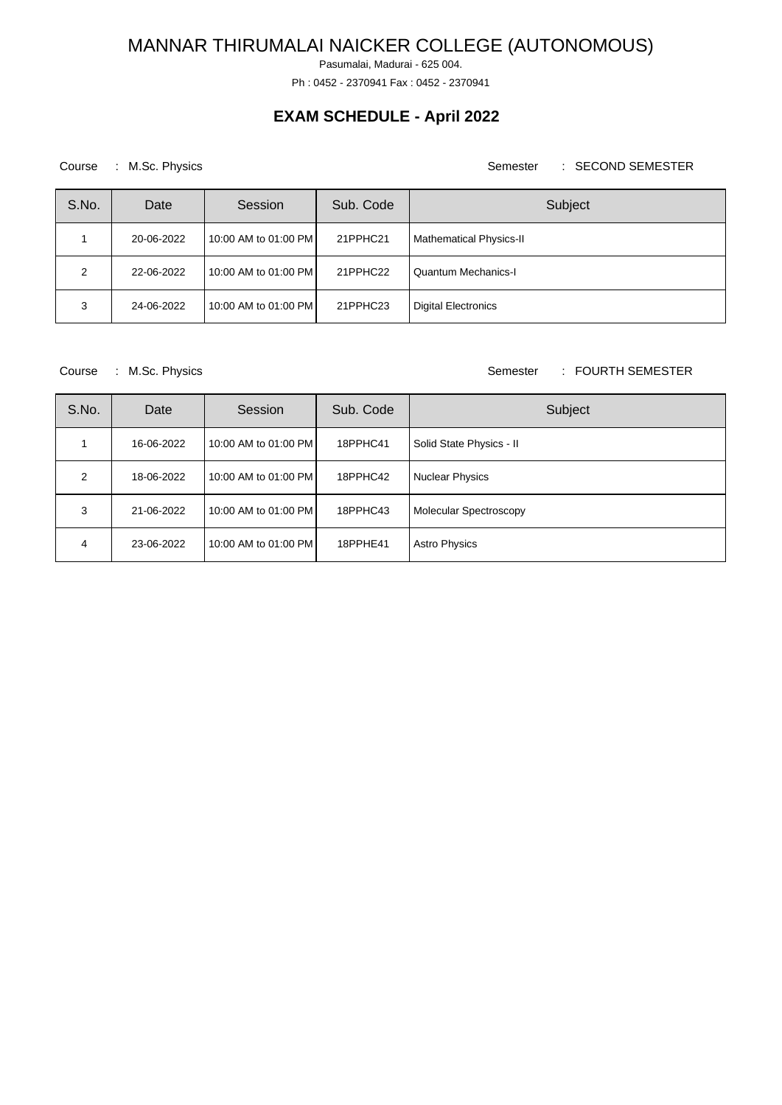Pasumalai, Madurai - 625 004.

Ph : 0452 - 2370941 Fax : 0452 - 2370941

## **EXAM SCHEDULE - April 2022**

### Course : M.Sc. Physics **Semester : SECOND SEMESTER**

| S.No. | Date       | Session              | Sub. Code | Subject                        |
|-------|------------|----------------------|-----------|--------------------------------|
|       | 20-06-2022 | 10:00 AM to 01:00 PM | 21PPHC21  | <b>Mathematical Physics-II</b> |
| 2     | 22-06-2022 | 10:00 AM to 01:00 PM | 21PPHC22  | Quantum Mechanics-I            |
| 3     | 24-06-2022 | 10:00 AM to 01:00 PM | 21PPHC23  | <b>Digital Electronics</b>     |

Course : M.Sc. Physics **Semester : FOURTH SEMESTER** 

| S.No. | Date       | Session              | Sub. Code | Subject                       |
|-------|------------|----------------------|-----------|-------------------------------|
|       | 16-06-2022 | 10:00 AM to 01:00 PM | 18PPHC41  | Solid State Physics - II      |
| 2     | 18-06-2022 | 10:00 AM to 01:00 PM | 18PPHC42  | <b>Nuclear Physics</b>        |
| 3     | 21-06-2022 | 10:00 AM to 01:00 PM | 18PPHC43  | <b>Molecular Spectroscopy</b> |
| 4     | 23-06-2022 | 10:00 AM to 01:00 PM | 18PPHE41  | <b>Astro Physics</b>          |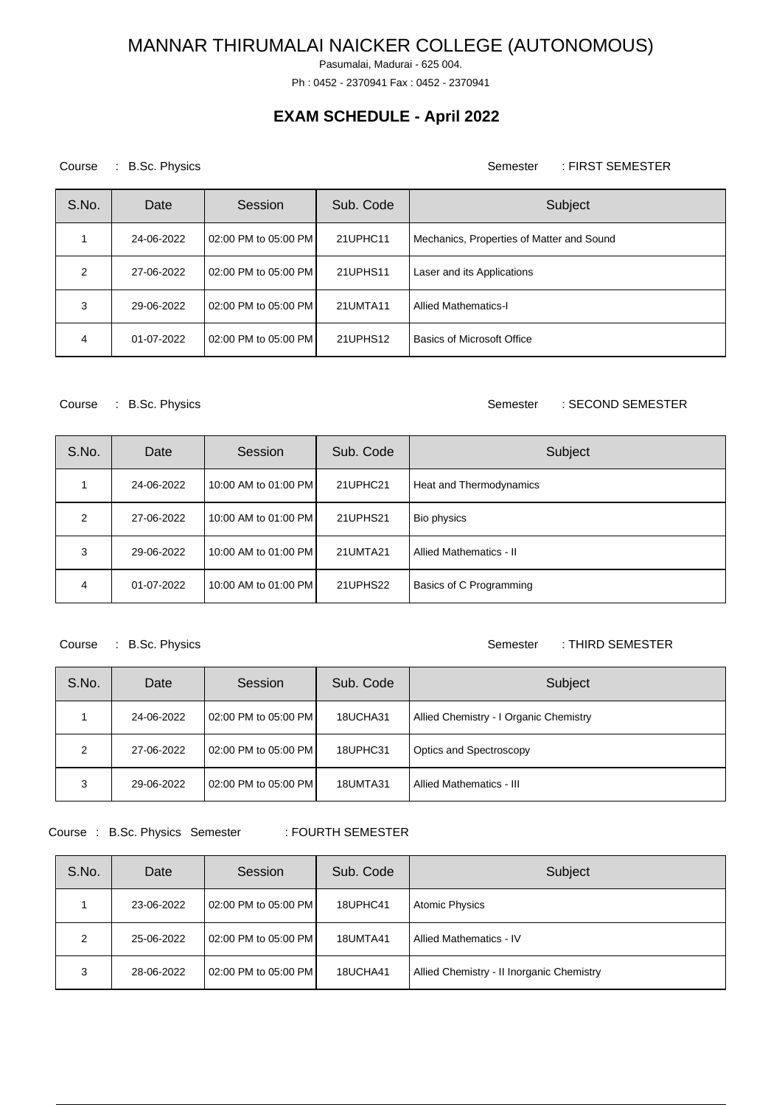Pasumalai, Madurai - 625 004.

Ph : 0452 - 2370941 Fax : 0452 - 2370941

## **EXAM SCHEDULE - April 2022**

Course : B.Sc. Physics **Semester** : FIRST SEMESTER

| S.No. | Date       | Session              | Sub. Code | Subject                                   |
|-------|------------|----------------------|-----------|-------------------------------------------|
|       | 24-06-2022 | 02:00 PM to 05:00 PM | 21UPHC11  | Mechanics, Properties of Matter and Sound |
| 2     | 27-06-2022 | 02:00 PM to 05:00 PM | 21UPHS11  | Laser and its Applications                |
| 3     | 29-06-2022 | 02:00 PM to 05:00 PM | 21UMTA11  | <b>Allied Mathematics-I</b>               |
| 4     | 01-07-2022 | 02:00 PM to 05:00 PM | 21UPHS12  | <b>Basics of Microsoft Office</b>         |

Course : B.Sc. Physics **Semester** : SECOND SEMESTER

| S.No.         | Date       | Session              | Sub. Code | Subject                 |
|---------------|------------|----------------------|-----------|-------------------------|
|               | 24-06-2022 | 10:00 AM to 01:00 PM | 21UPHC21  | Heat and Thermodynamics |
| $\mathcal{P}$ | 27-06-2022 | 10:00 AM to 01:00 PM | 21UPHS21  | Bio physics             |
| 3             | 29-06-2022 | 10:00 AM to 01:00 PM | 21UMTA21  | Allied Mathematics - II |
| 4             | 01-07-2022 | 10:00 AM to 01:00 PM | 21UPHS22  | Basics of C Programming |

Course : B.Sc. Physics **Semester** : THIRD SEMESTER

| S.No. | Date       | Session              | Sub. Code | Subject                                |
|-------|------------|----------------------|-----------|----------------------------------------|
|       | 24-06-2022 | 02:00 PM to 05:00 PM | 18UCHA31  | Allied Chemistry - I Organic Chemistry |
| 2     | 27-06-2022 | 02:00 PM to 05:00 PM | 18UPHC31  | Optics and Spectroscopy                |
| 3     | 29-06-2022 | 02:00 PM to 05:00 PM | 18UMTA31  | Allied Mathematics - III               |

Course : B.Sc. Physics Semester : FOURTH SEMESTER

| S.No. | Date       | Session              | Sub. Code | Subject                                   |
|-------|------------|----------------------|-----------|-------------------------------------------|
|       | 23-06-2022 | 02:00 PM to 05:00 PM | 18UPHC41  | <b>Atomic Physics</b>                     |
| 2     | 25-06-2022 | 02:00 PM to 05:00 PM | 18UMTA41  | Allied Mathematics - IV                   |
| 3     | 28-06-2022 | 02:00 PM to 05:00 PM | 18UCHA41  | Allied Chemistry - II Inorganic Chemistry |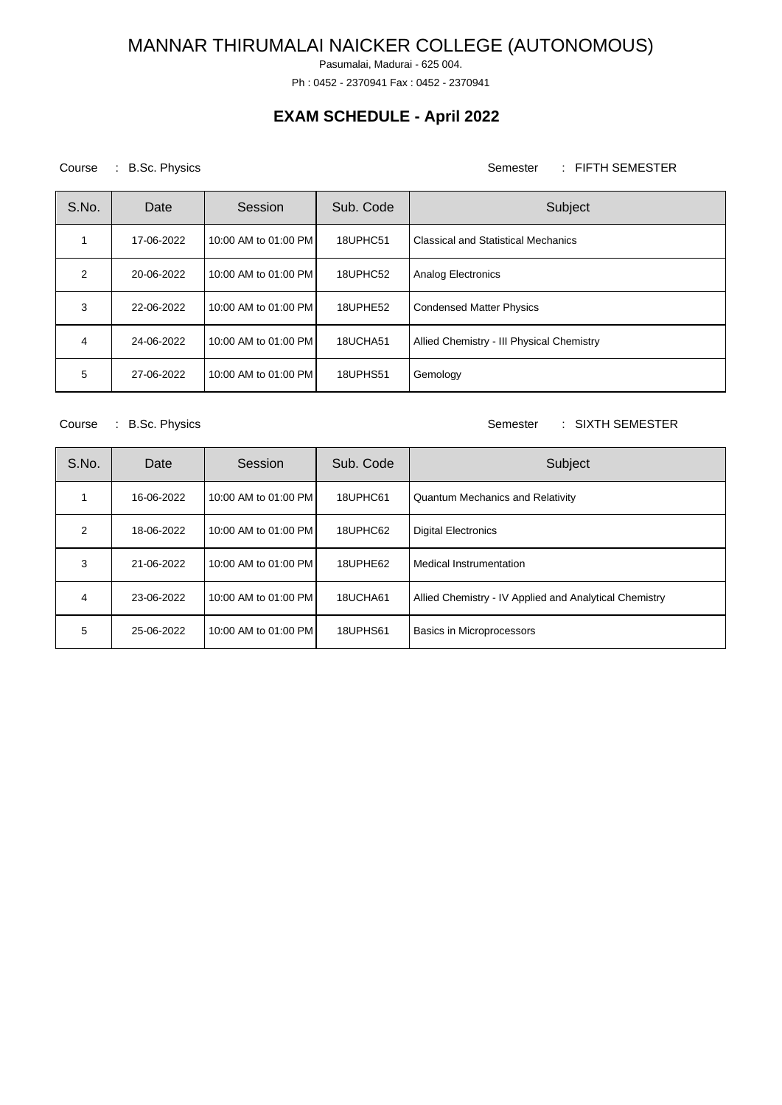Pasumalai, Madurai - 625 004.

Ph : 0452 - 2370941 Fax : 0452 - 2370941

## **EXAM SCHEDULE - April 2022**

### Course : B.Sc. Physics **Semester** : FIFTH SEMESTER

| S.No.         | Date       | Session              | Sub. Code | Subject                                    |
|---------------|------------|----------------------|-----------|--------------------------------------------|
|               | 17-06-2022 | 10:00 AM to 01:00 PM | 18UPHC51  | <b>Classical and Statistical Mechanics</b> |
| $\mathcal{P}$ | 20-06-2022 | 10:00 AM to 01:00 PM | 18UPHC52  | Analog Electronics                         |
| 3             | 22-06-2022 | 10:00 AM to 01:00 PM | 18UPHE52  | <b>Condensed Matter Physics</b>            |
| 4             | 24-06-2022 | 10:00 AM to 01:00 PM | 18UCHA51  | Allied Chemistry - III Physical Chemistry  |
| 5             | 27-06-2022 | 10:00 AM to 01:00 PM | 18UPHS51  | Gemology                                   |

### Course : B.Sc. Physics **Semester : SIXTH SEMESTER**

| S.No. | Date       | Session              | Sub. Code | Subject                                                |
|-------|------------|----------------------|-----------|--------------------------------------------------------|
|       | 16-06-2022 | 10:00 AM to 01:00 PM | 18UPHC61  | <b>Quantum Mechanics and Relativity</b>                |
| 2     | 18-06-2022 | 10:00 AM to 01:00 PM | 18UPHC62  | <b>Digital Electronics</b>                             |
| 3     | 21-06-2022 | 10:00 AM to 01:00 PM | 18UPHE62  | Medical Instrumentation                                |
| 4     | 23-06-2022 | 10:00 AM to 01:00 PM | 18UCHA61  | Allied Chemistry - IV Applied and Analytical Chemistry |
| 5     | 25-06-2022 | 10:00 AM to 01:00 PM | 18UPHS61  | Basics in Microprocessors                              |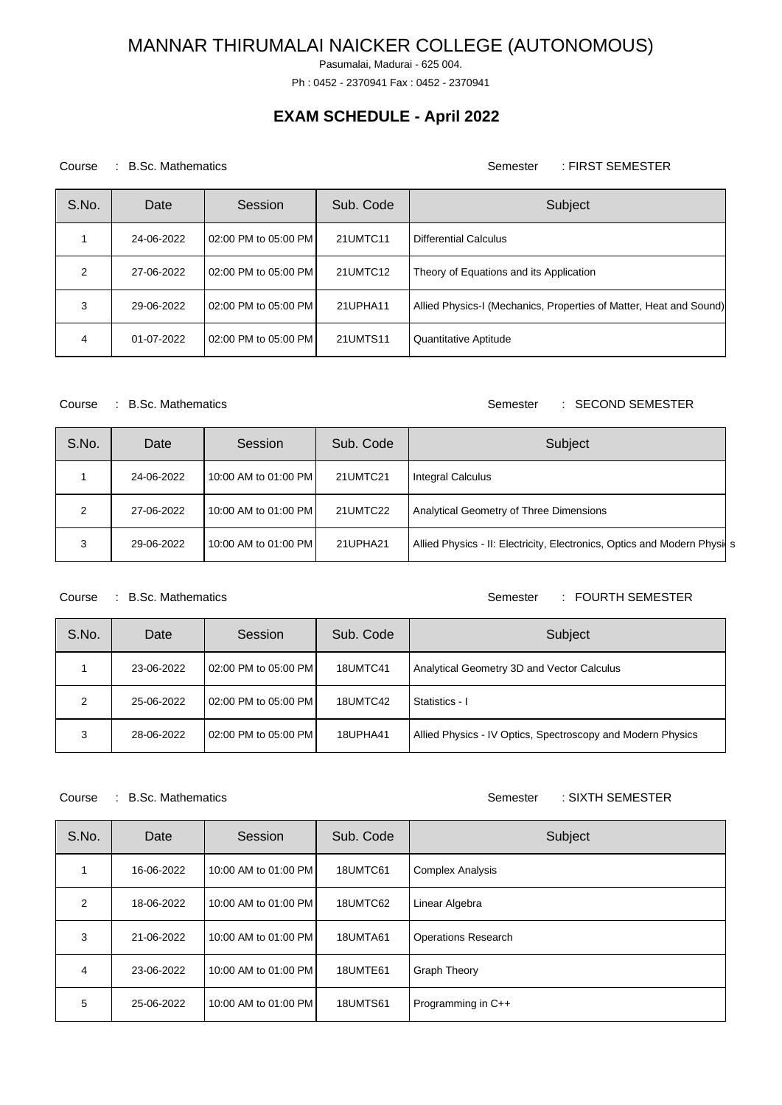Pasumalai, Madurai - 625 004.

Ph : 0452 - 2370941 Fax : 0452 - 2370941

## **EXAM SCHEDULE - April 2022**

### Course : B.Sc. Mathematics Semester : FIRST SEMESTER

| S.No.         | Date       | Session              | Sub. Code | Subject                                                            |
|---------------|------------|----------------------|-----------|--------------------------------------------------------------------|
|               | 24-06-2022 | 02:00 PM to 05:00 PM | 21UMTC11  | <b>Differential Calculus</b>                                       |
| $\mathcal{P}$ | 27-06-2022 | 02:00 PM to 05:00 PM | 21UMTC12  | Theory of Equations and its Application                            |
| 3             | 29-06-2022 | 02:00 PM to 05:00 PM | 21UPHA11  | Allied Physics-I (Mechanics, Properties of Matter, Heat and Sound) |
| 4             | 01-07-2022 | 02:00 PM to 05:00 PM | 21UMTS11  | Quantitative Aptitude                                              |

### Course : B.Sc. Mathematics **Semester : SECOND SEMESTER**

| S.No. | Date       | Session              | Sub. Code | Subject                                                                  |
|-------|------------|----------------------|-----------|--------------------------------------------------------------------------|
|       | 24-06-2022 | 10:00 AM to 01:00 PM | 21UMTC21  | Integral Calculus                                                        |
|       | 27-06-2022 | 10:00 AM to 01:00 PM | 21UMTC22  | Analytical Geometry of Three Dimensions                                  |
| 3     | 29-06-2022 | 10:00 AM to 01:00 PM | 21UPHA21  | Allied Physics - II: Electricity, Electronics, Optics and Modern Physics |

### Course : B.Sc. Mathematics Semester : FOURTH SEMESTER

| S.No. | Date       | Session              | Sub. Code | Subject                                                     |
|-------|------------|----------------------|-----------|-------------------------------------------------------------|
|       | 23-06-2022 | 02:00 PM to 05:00 PM | 18UMTC41  | Analytical Geometry 3D and Vector Calculus                  |
| 2     | 25-06-2022 | 02:00 PM to 05:00 PM | 18UMTC42  | Statistics - I                                              |
| 3     | 28-06-2022 | 02:00 PM to 05:00 PM | 18UPHA41  | Allied Physics - IV Optics, Spectroscopy and Modern Physics |

### Course : B.Sc. Mathematics Course : SIXTH SEMESTER

| S.No.          | Date       | Session              | Sub. Code       | Subject                    |
|----------------|------------|----------------------|-----------------|----------------------------|
|                | 16-06-2022 | 10:00 AM to 01:00 PM | 18UMTC61        | <b>Complex Analysis</b>    |
| $\mathfrak{p}$ | 18-06-2022 | 10:00 AM to 01:00 PM | 18UMTC62        | Linear Algebra             |
| 3              | 21-06-2022 | 10:00 AM to 01:00 PM | 18UMTA61        | <b>Operations Research</b> |
| 4              | 23-06-2022 | 10:00 AM to 01:00 PM | 18UMTE61        | <b>Graph Theory</b>        |
| 5              | 25-06-2022 | 10:00 AM to 01:00 PM | <b>18UMTS61</b> | Programming in C++         |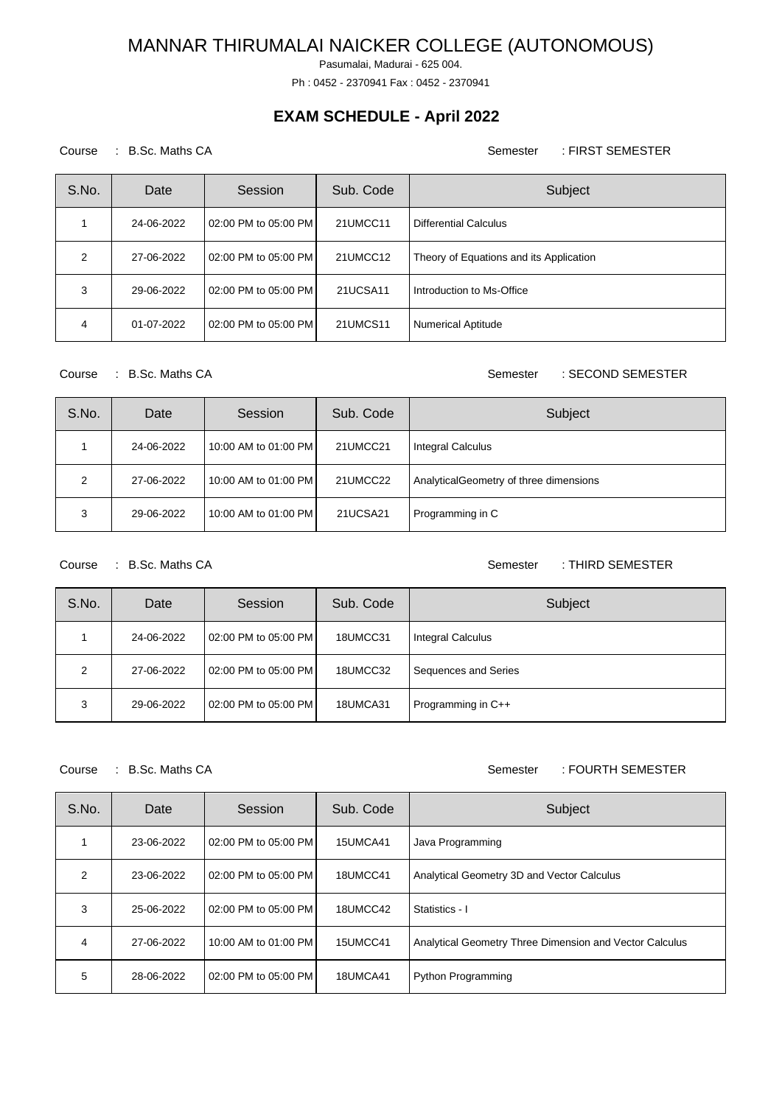Pasumalai, Madurai - 625 004.

Ph : 0452 - 2370941 Fax : 0452 - 2370941

## **EXAM SCHEDULE - April 2022**

### Course : B.Sc. Maths CA Semester : FIRST SEMESTER

| S.No. | Date       | Session                  | Sub. Code | Subject                                 |
|-------|------------|--------------------------|-----------|-----------------------------------------|
|       | 24-06-2022 | l 02:00 PM to 05:00 PM l | 21UMCC11  | Differential Calculus                   |
| 2     | 27-06-2022 | 02:00 PM to 05:00 PM     | 21UMCC12  | Theory of Equations and its Application |
| 3     | 29-06-2022 | 02:00 PM to 05:00 PM     | 21UCSA11  | Introduction to Ms-Office               |
| 4     | 01-07-2022 | 02:00 PM to 05:00 PM     | 21UMCS11  | <b>Numerical Aptitude</b>               |

Course : B.Sc. Maths CA Semester : SECOND SEMESTER

| S.No. | Date       | Session              | Sub. Code | Subject                                 |
|-------|------------|----------------------|-----------|-----------------------------------------|
|       | 24-06-2022 | 10:00 AM to 01:00 PM | 21UMCC21  | <b>Integral Calculus</b>                |
| 2     | 27-06-2022 | 10:00 AM to 01:00 PM | 21UMCC22  | Analytical Geometry of three dimensions |
| 3     | 29-06-2022 | 10:00 AM to 01:00 PM | 21UCSA21  | Programming in C                        |

Course : B.Sc. Maths CA Semester : THIRD SEMESTER

| S.No. | Date       | Session              | Sub. Code | Subject                  |
|-------|------------|----------------------|-----------|--------------------------|
|       | 24-06-2022 | 02:00 PM to 05:00 PM | 18UMCC31  | <b>Integral Calculus</b> |
| 2     | 27-06-2022 | 02:00 PM to 05:00 PM | 18UMCC32  | Sequences and Series     |
| 3     | 29-06-2022 | 02:00 PM to 05:00 PM | 18UMCA31  | Programming in C++       |

### Course : B.Sc. Maths CA Semester : FOURTH SEMESTER

| S.No. | Date       | Session              | Sub. Code | Subject                                                 |
|-------|------------|----------------------|-----------|---------------------------------------------------------|
|       | 23-06-2022 | 02:00 PM to 05:00 PM | 15UMCA41  | Java Programming                                        |
| 2     | 23-06-2022 | 02:00 PM to 05:00 PM | 18UMCC41  | Analytical Geometry 3D and Vector Calculus              |
| 3     | 25-06-2022 | 02:00 PM to 05:00 PM | 18UMCC42  | Statistics - I                                          |
| 4     | 27-06-2022 | 10:00 AM to 01:00 PM | 15UMCC41  | Analytical Geometry Three Dimension and Vector Calculus |
| 5     | 28-06-2022 | 02:00 PM to 05:00 PM | 18UMCA41  | Python Programming                                      |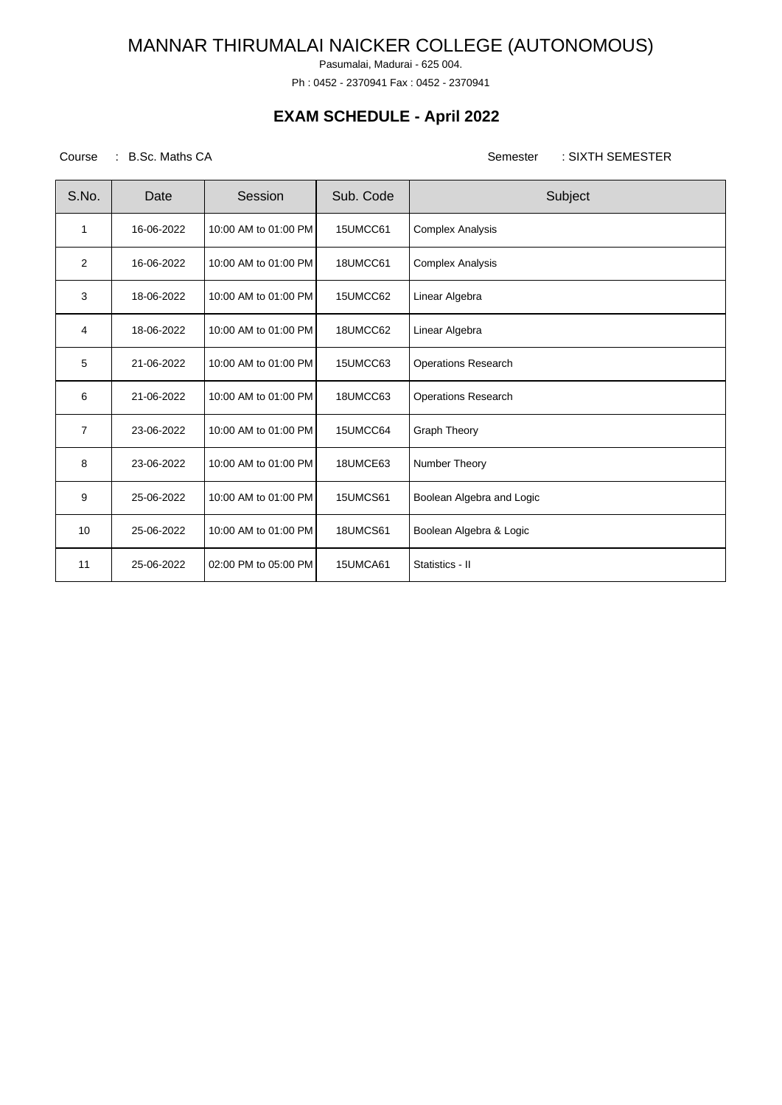Pasumalai, Madurai - 625 004.

Ph : 0452 - 2370941 Fax : 0452 - 2370941

## **EXAM SCHEDULE - April 2022**

### Course : B.Sc. Maths CA Semester : SIXTH SEMESTER

| S.No.          | Date       | Session              | Sub. Code | Subject                    |
|----------------|------------|----------------------|-----------|----------------------------|
| 1              | 16-06-2022 | 10:00 AM to 01:00 PM | 15UMCC61  | <b>Complex Analysis</b>    |
| 2              | 16-06-2022 | 10:00 AM to 01:00 PM | 18UMCC61  | <b>Complex Analysis</b>    |
| 3              | 18-06-2022 | 10:00 AM to 01:00 PM | 15UMCC62  | Linear Algebra             |
| 4              | 18-06-2022 | 10:00 AM to 01:00 PM | 18UMCC62  | Linear Algebra             |
| 5              | 21-06-2022 | 10:00 AM to 01:00 PM | 15UMCC63  | <b>Operations Research</b> |
| 6              | 21-06-2022 | 10:00 AM to 01:00 PM | 18UMCC63  | <b>Operations Research</b> |
| $\overline{7}$ | 23-06-2022 | 10:00 AM to 01:00 PM | 15UMCC64  | <b>Graph Theory</b>        |
| 8              | 23-06-2022 | 10:00 AM to 01:00 PM | 18UMCE63  | Number Theory              |
| 9              | 25-06-2022 | 10:00 AM to 01:00 PM | 15UMCS61  | Boolean Algebra and Logic  |
| 10             | 25-06-2022 | 10:00 AM to 01:00 PM | 18UMCS61  | Boolean Algebra & Logic    |
| 11             | 25-06-2022 | 02:00 PM to 05:00 PM | 15UMCA61  | Statistics II              |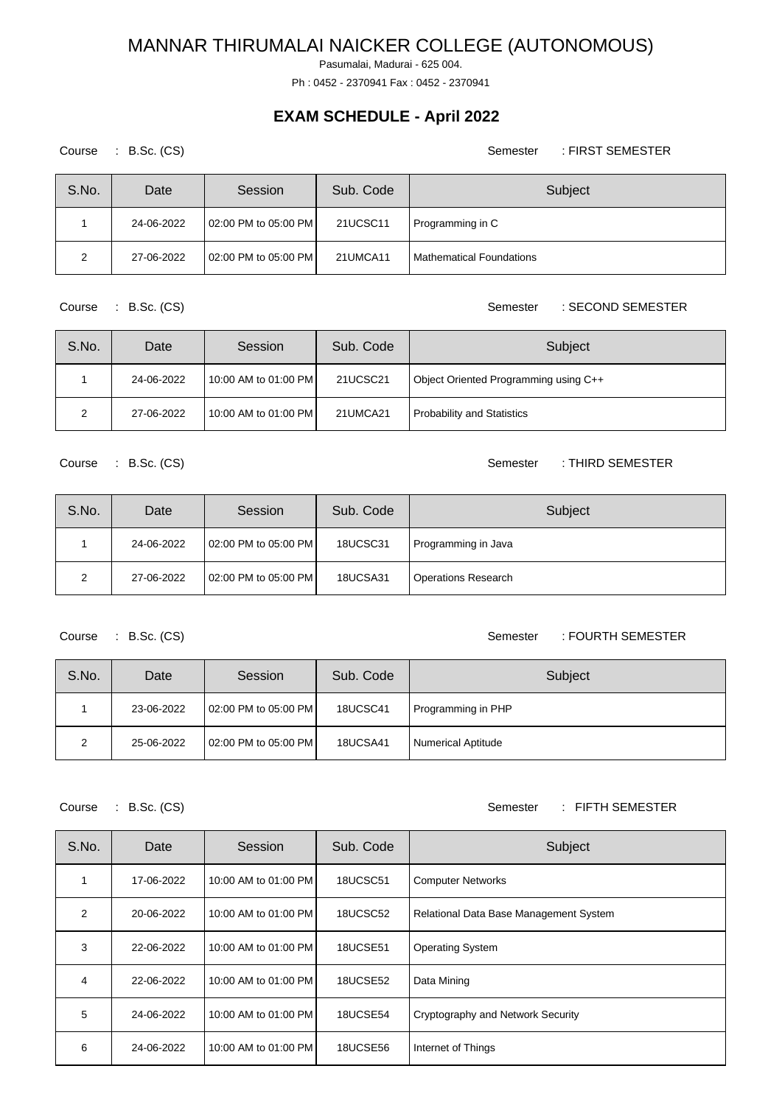Pasumalai, Madurai - 625 004.

Ph : 0452 - 2370941 Fax : 0452 - 2370941

### **EXAM SCHEDULE - April 2022**

Course : B.Sc. (CS) Semester : FIRST SEMESTER S.No. Date Session Sub. Code Subject 1 | 24-06-2022 | 02:00 PM to 05:00 PM | 21UCSC11 | Programming in C 2 | 27-06-2022 | 02:00 PM to 05:00 PM | 21UMCA11 | Mathematical Foundations

S.No. Date Session Sub. Code Subject 1 24-06-2022 10:00 AM to 01:00 PM 21UCSC21 Object Oriented Programming using C++ 2 | 27-06-2022 | 10:00 AM to 01:00 PM | 21UMCA21 | Probability and Statistics

Course : B.Sc. (CS) Semester : THIRD SEMESTER

| S.No. | Date       | Session                  | Sub. Code       | Subject                    |
|-------|------------|--------------------------|-----------------|----------------------------|
|       | 24-06-2022 | l 02:00 PM to 05:00 PM l | <b>18UCSC31</b> | Programming in Java        |
| ◠     | 27-06-2022 | 02:00 PM to 05:00 PM     | <b>18UCSA31</b> | <b>Operations Research</b> |

#### Course : B.Sc. (CS) Semester : FOURTH SEMESTER

| S.No. | Date       | Session              | Sub. Code       | Subject                   |
|-------|------------|----------------------|-----------------|---------------------------|
|       | 23-06-2022 | 02:00 PM to 05:00 PM | <b>18UCSC41</b> | Programming in PHP        |
| 2     | 25-06-2022 | 02:00 PM to 05:00 PM | <b>18UCSA41</b> | <b>Numerical Aptitude</b> |

Course : B.Sc. (CS) Semester : FIFTH SEMESTER

| S.No.                   | Date       | Session              | Sub. Code       | Subject                                |
|-------------------------|------------|----------------------|-----------------|----------------------------------------|
|                         | 17-06-2022 | 10:00 AM to 01:00 PM | 18UCSC51        | <b>Computer Networks</b>               |
| $\mathfrak{p}$          | 20-06-2022 | 10:00 AM to 01:00 PM | 18UCSC52        | Relational Data Base Management System |
| 3                       | 22-06-2022 | 10:00 AM to 01:00 PM | <b>18UCSE51</b> | <b>Operating System</b>                |
| $\overline{\mathbf{4}}$ | 22-06-2022 | 10:00 AM to 01:00 PM | 18UCSE52        | Data Mining                            |
| 5                       | 24-06-2022 | 10:00 AM to 01:00 PM | 18UCSE54        | Cryptography and Network Security      |
| 6                       | 24-06-2022 | 10:00 AM to 01:00 PM | <b>18UCSE56</b> | Internet of Things                     |

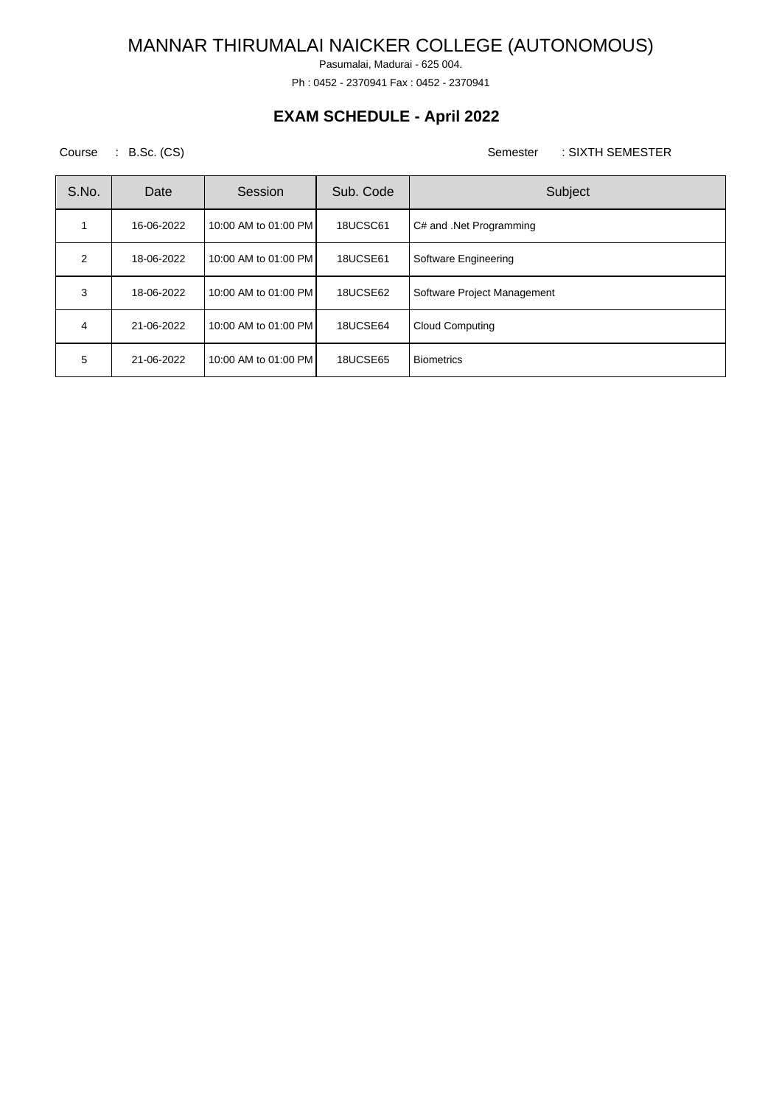Pasumalai, Madurai - 625 004.

Ph : 0452 - 2370941 Fax : 0452 - 2370941

## **EXAM SCHEDULE - April 2022**

Course : B.Sc. (CS) Semester : SIXTH SEMESTER

| S.No. | Date       | Session              | Sub. Code | Subject                     |
|-------|------------|----------------------|-----------|-----------------------------|
|       | 16-06-2022 | 10:00 AM to 01:00 PM | 18UCSC61  | C# and .Net Programming     |
| 2     | 18-06-2022 | 10:00 AM to 01:00 PM | 18UCSE61  | Software Engineering        |
| 3     | 18-06-2022 | 10:00 AM to 01:00 PM | 18UCSE62  | Software Project Management |
| 4     | 21-06-2022 | 10:00 AM to 01:00 PM | 18UCSE64  | <b>Cloud Computing</b>      |
| 5     | 21-06-2022 | 10:00 AM to 01:00 PM | 18UCSE65  | <b>Biometrics</b>           |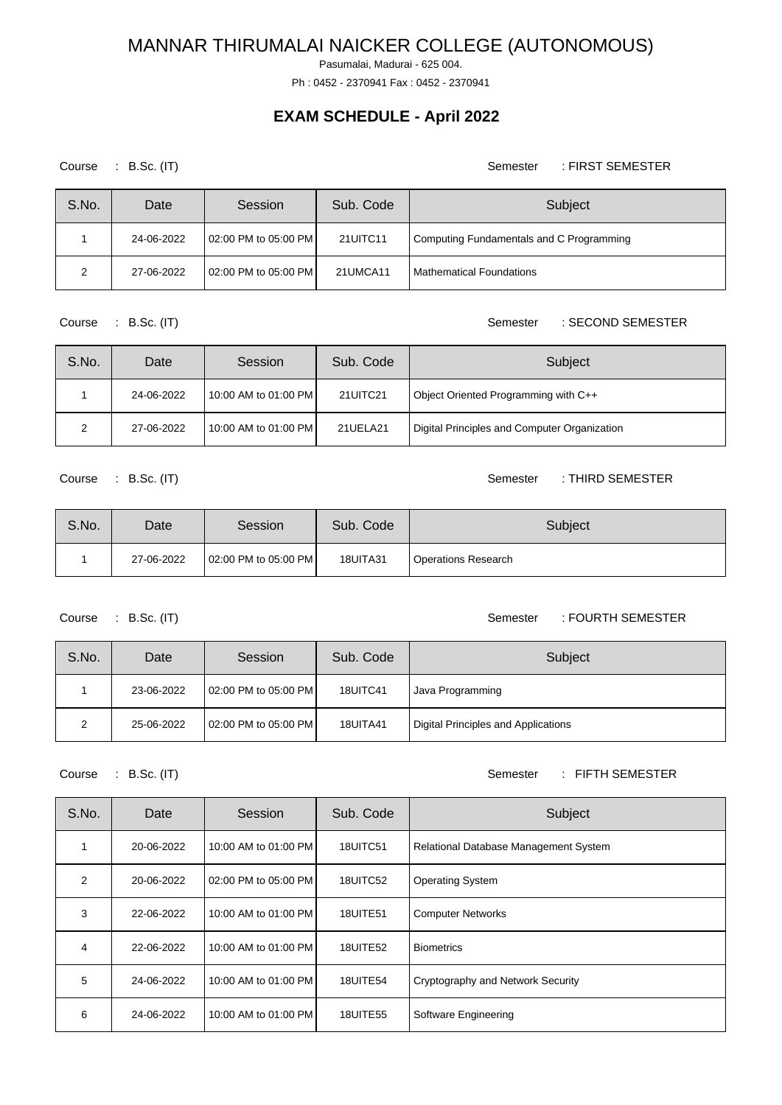Pasumalai, Madurai - 625 004.

Ph : 0452 - 2370941 Fax : 0452 - 2370941

## **EXAM SCHEDULE - April 2022**

Course : B.Sc. (IT) Semester : FIRST SEMESTER

| S.No. | Date       | Session              | Sub. Code | Subject                                  |
|-------|------------|----------------------|-----------|------------------------------------------|
|       | 24-06-2022 | 02:00 PM to 05:00 PM | 21UITC11  | Computing Fundamentals and C Programming |
| 2     | 27-06-2022 | 02:00 PM to 05:00 PM | 21UMCA11  | <b>Mathematical Foundations</b>          |

Course : B.Sc. (IT) Semester : SECOND SEMESTER

| S.No. | Date       | Session              | Sub. Code | Subject                                      |
|-------|------------|----------------------|-----------|----------------------------------------------|
|       | 24-06-2022 | 10:00 AM to 01:00 PM | 21UITC21  | Object Oriented Programming with C++         |
|       | 27-06-2022 | 10:00 AM to 01:00 PM | 21UELA21  | Digital Principles and Computer Organization |

Course : B.Sc. (IT) Semester : THIRD SEMESTER

| S.No. | Date       | Session              | Sub. Code | Subject                    |
|-------|------------|----------------------|-----------|----------------------------|
|       | 27-06-2022 | 02:00 PM to 05:00 PM | 18UITA31  | <b>Operations Research</b> |

Course : B.Sc. (IT) Semester : FOURTH SEMESTER

| S.No. | Date       | Session              | Sub. Code       | Subject                             |
|-------|------------|----------------------|-----------------|-------------------------------------|
|       | 23-06-2022 | 02:00 PM to 05:00 PM | 18UITC41        | Java Programming                    |
| ົ     | 25-06-2022 | 02:00 PM to 05:00 PM | <b>18UITA41</b> | Digital Principles and Applications |

### Course : B.Sc. (IT) Semester : FIFTH SEMESTER

| S.No.          | Date       | Session              | Sub. Code       | Subject                               |
|----------------|------------|----------------------|-----------------|---------------------------------------|
| 1              | 20-06-2022 | 10:00 AM to 01:00 PM | 18UITC51        | Relational Database Management System |
| $\overline{2}$ | 20-06-2022 | 02:00 PM to 05:00 PM | 18UITC52        | <b>Operating System</b>               |
| 3              | 22-06-2022 | 10:00 AM to 01:00 PM | <b>18UITE51</b> | <b>Computer Networks</b>              |
| 4              | 22-06-2022 | 10:00 AM to 01:00 PM | <b>18UITE52</b> | <b>Biometrics</b>                     |
| 5              | 24-06-2022 | 10:00 AM to 01:00 PM | 18UITE54        | Cryptography and Network Security     |
| 6              | 24-06-2022 | 10:00 AM to 01:00 PM | <b>18UITE55</b> | Software Engineering                  |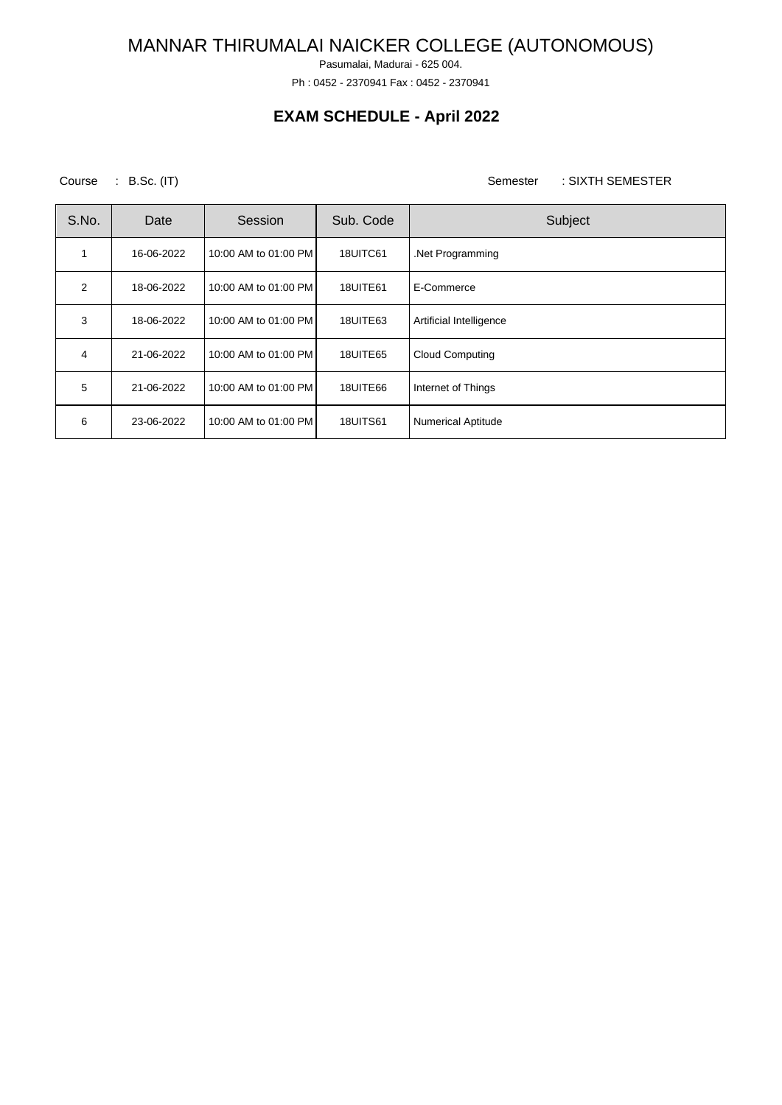Pasumalai, Madurai - 625 004.

Ph : 0452 - 2370941 Fax : 0452 - 2370941

## **EXAM SCHEDULE - April 2022**

Course : B.Sc. (IT) Semester : SIXTH SEMESTER

| S.No. | Date       | Session              | Sub. Code       | Subject                   |
|-------|------------|----------------------|-----------------|---------------------------|
|       | 16-06-2022 | 10:00 AM to 01:00 PM | 18UITC61        | .Net Programming          |
| 2     | 18-06-2022 | 10:00 AM to 01:00 PM | 18UITE61        | E-Commerce                |
| 3     | 18-06-2022 | 10:00 AM to 01:00 PM | 18UITE63        | Artificial Intelligence   |
| 4     | 21-06-2022 | 10:00 AM to 01:00 PM | 18UITE65        | <b>Cloud Computing</b>    |
| 5     | 21-06-2022 | 10:00 AM to 01:00 PM | 18UITE66        | Internet of Things        |
| 6     | 23-06-2022 | 10:00 AM to 01:00 PM | <b>18UITS61</b> | <b>Numerical Aptitude</b> |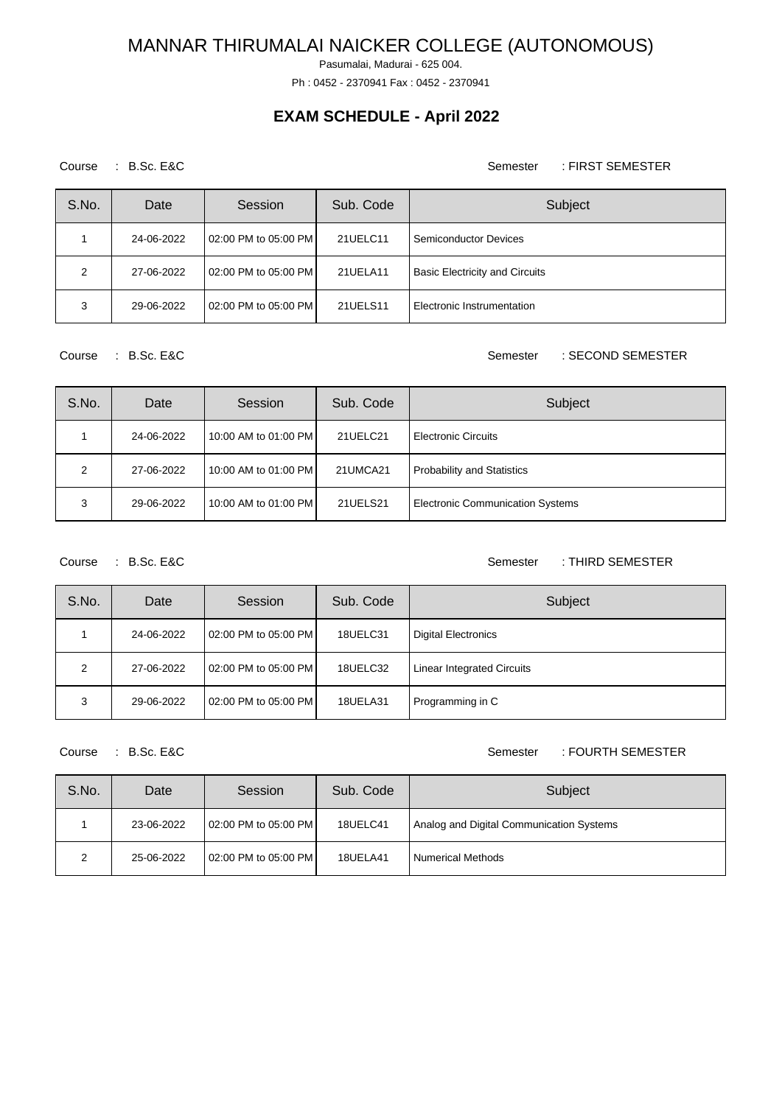Pasumalai, Madurai - 625 004.

Ph : 0452 - 2370941 Fax : 0452 - 2370941

## **EXAM SCHEDULE - April 2022**

### Course : B.Sc. E&C Semester : FIRST SEMESTER

| S.No. | Date       | Session              | Sub. Code | Subject                               |
|-------|------------|----------------------|-----------|---------------------------------------|
|       | 24-06-2022 | 02:00 PM to 05:00 PM | 21UELC11  | Semiconductor Devices                 |
| 2     | 27-06-2022 | 02:00 PM to 05:00 PM | 21UELA11  | <b>Basic Electricity and Circuits</b> |
| 3     | 29-06-2022 | 02:00 PM to 05:00 PM | 21UELS11  | Electronic Instrumentation            |

Course : B.Sc. E&C Semester : SECOND SEMESTER

| S.No. | Date       | Session              | Sub. Code | Subject                                 |
|-------|------------|----------------------|-----------|-----------------------------------------|
|       | 24-06-2022 | 10:00 AM to 01:00 PM | 21UELC21  | <b>Electronic Circuits</b>              |
| 2     | 27-06-2022 | 10:00 AM to 01:00 PM | 21UMCA21  | <b>Probability and Statistics</b>       |
| 3     | 29-06-2022 | 10:00 AM to 01:00 PM | 21UELS21  | <b>Electronic Communication Systems</b> |

Course : B.Sc. E&C Semester : THIRD SEMESTER

| S.No. | Date       | Session              | Sub. Code | Subject                           |
|-------|------------|----------------------|-----------|-----------------------------------|
|       | 24-06-2022 | 02:00 PM to 05:00 PM | 18UELC31  | Digital Electronics               |
| ົ     | 27-06-2022 | 02:00 PM to 05:00 PM | 18UELC32  | <b>Linear Integrated Circuits</b> |
| 3     | 29-06-2022 | 02:00 PM to 05:00 PM | 18UELA31  | Programming in C                  |

#### Course : B.Sc. E&C Semester : FOURTH SEMESTER

| S.No. | Date       | Session              | Sub. Code | Subject                                  |
|-------|------------|----------------------|-----------|------------------------------------------|
|       | 23-06-2022 | 02:00 PM to 05:00 PM | 18UELC41  | Analog and Digital Communication Systems |
| 2     | 25-06-2022 | 02:00 PM to 05:00 PM | 18UELA41  | Numerical Methods                        |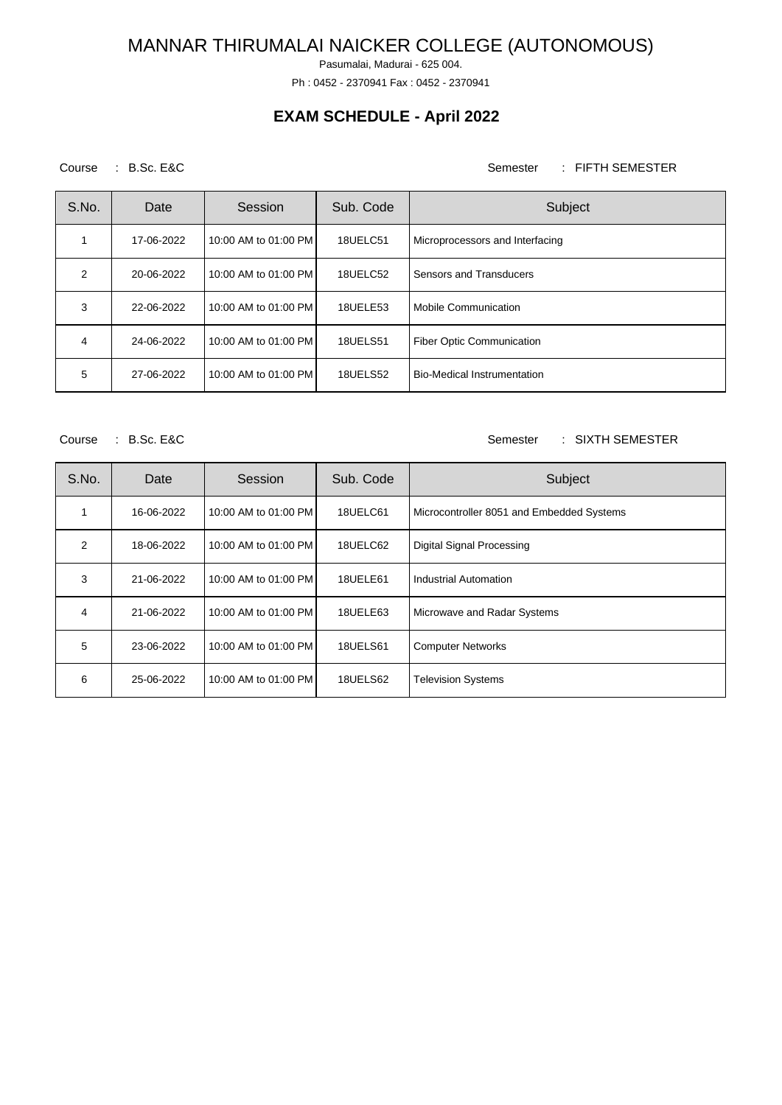Pasumalai, Madurai - 625 004.

Ph : 0452 - 2370941 Fax : 0452 - 2370941

## **EXAM SCHEDULE - April 2022**

### Course : B.Sc. E&C Semester : FIFTH SEMESTER

| S.No.         | Date       | Session              | Sub. Code       | Subject                          |
|---------------|------------|----------------------|-----------------|----------------------------------|
|               | 17-06-2022 | 10:00 AM to 01:00 PM | 18UELC51        | Microprocessors and Interfacing  |
| $\mathcal{P}$ | 20-06-2022 | 10:00 AM to 01:00 PM | 18UELC52        | Sensors and Transducers          |
| 3             | 22-06-2022 | 10:00 AM to 01:00 PM | 18UELE53        | Mobile Communication             |
| 4             | 24-06-2022 | 10:00 AM to 01:00 PM | <b>18UELS51</b> | <b>Fiber Optic Communication</b> |
| 5             | 27-06-2022 | 10:00 AM to 01:00 PM | <b>18UELS52</b> | Bio-Medical Instrumentation      |

Course : B.Sc. E&C Semester : SIXTH SEMESTER

| S.No.          | Date       | Session              | Sub. Code       | Subject                                   |
|----------------|------------|----------------------|-----------------|-------------------------------------------|
|                | 16-06-2022 | 10:00 AM to 01:00 PM | 18UELC61        | Microcontroller 8051 and Embedded Systems |
| $\overline{2}$ | 18-06-2022 | 10:00 AM to 01:00 PM | 18UELC62        | <b>Digital Signal Processing</b>          |
| 3              | 21-06-2022 | 10:00 AM to 01:00 PM | 18UELE61        | Industrial Automation                     |
| 4              | 21-06-2022 | 10:00 AM to 01:00 PM | 18UELE63        | Microwave and Radar Systems               |
| 5              | 23-06-2022 | 10:00 AM to 01:00 PM | <b>18UELS61</b> | <b>Computer Networks</b>                  |
| 6              | 25-06-2022 | 10:00 AM to 01:00 PM | 18UELS62        | <b>Television Systems</b>                 |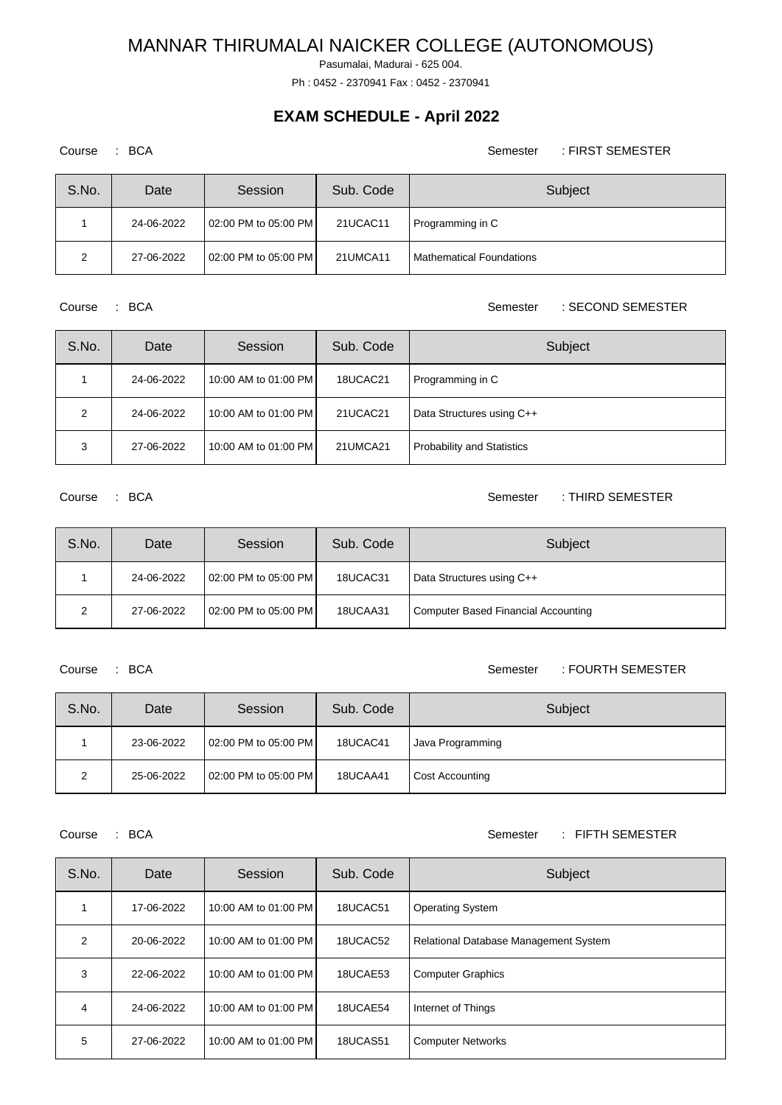Pasumalai, Madurai - 625 004.

Ph : 0452 - 2370941 Fax : 0452 - 2370941

## **EXAM SCHEDULE - April 2022**

Course : BCA Semester : FIRST SEMESTER

| S.No. | Date       | Session              | Sub. Code | Subject                         |
|-------|------------|----------------------|-----------|---------------------------------|
|       | 24-06-2022 | 02:00 PM to 05:00 PM | 21UCAC11  | Programming in C                |
| າ     | 27-06-2022 | 02:00 PM to 05:00 PM | 21UMCA11  | <b>Mathematical Foundations</b> |

Course : BCA Semester : SECOND SEMESTER

| S.No. | Date       | Session              | Sub. Code | Subject                           |
|-------|------------|----------------------|-----------|-----------------------------------|
|       | 24-06-2022 | 10:00 AM to 01:00 PM | 18UCAC21  | Programming in C                  |
| 2     | 24-06-2022 | 10:00 AM to 01:00 PM | 21UCAC21  | Data Structures using C++         |
| 3     | 27-06-2022 | 10:00 AM to 01:00 PM | 21UMCA21  | <b>Probability and Statistics</b> |

Course : BCA Semester : THIRD SEMESTER

| S.No. | Date       | Session              | Sub. Code | Subject                                    |
|-------|------------|----------------------|-----------|--------------------------------------------|
|       | 24-06-2022 | 02:00 PM to 05:00 PM | 18UCAC31  | Data Structures using C++                  |
| 2     | 27-06-2022 | 02:00 PM to 05:00 PM | 18UCAA31  | <b>Computer Based Financial Accounting</b> |

### Course : BCA Semester : FOURTH SEMESTER

| S.No. | Date       | Session              | Sub. Code | Subject          |
|-------|------------|----------------------|-----------|------------------|
|       | 23-06-2022 | 02:00 PM to 05:00 PM | 18UCAC41  | Java Programming |
| ົ     | 25-06-2022 | 02:00 PM to 05:00 PM | 18UCAA41  | Cost Accounting  |

#### Course : BCA Semester : FIFTH SEMESTER

| S.No.          | Date       | Session              | Sub. Code | Subject                               |
|----------------|------------|----------------------|-----------|---------------------------------------|
|                | 17-06-2022 | 10:00 AM to 01:00 PM | 18UCAC51  | <b>Operating System</b>               |
| $\overline{2}$ | 20-06-2022 | 10:00 AM to 01:00 PM | 18UCAC52  | Relational Database Management System |
| 3              | 22-06-2022 | 10:00 AM to 01:00 PM | 18UCAE53  | <b>Computer Graphics</b>              |
| 4              | 24-06-2022 | 10:00 AM to 01:00 PM | 18UCAE54  | Internet of Things                    |
| 5              | 27-06-2022 | 10:00 AM to 01:00 PM | 18UCAS51  | <b>Computer Networks</b>              |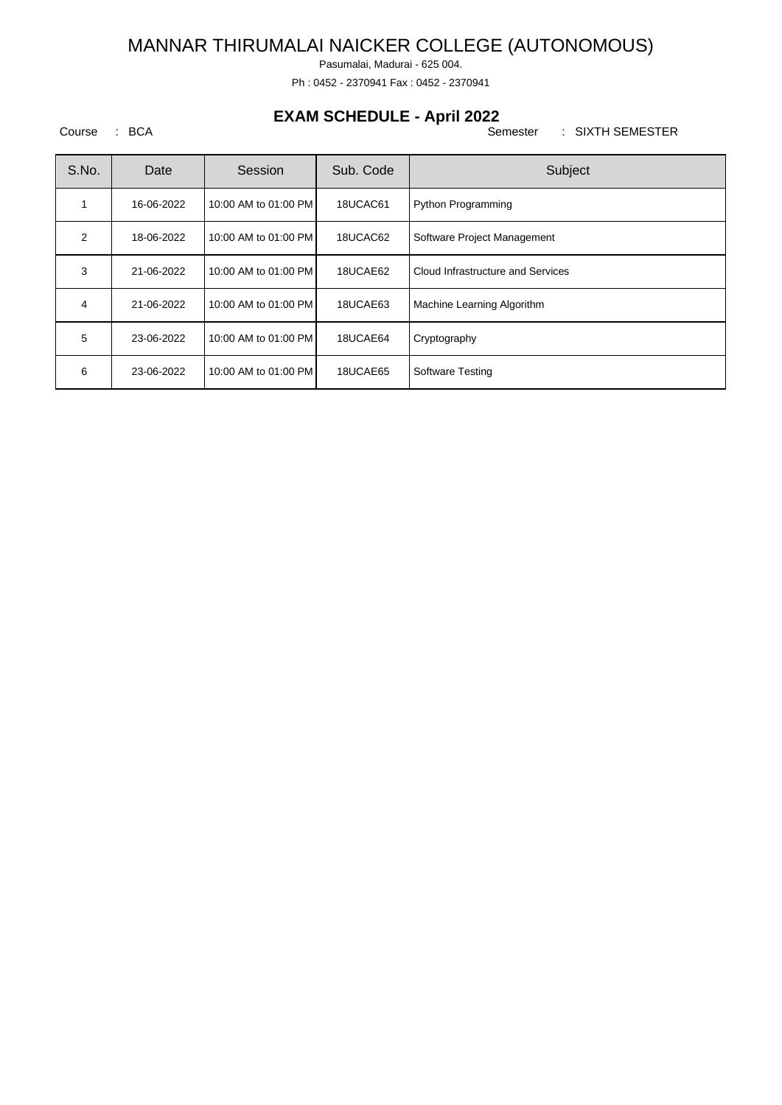Pasumalai, Madurai - 625 004.

Ph : 0452 - 2370941 Fax : 0452 - 2370941

## **EXAM SCHEDULE - April 2022**

Course : BCA Semester : SIXTH SEMESTER

| S.No. | Date       | Session              | Sub. Code | Subject                           |
|-------|------------|----------------------|-----------|-----------------------------------|
| 1     | 16-06-2022 | 10:00 AM to 01:00 PM | 18UCAC61  | Python Programming                |
| 2     | 18-06-2022 | 10:00 AM to 01:00 PM | 18UCAC62  | Software Project Management       |
| 3     | 21-06-2022 | 10:00 AM to 01:00 PM | 18UCAE62  | Cloud Infrastructure and Services |
| 4     | 21-06-2022 | 10:00 AM to 01:00 PM | 18UCAE63  | Machine Learning Algorithm        |
| 5     | 23-06-2022 | 10:00 AM to 01:00 PM | 18UCAE64  | Cryptography                      |
| 6     | 23-06-2022 | 10:00 AM to 01:00 PM | 18UCAE65  | Software Testing                  |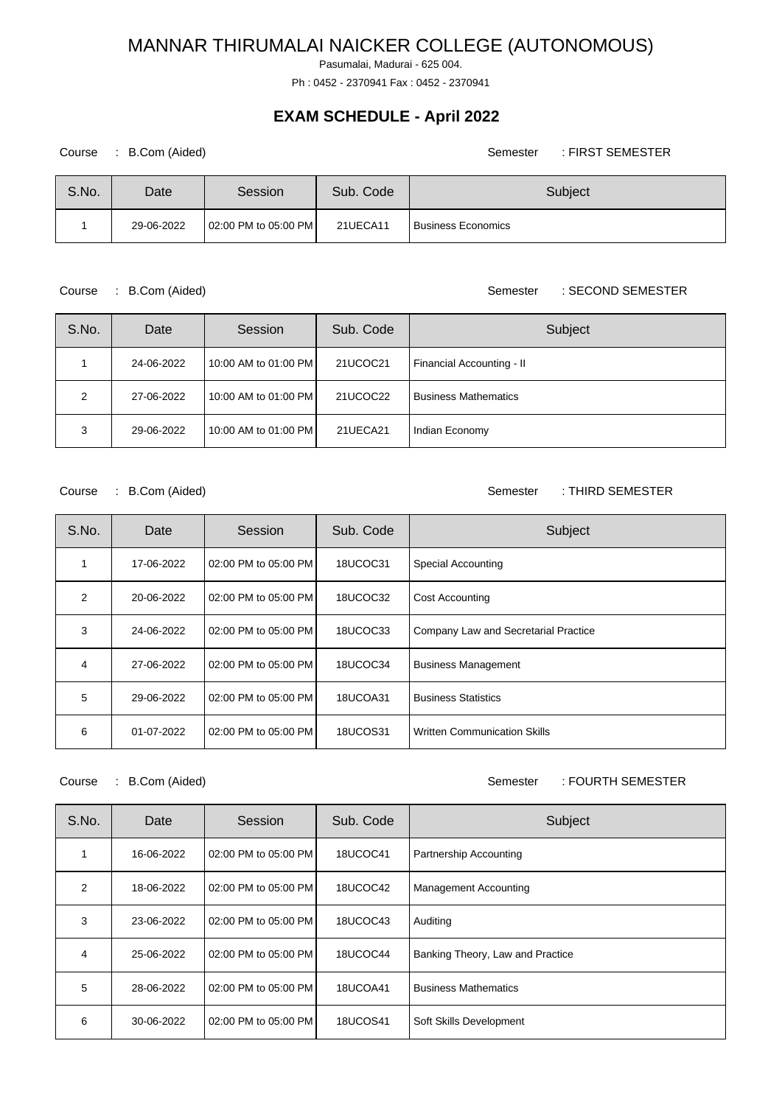Pasumalai, Madurai - 625 004.

Ph : 0452 - 2370941 Fax : 0452 - 2370941

## **EXAM SCHEDULE - April 2022**

| Course | B.Com (Aided) |                      |           | : FIRST SEMESTER<br>Semester |
|--------|---------------|----------------------|-----------|------------------------------|
| S.No.  | Date          | Session              | Sub. Code | Subject                      |
|        | 29-06-2022    | 02:00 PM to 05:00 PM | 21UECA11  | <b>Business Economics</b>    |

Course : B.Com (Aided) Semester : SECOND SEMESTER

| S.No. | Date       | Session              | Sub. Code | Subject                     |
|-------|------------|----------------------|-----------|-----------------------------|
|       | 24-06-2022 | 10:00 AM to 01:00 PM | 21UCOC21  | Financial Accounting - II   |
| 2     | 27-06-2022 | 10:00 AM to 01:00 PM | 21UCOC22  | <b>Business Mathematics</b> |
| 3     | 29-06-2022 | 10:00 AM to 01:00 PM | 21UECA21  | Indian Economy              |

Course : B.Com (Aided) Course : B.Com (Aided)

| S.No.          | Date       | Session              | Sub. Code       | Subject                              |
|----------------|------------|----------------------|-----------------|--------------------------------------|
|                | 17-06-2022 | 02:00 PM to 05:00 PM | 18UCOC31        | Special Accounting                   |
| $\overline{2}$ | 20-06-2022 | 02:00 PM to 05:00 PM | 18UCOC32        | <b>Cost Accounting</b>               |
| 3              | 24-06-2022 | 02:00 PM to 05:00 PM | 18UCOC33        | Company Law and Secretarial Practice |
| 4              | 27-06-2022 | 02:00 PM to 05:00 PM | 18UCOC34        | <b>Business Management</b>           |
| 5              | 29-06-2022 | 02:00 PM to 05:00 PM | 18UCOA31        | <b>Business Statistics</b>           |
| 6              | 01-07-2022 | 02:00 PM to 05:00 PM | <b>18UCOS31</b> | Written Communication Skills         |

Course : B.Com (Aided) Course : B.Com (Aided)

| S.No. | Date       | Session              | Sub. Code       | Subject                          |
|-------|------------|----------------------|-----------------|----------------------------------|
|       | 16-06-2022 | 02:00 PM to 05:00 PM | 18UCOC41        | Partnership Accounting           |
| 2     | 18-06-2022 | 02:00 PM to 05:00 PM | 18UCOC42        | <b>Management Accounting</b>     |
| 3     | 23-06-2022 | 02:00 PM to 05:00 PM | 18UCOC43        | Auditing                         |
| 4     | 25-06-2022 | 02:00 PM to 05:00 PM | 18UCOC44        | Banking Theory, Law and Practice |
| 5     | 28-06-2022 | 02:00 PM to 05:00 PM | 18UCOA41        | <b>Business Mathematics</b>      |
| 6     | 30-06-2022 | 02:00 PM to 05:00 PM | <b>18UCOS41</b> | Soft Skills Development          |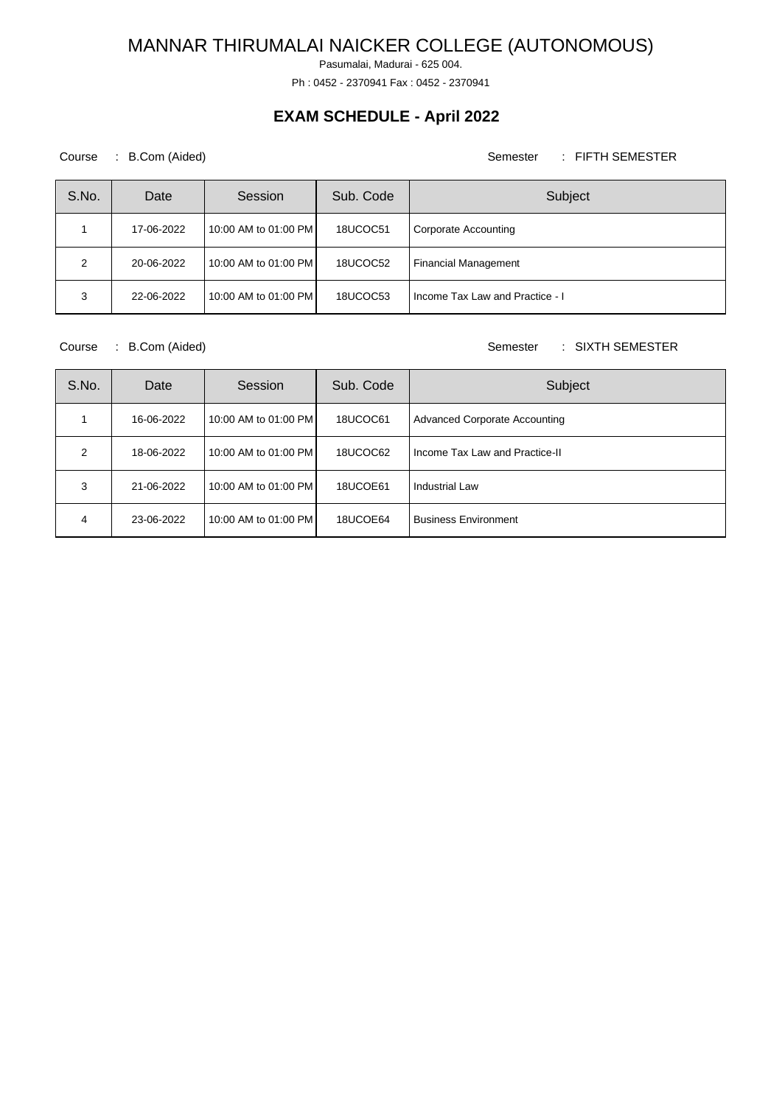Pasumalai, Madurai - 625 004.

Ph : 0452 - 2370941 Fax : 0452 - 2370941

## **EXAM SCHEDULE - April 2022**

### Course : B.Com (Aided) Course : FIFTH SEMESTER

| S.No. | Date       | Session              | Sub. Code | Subject                         |
|-------|------------|----------------------|-----------|---------------------------------|
|       | 17-06-2022 | 10:00 AM to 01:00 PM | 18UCOC51  | Corporate Accounting            |
| 2     | 20-06-2022 | 10:00 AM to 01:00 PM | 18UCOC52  | <b>Financial Management</b>     |
| 3     | 22-06-2022 | 10:00 AM to 01:00 PM | 18UCOC53  | Income Tax Law and Practice - I |

Course : B.Com (Aided) Course : SIXTH SEMESTER

| S.No. | Date       | Session              | Sub. Code | Subject                              |
|-------|------------|----------------------|-----------|--------------------------------------|
|       | 16-06-2022 | 10:00 AM to 01:00 PM | 18UCOC61  | <b>Advanced Corporate Accounting</b> |
| 2     | 18-06-2022 | 10:00 AM to 01:00 PM | 18UCOC62  | Income Tax Law and Practice-II       |
| 3     | 21-06-2022 | 10:00 AM to 01:00 PM | 18UCOE61  | Industrial Law                       |
| 4     | 23-06-2022 | 10:00 AM to 01:00 PM | 18UCOE64  | <b>Business Environment</b>          |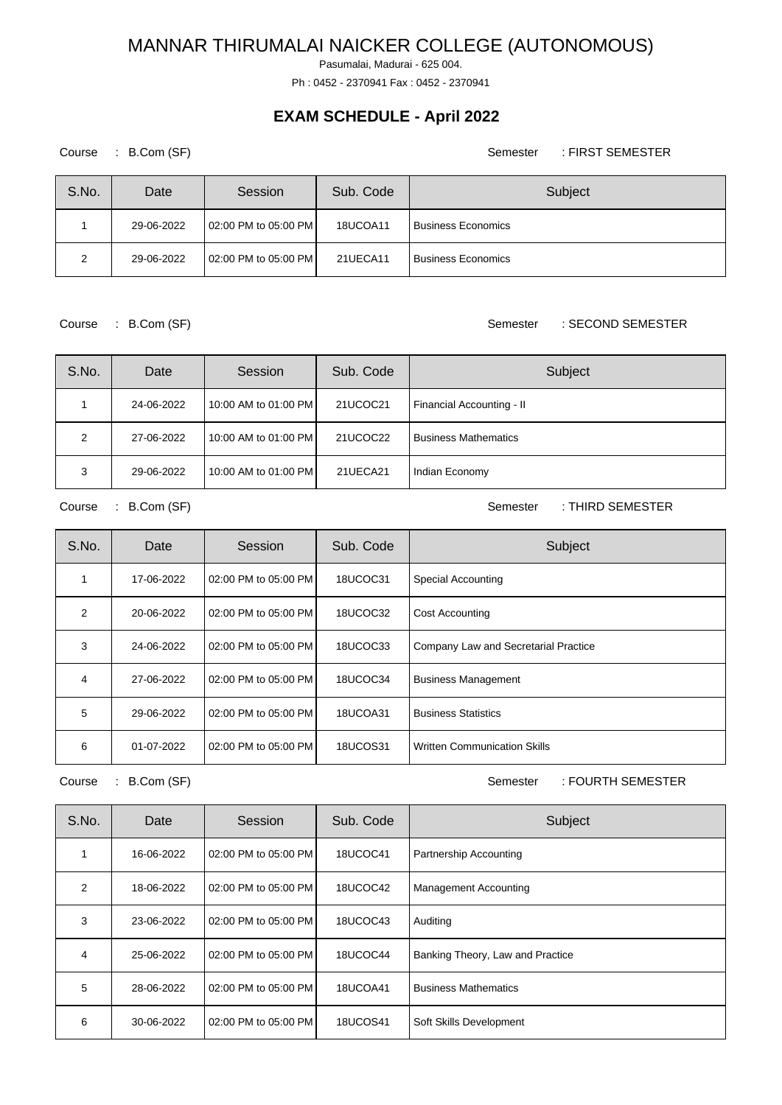Pasumalai, Madurai - 625 004.

Ph : 0452 - 2370941 Fax : 0452 - 2370941

## **EXAM SCHEDULE - April 2022**

Course : B.Com (SF) Semester : FIRST SEMESTER

| S.No. | Date       | Session              | Sub. Code | Subject                   |
|-------|------------|----------------------|-----------|---------------------------|
|       | 29-06-2022 | 02:00 PM to 05:00 PM | 18UCOA11  | <b>Business Economics</b> |
| ົ     | 29-06-2022 | 02:00 PM to 05:00 PM | 21UECA11  | <b>Business Economics</b> |

Course : B.Com (SF) Semester : SECOND SEMESTER

| S.No. | Date       | Session              | Sub. Code | Subject                     |
|-------|------------|----------------------|-----------|-----------------------------|
|       | 24-06-2022 | 10:00 AM to 01:00 PM | 21UCOC21  | Financial Accounting - II   |
| 2     | 27-06-2022 | 10:00 AM to 01:00 PM | 21UCOC22  | <b>Business Mathematics</b> |
| 3     | 29-06-2022 | 10:00 AM to 01:00 PM | 21UECA21  | Indian Economy              |

Course : B.Com (SF) Semester : THIRD SEMESTER

| S.No.         | Date       | Session              | Sub. Code       | Subject                              |
|---------------|------------|----------------------|-----------------|--------------------------------------|
|               | 17-06-2022 | 02:00 PM to 05:00 PM | 18UCOC31        | Special Accounting                   |
| $\mathcal{P}$ | 20-06-2022 | 02:00 PM to 05:00 PM | 18UCOC32        | <b>Cost Accounting</b>               |
| 3             | 24-06-2022 | 02:00 PM to 05:00 PM | 18UCOC33        | Company Law and Secretarial Practice |
| 4             | 27-06-2022 | 02:00 PM to 05:00 PM | 18UCOC34        | <b>Business Management</b>           |
| 5             | 29-06-2022 | 02:00 PM to 05:00 PM | 18UCOA31        | <b>Business Statistics</b>           |
| 6             | 01-07-2022 | 02:00 PM to 05:00 PM | <b>18UCOS31</b> | Written Communication Skills         |

Course : B.Com (SF) Semester : FOURTH SEMESTER

| S.No.          | Date       | Session              | Sub. Code       | Subject                          |
|----------------|------------|----------------------|-----------------|----------------------------------|
|                | 16-06-2022 | 02:00 PM to 05:00 PM | 18UCOC41        | Partnership Accounting           |
| $\overline{2}$ | 18-06-2022 | 02:00 PM to 05:00 PM | 18UCOC42        | <b>Management Accounting</b>     |
| 3              | 23-06-2022 | 02:00 PM to 05:00 PM | 18UCOC43        | Auditing                         |
| 4              | 25-06-2022 | 02:00 PM to 05:00 PM | 18UCOC44        | Banking Theory, Law and Practice |
| 5              | 28-06-2022 | 02:00 PM to 05:00 PM | 18UCOA41        | <b>Business Mathematics</b>      |
| 6              | 30-06-2022 | 02:00 PM to 05:00 PM | <b>18UCOS41</b> | Soft Skills Development          |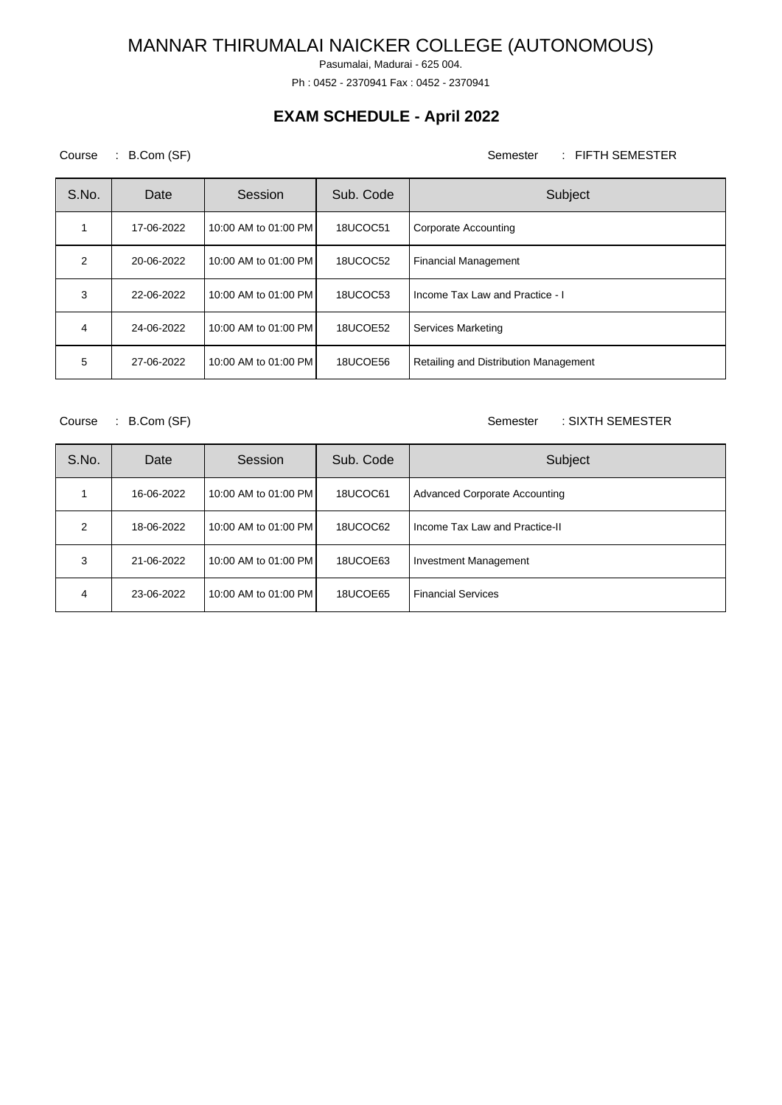Pasumalai, Madurai - 625 004.

Ph : 0452 - 2370941 Fax : 0452 - 2370941

## **EXAM SCHEDULE - April 2022**

### Course : B.Com (SF) Semester : FIFTH SEMESTER

| S.No.         | Date       | Session              | Sub. Code | Subject                               |
|---------------|------------|----------------------|-----------|---------------------------------------|
|               | 17-06-2022 | 10:00 AM to 01:00 PM | 18UCOC51  | Corporate Accounting                  |
| $\mathcal{P}$ | 20-06-2022 | 10:00 AM to 01:00 PM | 18UCOC52  | <b>Financial Management</b>           |
| 3             | 22-06-2022 | 10:00 AM to 01:00 PM | 18UCOC53  | Income Tax Law and Practice - I       |
| 4             | 24-06-2022 | 10:00 AM to 01:00 PM | 18UCOE52  | <b>Services Marketing</b>             |
| 5             | 27-06-2022 | 10:00 AM to 01:00 PM | 18UCOE56  | Retailing and Distribution Management |

Course : B.Com (SF) Semester : SIXTH SEMESTER

| S.No.         | Date       | Session              | Sub. Code | Subject                              |
|---------------|------------|----------------------|-----------|--------------------------------------|
|               | 16-06-2022 | 10:00 AM to 01:00 PM | 18UCOC61  | <b>Advanced Corporate Accounting</b> |
| $\mathcal{P}$ | 18-06-2022 | 10:00 AM to 01:00 PM | 18UCOC62  | Income Tax Law and Practice-II       |
| 3             | 21-06-2022 | 10:00 AM to 01:00 PM | 18UCOE63  | Investment Management                |
| 4             | 23-06-2022 | 10:00 AM to 01:00 PM | 18UCOE65  | <b>Financial Services</b>            |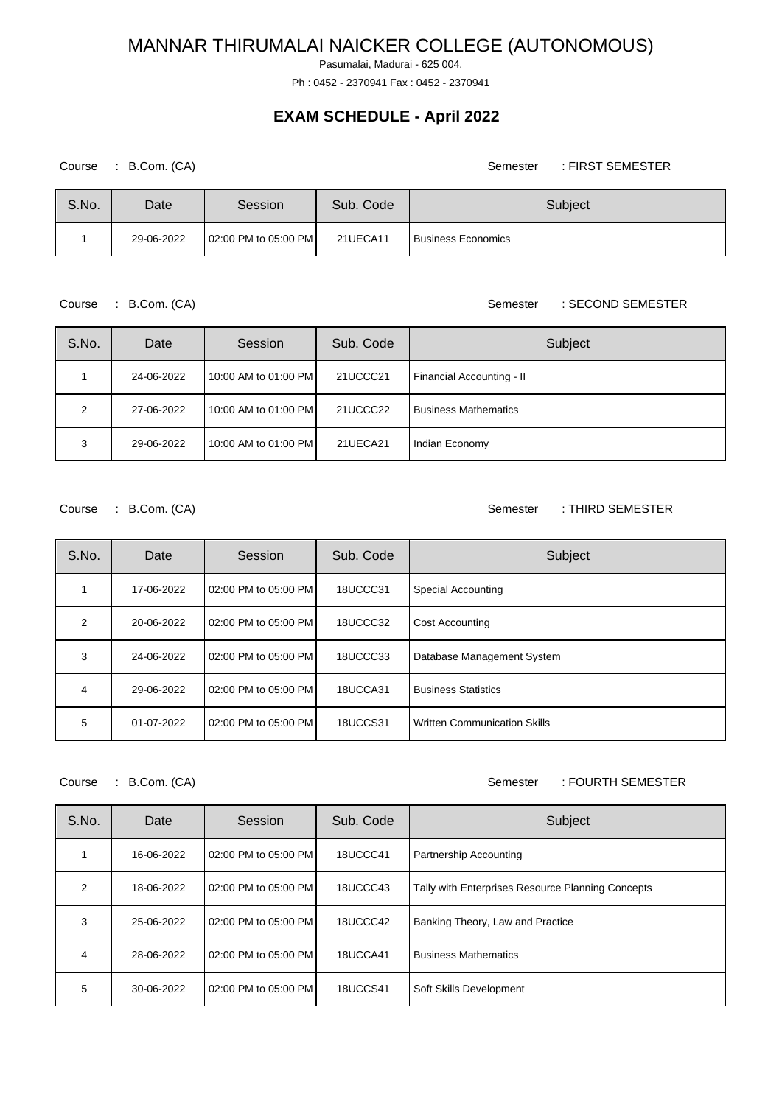Pasumalai, Madurai - 625 004.

Ph : 0452 - 2370941 Fax : 0452 - 2370941

### **EXAM SCHEDULE - April 2022**

Course : B.Com. (CA) Semester : FIRST SEMESTER

| S.No. | Date       | Session              | Sub. Code | Subject                   |
|-------|------------|----------------------|-----------|---------------------------|
|       | 29-06-2022 | 02:00 PM to 05:00 PM | 21UECA11  | <b>Business Economics</b> |

Course : B.Com. (CA) Semester : SECOND SEMESTER

| S.No. | Date       | Session              | Sub. Code | Subject                     |
|-------|------------|----------------------|-----------|-----------------------------|
|       | 24-06-2022 | 10:00 AM to 01:00 PM | 21UCCC21  | Financial Accounting - II   |
| 2     | 27-06-2022 | 10:00 AM to 01:00 PM | 21UCCC22  | <b>Business Mathematics</b> |
| 3     | 29-06-2022 | 10:00 AM to 01:00 PM | 21UECA21  | Indian Economy              |

Course : B.Com. (CA) Semester : THIRD SEMESTER

| S.No. | Date       | Session              | Sub. Code | Subject                             |
|-------|------------|----------------------|-----------|-------------------------------------|
|       | 17-06-2022 | 02:00 PM to 05:00 PM | 18UCCC31  | Special Accounting                  |
| 2     | 20-06-2022 | 02:00 PM to 05:00 PM | 18UCCC32  | Cost Accounting                     |
| 3     | 24-06-2022 | 02:00 PM to 05:00 PM | 18UCCC33  | Database Management System          |
| 4     | 29-06-2022 | 02:00 PM to 05:00 PM | 18UCCA31  | <b>Business Statistics</b>          |
| 5     | 01-07-2022 | 02:00 PM to 05:00 PM | 18UCCS31  | <b>Written Communication Skills</b> |

Course : B.Com. (CA) Semester : FOURTH SEMESTER

| S.No. | Date       | Session              | Sub. Code | Subject                                           |
|-------|------------|----------------------|-----------|---------------------------------------------------|
|       | 16-06-2022 | 02:00 PM to 05:00 PM | 18UCCC41  | Partnership Accounting                            |
| 2     | 18-06-2022 | 02:00 PM to 05:00 PM | 18UCCC43  | Tally with Enterprises Resource Planning Concepts |
| 3     | 25-06-2022 | 02:00 PM to 05:00 PM | 18UCCC42  | Banking Theory, Law and Practice                  |
| 4     | 28-06-2022 | 02:00 PM to 05:00 PM | 18UCCA41  | <b>Business Mathematics</b>                       |
| 5     | 30-06-2022 | 02:00 PM to 05:00 PM | 18UCCS41  | Soft Skills Development                           |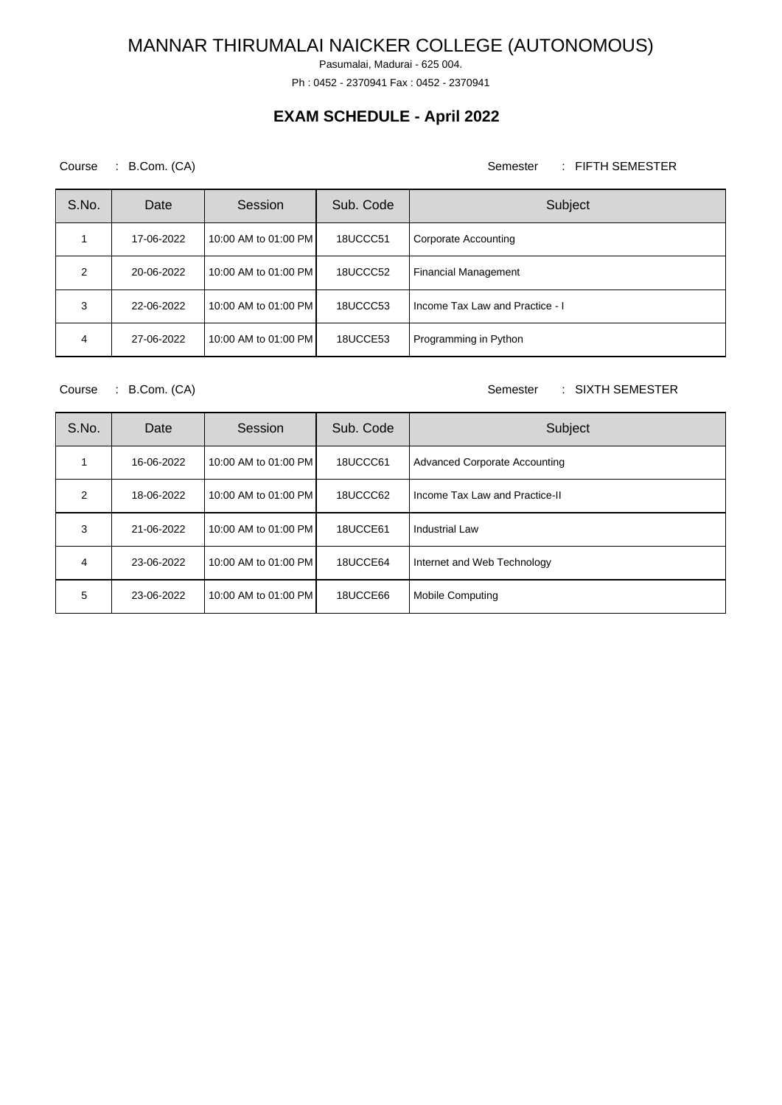Pasumalai, Madurai - 625 004.

Ph : 0452 - 2370941 Fax : 0452 - 2370941

## **EXAM SCHEDULE - April 2022**

### Course : B.Com. (CA) Semester : FIFTH SEMESTER

| S.No. | Date       | Session              | Sub. Code | Subject                         |
|-------|------------|----------------------|-----------|---------------------------------|
|       | 17-06-2022 | 10:00 AM to 01:00 PM | 18UCCC51  | Corporate Accounting            |
| 2     | 20-06-2022 | 10:00 AM to 01:00 PM | 18UCCC52  | <b>Financial Management</b>     |
| 3     | 22-06-2022 | 10:00 AM to 01:00 PM | 18UCCC53  | Income Tax Law and Practice - I |
| 4     | 27-06-2022 | 10:00 AM to 01:00 PM | 18UCCE53  | Programming in Python           |

Course : B.Com. (CA) Semester : SIXTH SEMESTER

| S.No.          | Date       | Session              | Sub. Code | Subject                              |
|----------------|------------|----------------------|-----------|--------------------------------------|
|                | 16-06-2022 | 10:00 AM to 01:00 PM | 18UCCC61  | <b>Advanced Corporate Accounting</b> |
| $\mathfrak{p}$ | 18-06-2022 | 10:00 AM to 01:00 PM | 18UCCC62  | Income Tax Law and Practice-II       |
| 3              | 21-06-2022 | 10:00 AM to 01:00 PM | 18UCCE61  | Industrial Law                       |
| 4              | 23-06-2022 | 10:00 AM to 01:00 PM | 18UCCE64  | Internet and Web Technology          |
| 5              | 23-06-2022 | 10:00 AM to 01:00 PM | 18UCCE66  | <b>Mobile Computing</b>              |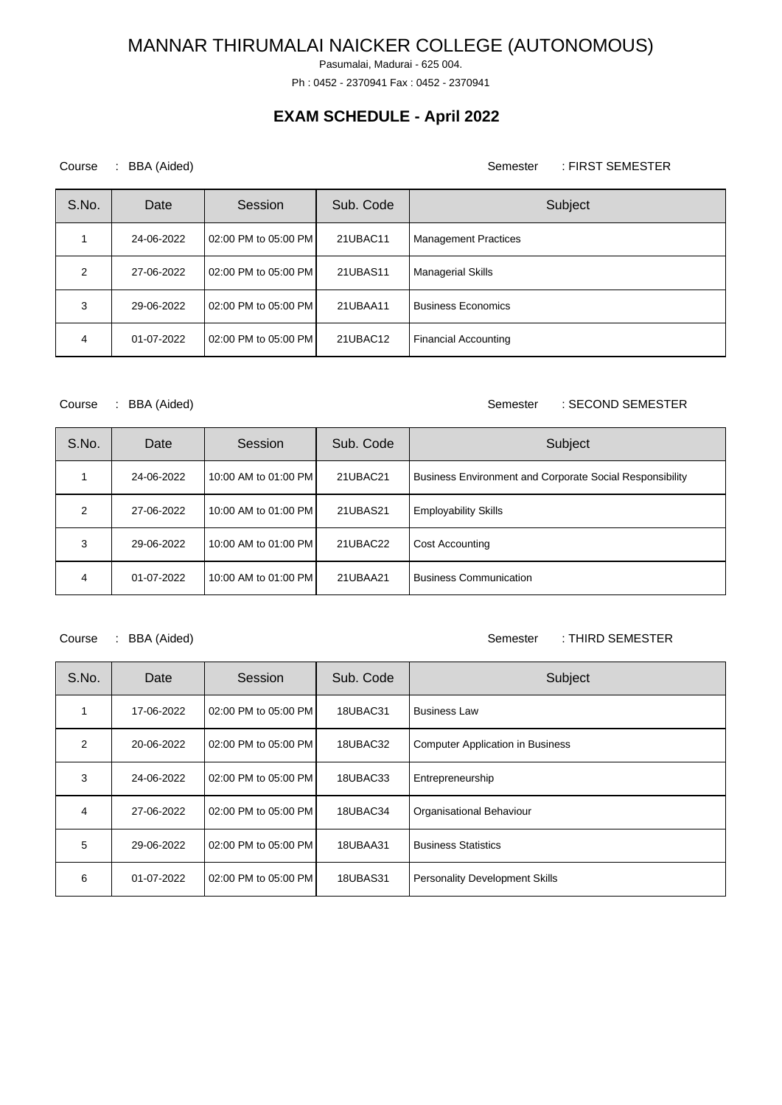Pasumalai, Madurai - 625 004.

Ph : 0452 - 2370941 Fax : 0452 - 2370941

## **EXAM SCHEDULE - April 2022**

### Course : BBA (Aided) <br>
Semester : FIRST SEMESTER

| S.No. | Date       | Session              | Sub. Code | Subject                     |
|-------|------------|----------------------|-----------|-----------------------------|
|       | 24-06-2022 | 02:00 PM to 05:00 PM | 21UBAC11  | <b>Management Practices</b> |
| 2     | 27-06-2022 | 02:00 PM to 05:00 PM | 21UBAS11  | <b>Managerial Skills</b>    |
| 3     | 29-06-2022 | 02:00 PM to 05:00 PM | 21UBAA11  | <b>Business Economics</b>   |
| 4     | 01-07-2022 | 02:00 PM to 05:00 PM | 21UBAC12  | <b>Financial Accounting</b> |

### Course : BBA (Aided) <br>
Semester : SECOND SEMESTER

| S.No. | Date       | Session              | Sub. Code | Subject                                                         |
|-------|------------|----------------------|-----------|-----------------------------------------------------------------|
|       | 24-06-2022 | 10:00 AM to 01:00 PM | 21UBAC21  | <b>Business Environment and Corporate Social Responsibility</b> |
| 2     | 27-06-2022 | 10:00 AM to 01:00 PM | 21UBAS21  | <b>Employability Skills</b>                                     |
| 3     | 29-06-2022 | 10:00 AM to 01:00 PM | 21UBAC22  | Cost Accounting                                                 |
| 4     | 01-07-2022 | 10:00 AM to 01:00 PM | 21UBAA21  | <b>Business Communication</b>                                   |

### Course : BBA (Aided) <br>
Semester : THIRD SEMESTER

| S.No.         | Date       | Session              | Sub. Code | Subject                                 |
|---------------|------------|----------------------|-----------|-----------------------------------------|
|               | 17-06-2022 | 02:00 PM to 05:00 PM | 18UBAC31  | <b>Business Law</b>                     |
| $\mathcal{P}$ | 20-06-2022 | 02:00 PM to 05:00 PM | 18UBAC32  | <b>Computer Application in Business</b> |
| 3             | 24-06-2022 | 02:00 PM to 05:00 PM | 18UBAC33  | Entrepreneurship                        |
| 4             | 27-06-2022 | 02:00 PM to 05:00 PM | 18UBAC34  | Organisational Behaviour                |
| 5             | 29-06-2022 | 02:00 PM to 05:00 PM | 18UBAA31  | <b>Business Statistics</b>              |
| 6             | 01-07-2022 | 02:00 PM to 05:00 PM | 18UBAS31  | <b>Personality Development Skills</b>   |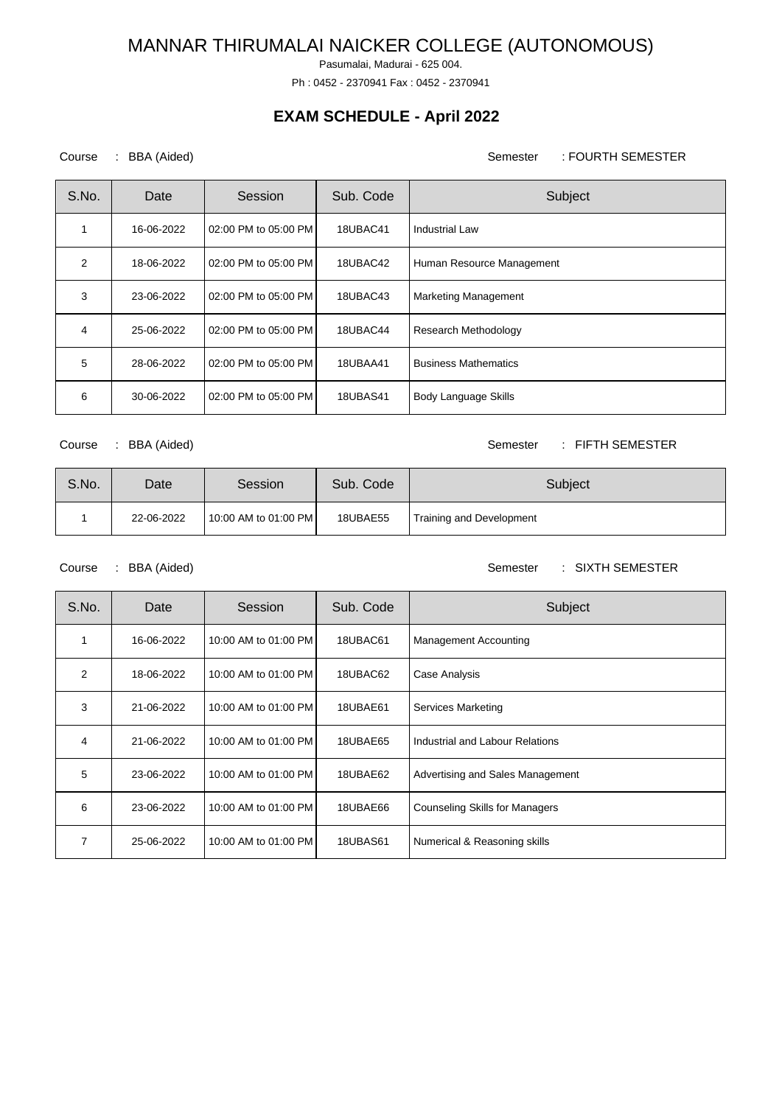Pasumalai, Madurai - 625 004.

Ph : 0452 - 2370941 Fax : 0452 - 2370941

## **EXAM SCHEDULE - April 2022**

### Course : BBA (Aided) <br>
Semester : FOURTH SEMESTER

| S.No.          | Date       | Session              | Sub. Code       | Subject                     |
|----------------|------------|----------------------|-----------------|-----------------------------|
|                | 16-06-2022 | 02:00 PM to 05:00 PM | 18UBAC41        | <b>Industrial Law</b>       |
| $\overline{2}$ | 18-06-2022 | 02:00 PM to 05:00 PM | 18UBAC42        | Human Resource Management   |
| 3              | 23-06-2022 | 02:00 PM to 05:00 PM | 18UBAC43        | <b>Marketing Management</b> |
| 4              | 25-06-2022 | 02:00 PM to 05:00 PM | 18UBAC44        | Research Methodology        |
| 5              | 28-06-2022 | 02:00 PM to 05:00 PM | 18UBAA41        | <b>Business Mathematics</b> |
| 6              | 30-06-2022 | 02:00 PM to 05:00 PM | <b>18UBAS41</b> | Body Language Skills        |

Course : BBA (Aided) Semester : FIFTH SEMESTER

| S.No. | Date       | Session              | Sub. Code | Subject                  |
|-------|------------|----------------------|-----------|--------------------------|
|       | 22-06-2022 | 10:00 AM to 01:00 PM | 18UBAE55  | Training and Development |

Course : BBA (Aided) <br>
Semester : SIXTH SEMESTER

| S.No. | Date       | Session              | Sub. Code | Subject                               |
|-------|------------|----------------------|-----------|---------------------------------------|
| 1     | 16-06-2022 | 10:00 AM to 01:00 PM | 18UBAC61  | <b>Management Accounting</b>          |
| 2     | 18-06-2022 | 10:00 AM to 01:00 PM | 18UBAC62  | Case Analysis                         |
| 3     | 21-06-2022 | 10:00 AM to 01:00 PM | 18UBAE61  | Services Marketing                    |
| 4     | 21-06-2022 | 10:00 AM to 01:00 PM | 18UBAE65  | Industrial and Labour Relations       |
| 5     | 23-06-2022 | 10:00 AM to 01:00 PM | 18UBAE62  | Advertising and Sales Management      |
| 6     | 23-06-2022 | 10:00 AM to 01:00 PM | 18UBAE66  | <b>Counseling Skills for Managers</b> |
| 7     | 25-06-2022 | 10:00 AM to 01:00 PM | 18UBAS61  | Numerical & Reasoning skills          |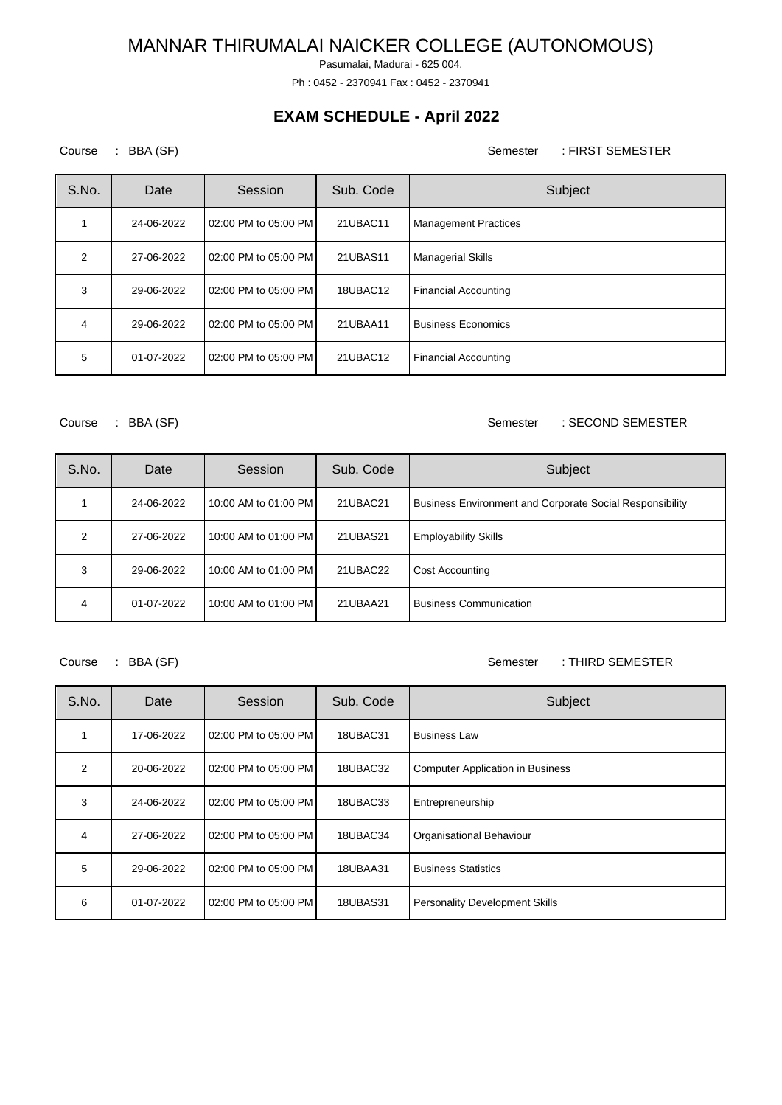Pasumalai, Madurai - 625 004.

Ph : 0452 - 2370941 Fax : 0452 - 2370941

## **EXAM SCHEDULE - April 2022**

Course : BBA (SF) Semester : FIRST SEMESTER

| S.No. | Date       | Session              | Sub. Code | Subject                     |
|-------|------------|----------------------|-----------|-----------------------------|
|       | 24-06-2022 | 02:00 PM to 05:00 PM | 21UBAC11  | <b>Management Practices</b> |
| 2     | 27-06-2022 | 02:00 PM to 05:00 PM | 21UBAS11  | <b>Managerial Skills</b>    |
| 3     | 29-06-2022 | 02:00 PM to 05:00 PM | 18UBAC12  | <b>Financial Accounting</b> |
| 4     | 29-06-2022 | 02:00 PM to 05:00 PM | 21UBAA11  | <b>Business Economics</b>   |
| 5     | 01-07-2022 | 02:00 PM to 05:00 PM | 21UBAC12  | <b>Financial Accounting</b> |

### Course : BBA (SF) Semester : SECOND SEMESTER

| S.No.         | Date       | Session              | Sub. Code | Subject                                                  |
|---------------|------------|----------------------|-----------|----------------------------------------------------------|
|               | 24-06-2022 | 10:00 AM to 01:00 PM | 21UBAC21  | Business Environment and Corporate Social Responsibility |
| $\mathcal{P}$ | 27-06-2022 | 10:00 AM to 01:00 PM | 21UBAS21  | <b>Employability Skills</b>                              |
| 3             | 29-06-2022 | 10:00 AM to 01:00 PM | 21UBAC22  | <b>Cost Accounting</b>                                   |
| 4             | 01-07-2022 | 10:00 AM to 01:00 PM | 21UBAA21  | <b>Business Communication</b>                            |

### Course : BBA (SF) Semester : THIRD SEMESTER

| S.No.         | Date       | Session              | Sub. Code | Subject                                 |
|---------------|------------|----------------------|-----------|-----------------------------------------|
|               | 17-06-2022 | 02:00 PM to 05:00 PM | 18UBAC31  | <b>Business Law</b>                     |
| $\mathcal{P}$ | 20-06-2022 | 02:00 PM to 05:00 PM | 18UBAC32  | <b>Computer Application in Business</b> |
| 3             | 24-06-2022 | 02:00 PM to 05:00 PM | 18UBAC33  | Entrepreneurship                        |
| 4             | 27-06-2022 | 02:00 PM to 05:00 PM | 18UBAC34  | Organisational Behaviour                |
| 5             | 29-06-2022 | 02:00 PM to 05:00 PM | 18UBAA31  | <b>Business Statistics</b>              |
| 6             | 01-07-2022 | 02:00 PM to 05:00 PM | 18UBAS31  | <b>Personality Development Skills</b>   |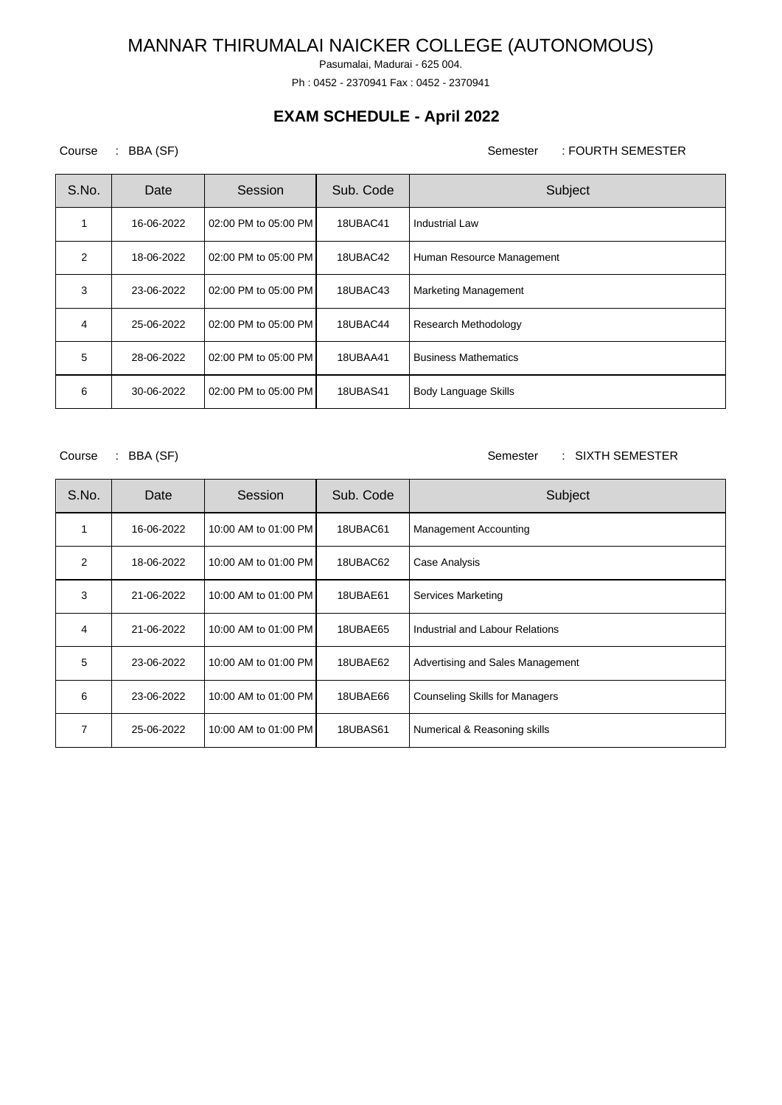Pasumalai, Madurai - 625 004.

Ph : 0452 - 2370941 Fax : 0452 - 2370941

## **EXAM SCHEDULE - April 2022**

Course : BBA (SF) Semester : FOURTH SEMESTER

| S.No.          | Date       | Session              | Sub. Code       | Subject                     |
|----------------|------------|----------------------|-----------------|-----------------------------|
|                | 16-06-2022 | 02:00 PM to 05:00 PM | 18UBAC41        | <b>Industrial Law</b>       |
| $\mathfrak{p}$ | 18-06-2022 | 02:00 PM to 05:00 PM | 18UBAC42        | Human Resource Management   |
| 3              | 23-06-2022 | 02:00 PM to 05:00 PM | 18UBAC43        | <b>Marketing Management</b> |
| 4              | 25-06-2022 | 02:00 PM to 05:00 PM | 18UBAC44        | Research Methodology        |
| 5              | 28-06-2022 | 02:00 PM to 05:00 PM | 18UBAA41        | <b>Business Mathematics</b> |
| 6              | 30-06-2022 | 02:00 PM to 05:00 PM | <b>18UBAS41</b> | Body Language Skills        |

Course : BBA (SF) Semester : SIXTH SEMESTER

| S.No.          | Date       | Session              | Sub. Code | Subject                               |
|----------------|------------|----------------------|-----------|---------------------------------------|
|                | 16-06-2022 | 10:00 AM to 01:00 PM | 18UBAC61  | <b>Management Accounting</b>          |
| $\overline{2}$ | 18-06-2022 | 10:00 AM to 01:00 PM | 18UBAC62  | Case Analysis                         |
| 3              | 21-06-2022 | 10:00 AM to 01:00 PM | 18UBAE61  | Services Marketing                    |
| 4              | 21-06-2022 | 10:00 AM to 01:00 PM | 18UBAE65  | Industrial and Labour Relations       |
| 5              | 23-06-2022 | 10:00 AM to 01:00 PM | 18UBAE62  | Advertising and Sales Management      |
| 6              | 23-06-2022 | 10:00 AM to 01:00 PM | 18UBAE66  | <b>Counseling Skills for Managers</b> |
| 7              | 25-06-2022 | 10:00 AM to 01:00 PM | 18UBAS61  | Numerical & Reasoning skills          |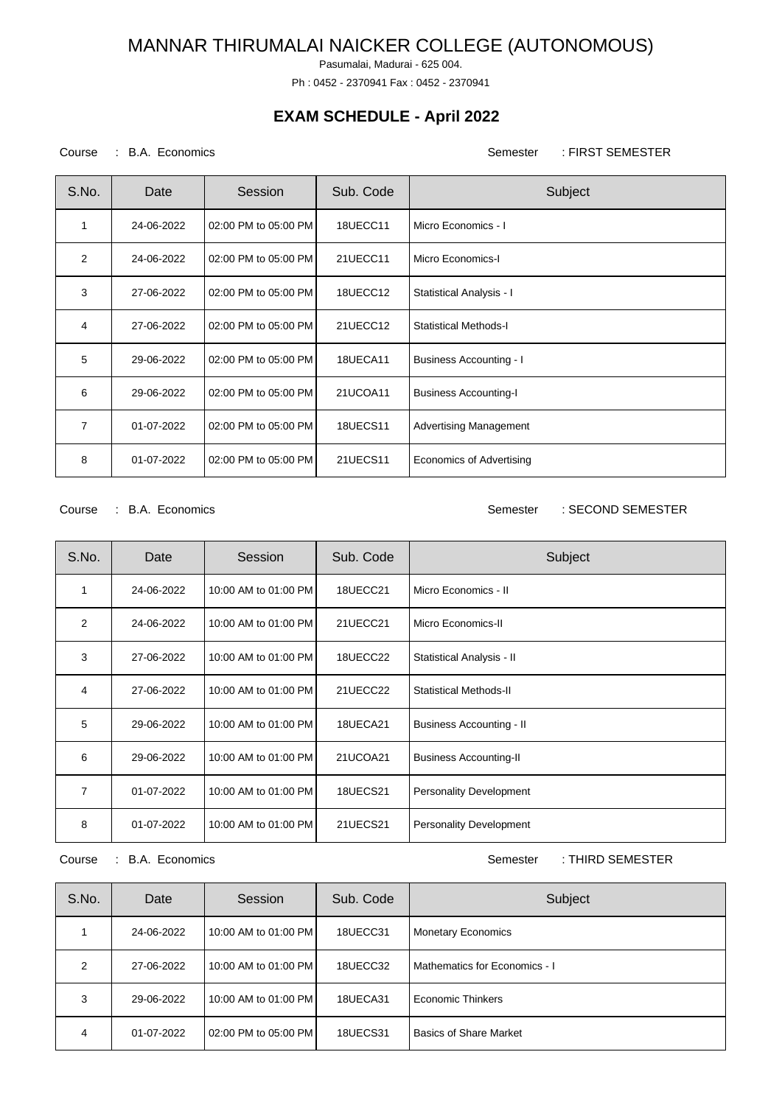Pasumalai, Madurai - 625 004.

Ph : 0452 - 2370941 Fax : 0452 - 2370941

## **EXAM SCHEDULE - April 2022**

### Course : B.A. Economics Semester : FIRST SEMESTER

| S.No. | Date       | Session              | Sub. Code       | Subject                         |
|-------|------------|----------------------|-----------------|---------------------------------|
| 1     | 24-06-2022 | 02:00 PM to 05:00 PM | 18UECC11        | Micro Economics - I             |
| 2     | 24-06-2022 | 02:00 PM to 05:00 PM | 21UECC11        | Micro Economics-I               |
| 3     | 27-06-2022 | 02:00 PM to 05:00 PM | 18UECC12        | Statistical Analysis - I        |
| 4     | 27-06-2022 | 02:00 PM to 05:00 PM | 21UECC12        | <b>Statistical Methods-I</b>    |
| 5     | 29-06-2022 | 02:00 PM to 05:00 PM | 18UECA11        | <b>Business Accounting - I</b>  |
| 6     | 29-06-2022 | 02:00 PM to 05:00 PM | 21UCOA11        | <b>Business Accounting-I</b>    |
| 7     | 01-07-2022 | 02:00 PM to 05:00 PM | <b>18UECS11</b> | <b>Advertising Management</b>   |
| 8     | 01-07-2022 | 02:00 PM to 05:00 PM | 21UECS11        | <b>Economics of Advertising</b> |

Course : B.A. Economics **Semester** : SECOND SEMESTER

| S.No. | Date       | Session              | Sub. Code       | Subject                         |
|-------|------------|----------------------|-----------------|---------------------------------|
| 1     | 24-06-2022 | 10:00 AM to 01:00 PM | 18UECC21        | Micro Economics - II            |
| 2     | 24-06-2022 | 10:00 AM to 01:00 PM | 21UECC21        | Micro Economics-II              |
| 3     | 27-06-2022 | 10:00 AM to 01:00 PM | 18UECC22        | Statistical Analysis - II       |
| 4     | 27-06-2022 | 10:00 AM to 01:00 PM | 21UECC22        | Statistical Methods-II          |
| 5     | 29-06-2022 | 10:00 AM to 01:00 PM | 18UECA21        | <b>Business Accounting - II</b> |
| 6     | 29-06-2022 | 10:00 AM to 01:00 PM | 21UCOA21        | <b>Business Accounting-II</b>   |
| 7     | 01-07-2022 | 10:00 AM to 01:00 PM | <b>18UECS21</b> | Personality Development         |
| 8     | 01-07-2022 | 10:00 AM to 01:00 PM | 21UECS21        | <b>Personality Development</b>  |

Course : B.A. Economics **Semester** : THIRD SEMESTER

| S.No.         | Date       | Session              | Sub. Code | Subject                       |
|---------------|------------|----------------------|-----------|-------------------------------|
|               | 24-06-2022 | 10:00 AM to 01:00 PM | 18UECC31  | <b>Monetary Economics</b>     |
| $\mathcal{P}$ | 27-06-2022 | 10:00 AM to 01:00 PM | 18UECC32  | Mathematics for Economics - I |
| 3             | 29-06-2022 | 10:00 AM to 01:00 PM | 18UECA31  | Economic Thinkers             |
| 4             | 01-07-2022 | 02:00 PM to 05:00 PM | 18UECS31  | <b>Basics of Share Market</b> |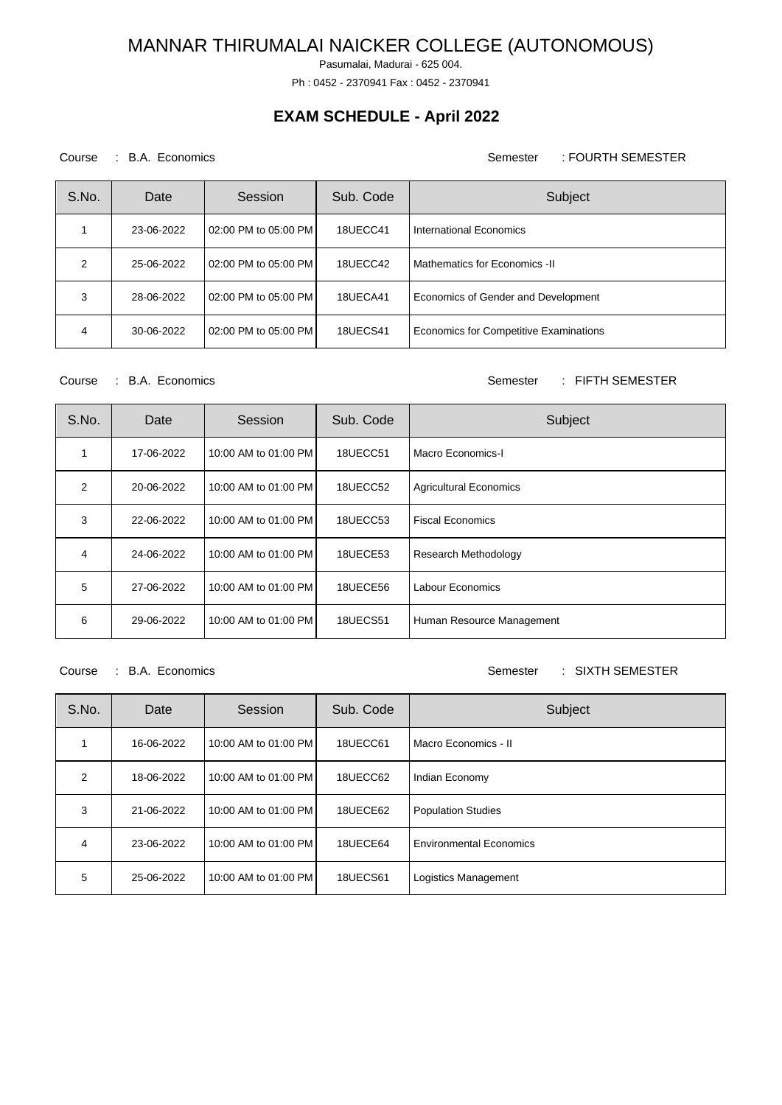Pasumalai, Madurai - 625 004.

Ph : 0452 - 2370941 Fax : 0452 - 2370941

## **EXAM SCHEDULE - April 2022**

### Course : B.A. Economics **Semester** : FOURTH SEMESTER

| S.No.         | Date       | Session              | Sub. Code       | Subject                                |
|---------------|------------|----------------------|-----------------|----------------------------------------|
|               | 23-06-2022 | 02:00 PM to 05:00 PM | 18UECC41        | International Economics                |
| $\mathcal{P}$ | 25-06-2022 | 02:00 PM to 05:00 PM | 18UECC42        | Mathematics for Economics -II          |
| 3             | 28-06-2022 | 02:00 PM to 05:00 PM | 18UECA41        | Economics of Gender and Development    |
| 4             | 30-06-2022 | 02:00 PM to 05:00 PM | <b>18UECS41</b> | Economics for Competitive Examinations |

Course : B.A. Economics **Semester** : FIFTH SEMESTER

| S.No. | Date       | Session              | Sub. Code       | Subject                       |
|-------|------------|----------------------|-----------------|-------------------------------|
|       | 17-06-2022 | 10:00 AM to 01:00 PM | 18UECC51        | Macro Economics-I             |
| 2     | 20-06-2022 | 10:00 AM to 01:00 PM | 18UECC52        | <b>Agricultural Economics</b> |
| 3     | 22-06-2022 | 10:00 AM to 01:00 PM | 18UECC53        | <b>Fiscal Economics</b>       |
| 4     | 24-06-2022 | 10:00 AM to 01:00 PM | 18UECE53        | <b>Research Methodology</b>   |
| 5     | 27-06-2022 | 10:00 AM to 01:00 PM | 18UECE56        | <b>Labour Economics</b>       |
| 6     | 29-06-2022 | 10:00 AM to 01:00 PM | <b>18UECS51</b> | Human Resource Management     |

Course : B.A. Economics Semester : SIXTH SEMESTER

| S.No.         | Date       | Session              | Sub. Code | Subject                        |
|---------------|------------|----------------------|-----------|--------------------------------|
|               | 16-06-2022 | 10:00 AM to 01:00 PM | 18UECC61  | Macro Economics - II           |
| $\mathcal{P}$ | 18-06-2022 | 10:00 AM to 01:00 PM | 18UECC62  | Indian Economy                 |
| 3             | 21-06-2022 | 10:00 AM to 01:00 PM | 18UECE62  | <b>Population Studies</b>      |
| 4             | 23-06-2022 | 10:00 AM to 01:00 PM | 18UECE64  | <b>Environmental Economics</b> |
| 5             | 25-06-2022 | 10:00 AM to 01:00 PM | 18UECS61  | Logistics Management           |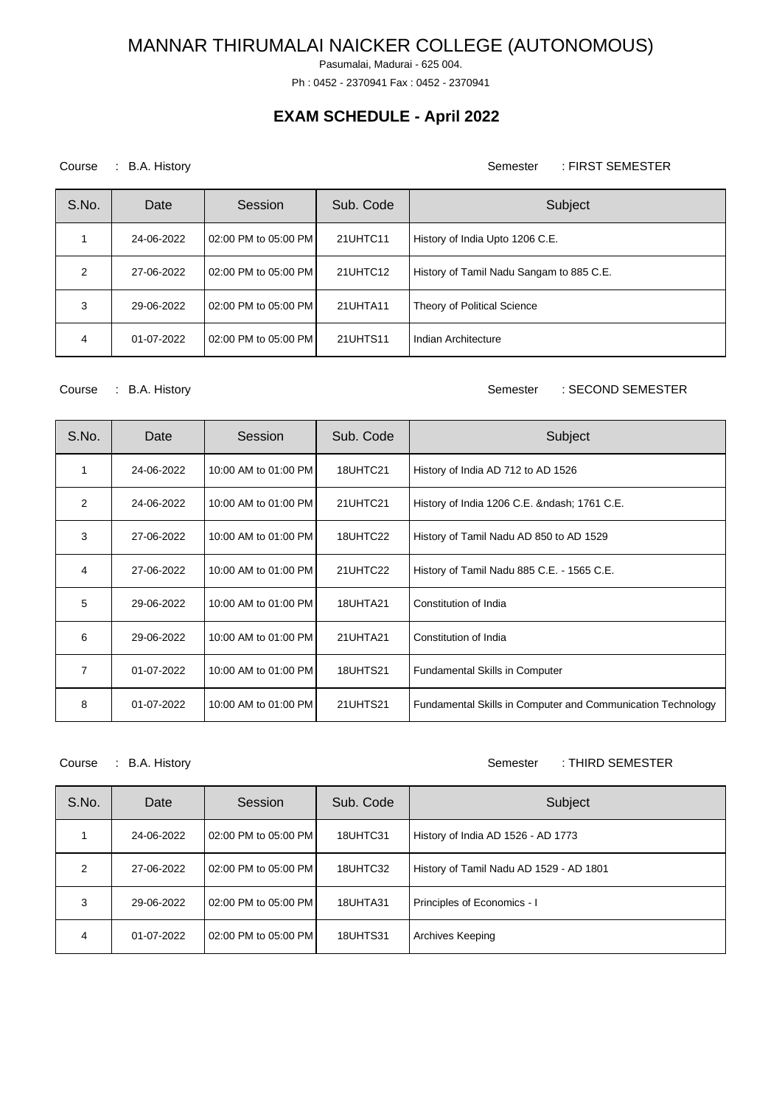Pasumalai, Madurai - 625 004.

Ph : 0452 - 2370941 Fax : 0452 - 2370941

## **EXAM SCHEDULE - April 2022**

### Course : B.A. History **Semester** : FIRST SEMESTER

| S.No. | Date       | Session              | Sub. Code | Subject                                  |
|-------|------------|----------------------|-----------|------------------------------------------|
|       | 24-06-2022 | 02:00 PM to 05:00 PM | 21UHTC11  | History of India Upto 1206 C.E.          |
| 2     | 27-06-2022 | 02:00 PM to 05:00 PM | 21UHTC12  | History of Tamil Nadu Sangam to 885 C.E. |
| 3     | 29-06-2022 | 02:00 PM to 05:00 PM | 21UHTA11  | Theory of Political Science              |
| 4     | 01-07-2022 | 02:00 PM to 05:00 PM | 21UHTS11  | Indian Architecture                      |

#### Course : B.A. History **Semester** : SECOND SEMESTER

| S.No. | Date       | Session              | Sub. Code       | Subject                                                     |
|-------|------------|----------------------|-----------------|-------------------------------------------------------------|
| 1     | 24-06-2022 | 10:00 AM to 01:00 PM | 18UHTC21        | History of India AD 712 to AD 1526                          |
| 2     | 24-06-2022 | 10:00 AM to 01:00 PM | 21UHTC21        | History of India 1206 C.E. & ndash; 1761 C.E.               |
| 3     | 27-06-2022 | 10:00 AM to 01:00 PM | 18UHTC22        | History of Tamil Nadu AD 850 to AD 1529                     |
| 4     | 27-06-2022 | 10:00 AM to 01:00 PM | 21UHTC22        | History of Tamil Nadu 885 C.E. - 1565 C.E.                  |
| 5     | 29-06-2022 | 10:00 AM to 01:00 PM | 18UHTA21        | Constitution of India                                       |
| 6     | 29-06-2022 | 10:00 AM to 01:00 PM | 21UHTA21        | Constitution of India                                       |
| 7     | 01-07-2022 | 10:00 AM to 01:00 PM | <b>18UHTS21</b> | <b>Fundamental Skills in Computer</b>                       |
| 8     | 01-07-2022 | 10:00 AM to 01:00 PM | <b>21UHTS21</b> | Fundamental Skills in Computer and Communication Technology |

Course : B.A. History **Semester** : THIRD SEMESTER

| S.No. | Date       | Session              | Sub. Code       | Subject                                 |
|-------|------------|----------------------|-----------------|-----------------------------------------|
|       | 24-06-2022 | 02:00 PM to 05:00 PM | 18UHTC31        | History of India AD 1526 - AD 1773      |
| 2     | 27-06-2022 | 02:00 PM to 05:00 PM | 18UHTC32        | History of Tamil Nadu AD 1529 - AD 1801 |
| 3     | 29-06-2022 | 02:00 PM to 05:00 PM | 18UHTA31        | Principles of Economics - I             |
| 4     | 01-07-2022 | 02:00 PM to 05:00 PM | <b>18UHTS31</b> | Archives Keeping                        |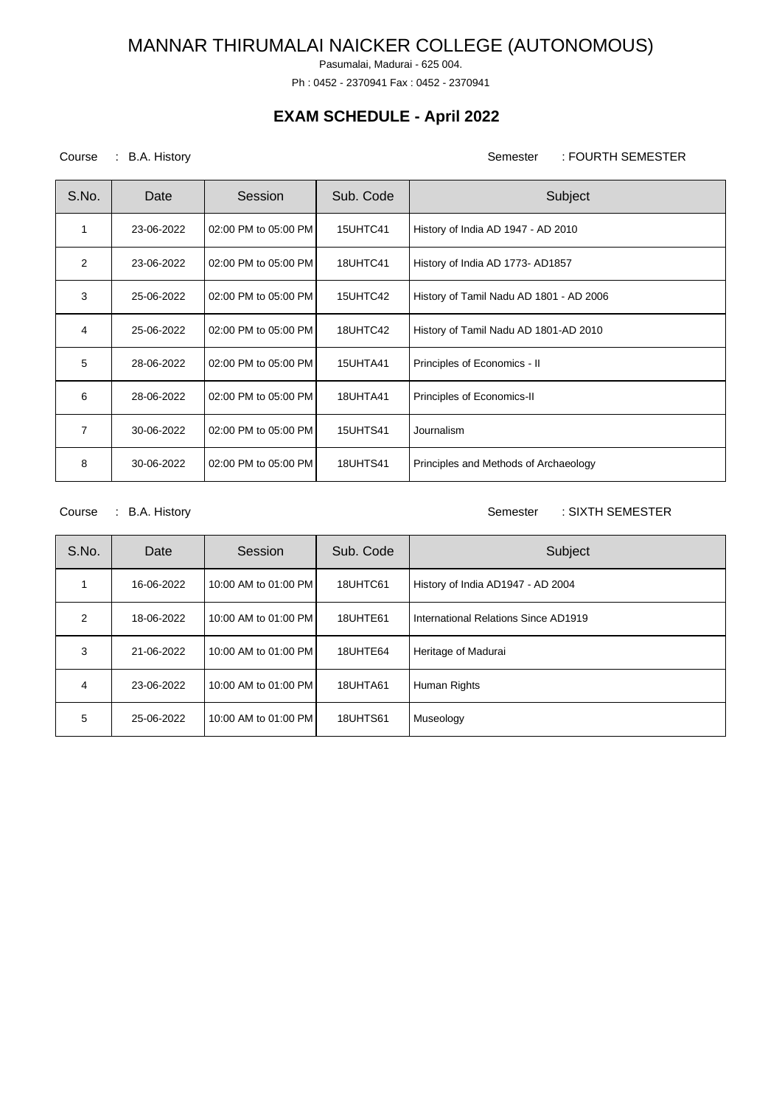Pasumalai, Madurai - 625 004.

Ph : 0452 - 2370941 Fax : 0452 - 2370941

## **EXAM SCHEDULE - April 2022**

### Course : B.A. History **Semester** : FOURTH SEMESTER

| S.No. | Date       | Session              | Sub. Code       | Subject                                 |
|-------|------------|----------------------|-----------------|-----------------------------------------|
| 1     | 23-06-2022 | 02:00 PM to 05:00 PM | 15UHTC41        | History of India AD 1947 - AD 2010      |
| 2     | 23-06-2022 | 02:00 PM to 05:00 PM | 18UHTC41        | History of India AD 1773- AD1857        |
| 3     | 25-06-2022 | 02:00 PM to 05:00 PM | 15UHTC42        | History of Tamil Nadu AD 1801 - AD 2006 |
| 4     | 25-06-2022 | 02:00 PM to 05:00 PM | 18UHTC42        | History of Tamil Nadu AD 1801-AD 2010   |
| 5     | 28-06-2022 | 02:00 PM to 05:00 PM | 15UHTA41        | Principles of Economics - II            |
| 6     | 28-06-2022 | 02:00 PM to 05:00 PM | 18UHTA41        | Principles of Economics-II              |
| 7     | 30-06-2022 | 02:00 PM to 05:00 PM | <b>15UHTS41</b> | Journalism                              |
| 8     | 30-06-2022 | 02:00 PM to 05:00 PM | 18UHTS41        | Principles and Methods of Archaeology   |

Course : B.A. History **Semester** : SIXTH SEMESTER

| S.No. | Date       | Session              | Sub. Code | Subject                              |
|-------|------------|----------------------|-----------|--------------------------------------|
|       | 16-06-2022 | 10:00 AM to 01:00 PM | 18UHTC61  | History of India AD1947 - AD 2004    |
| 2     | 18-06-2022 | 10:00 AM to 01:00 PM | 18UHTE61  | International Relations Since AD1919 |
| 3     | 21-06-2022 | 10:00 AM to 01:00 PM | 18UHTE64  | Heritage of Madurai                  |
| 4     | 23-06-2022 | 10:00 AM to 01:00 PM | 18UHTA61  | Human Rights                         |
| 5     | 25-06-2022 | 10:00 AM to 01:00 PM | 18UHTS61  | Museology                            |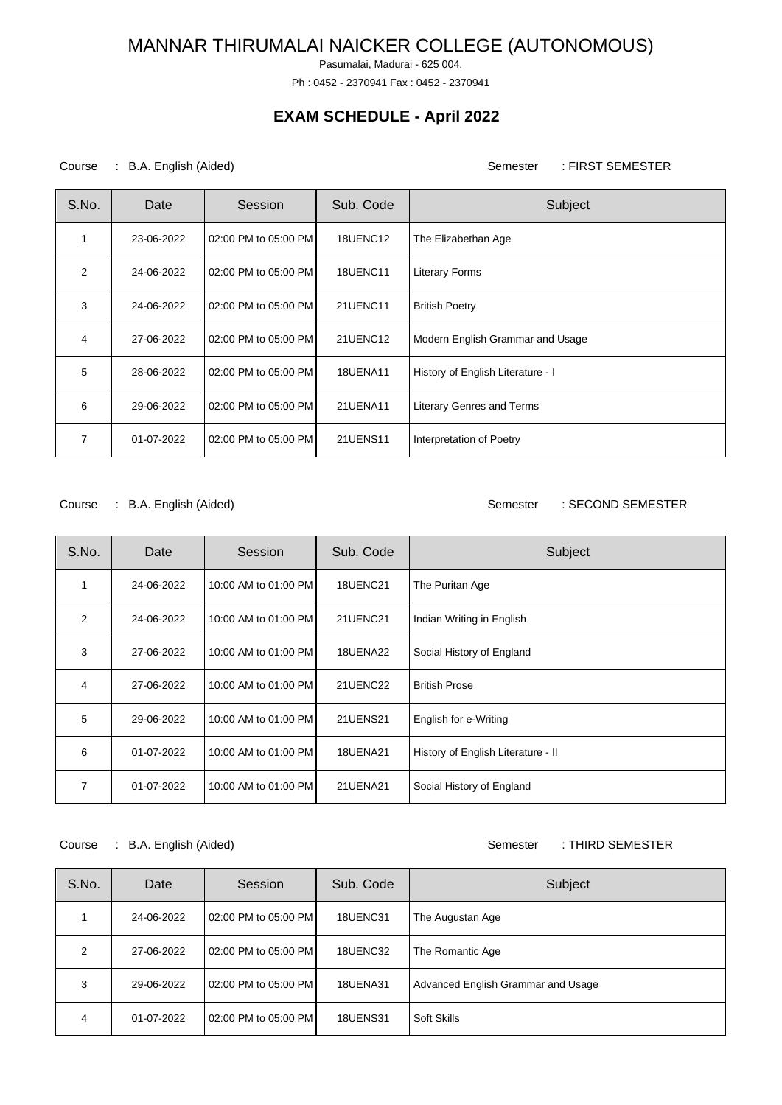Pasumalai, Madurai - 625 004.

Ph : 0452 - 2370941 Fax : 0452 - 2370941

### **EXAM SCHEDULE - April 2022**

### Course : B.A. English (Aided) Course : FIRST SEMESTER

| S.No. | Date       | Session              | Sub. Code       | Subject                           |
|-------|------------|----------------------|-----------------|-----------------------------------|
| 1     | 23-06-2022 | 02:00 PM to 05:00 PM | 18UENC12        | The Elizabethan Age               |
| 2     | 24-06-2022 | 02:00 PM to 05:00 PM | <b>18UENC11</b> | <b>Literary Forms</b>             |
| 3     | 24-06-2022 | 02:00 PM to 05:00 PM | 21UENC11        | <b>British Poetry</b>             |
| 4     | 27-06-2022 | 02:00 PM to 05:00 PM | 21UENC12        | Modern English Grammar and Usage  |
| 5     | 28-06-2022 | 02:00 PM to 05:00 PM | <b>18UENA11</b> | History of English Literature - I |
| 6     | 29-06-2022 | 02:00 PM to 05:00 PM | 21UENA11        | <b>Literary Genres and Terms</b>  |
| 7     | 01-07-2022 | 02:00 PM to 05:00 PM | 21UENS11        | Interpretation of Poetry          |

#### Course : B.A. English (Aided) Semester : SECOND SEMESTER

| S.No. | Date       | Session              | Sub. Code       | Subject                            |
|-------|------------|----------------------|-----------------|------------------------------------|
| 1     | 24-06-2022 | 10:00 AM to 01:00 PM | <b>18UENC21</b> | The Puritan Age                    |
| 2     | 24-06-2022 | 10:00 AM to 01:00 PM | 21UENC21        | Indian Writing in English          |
| 3     | 27-06-2022 | 10:00 AM to 01:00 PM | 18UENA22        | Social History of England          |
| 4     | 27-06-2022 | 10:00 AM to 01:00 PM | 21UENC22        | <b>British Prose</b>               |
| 5     | 29-06-2022 | 10:00 AM to 01:00 PM | <b>21UENS21</b> | English for e-Writing              |
| 6     | 01-07-2022 | 10:00 AM to 01:00 PM | <b>18UENA21</b> | History of English Literature - II |
| 7     | 01-07-2022 | 10:00 AM to 01:00 PM | 21UENA21        | Social History of England          |

### Course : B.A. English (Aided) Course : THIRD SEMESTER

| S.No. | Date       | Session              | Sub. Code       | Subject                            |
|-------|------------|----------------------|-----------------|------------------------------------|
|       | 24-06-2022 | 02:00 PM to 05:00 PM | 18UENC31        | The Augustan Age                   |
| 2     | 27-06-2022 | 02:00 PM to 05:00 PM | 18UENC32        | The Romantic Age                   |
| 3     | 29-06-2022 | 02:00 PM to 05:00 PM | <b>18UENA31</b> | Advanced English Grammar and Usage |
| 4     | 01-07-2022 | 02:00 PM to 05:00 PM | <b>18UENS31</b> | Soft Skills                        |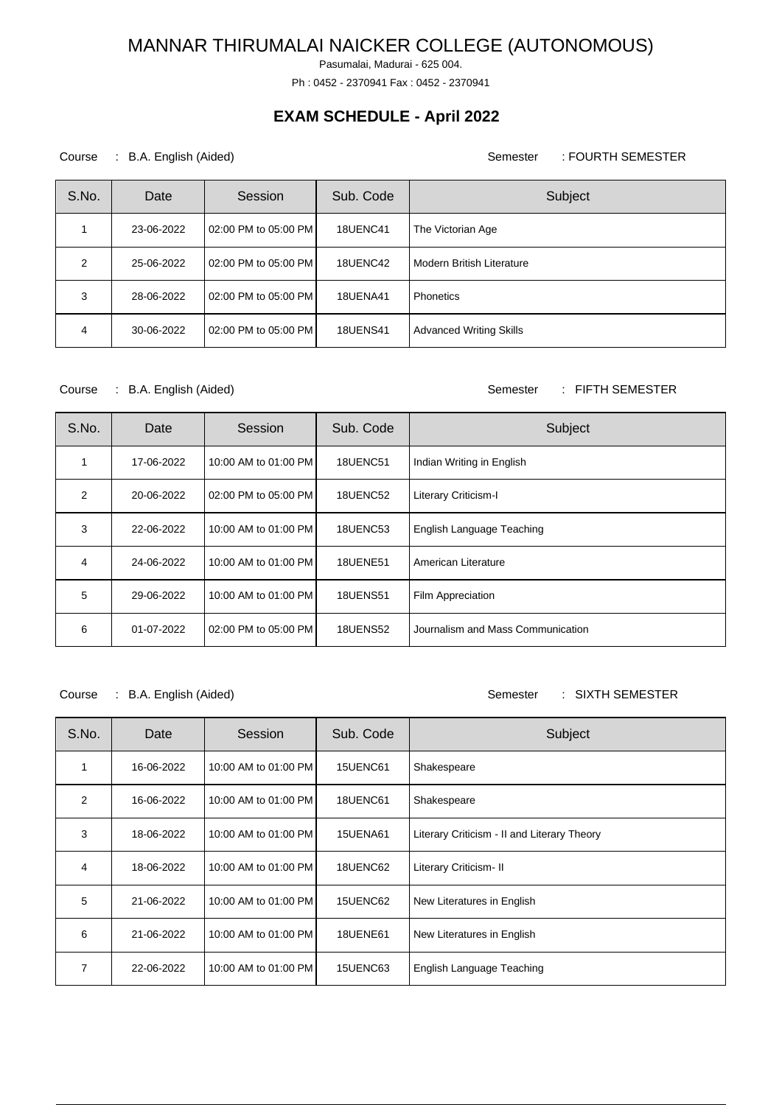Pasumalai, Madurai - 625 004.

Ph : 0452 - 2370941 Fax : 0452 - 2370941

## **EXAM SCHEDULE - April 2022**

### Course : B.A. English (Aided) Course : FOURTH SEMESTER

| S.No. | Date       | Session              | Sub. Code       | Subject                          |
|-------|------------|----------------------|-----------------|----------------------------------|
|       | 23-06-2022 | 02:00 PM to 05:00 PM | 18UENC41        | The Victorian Age                |
| 2     | 25-06-2022 | 02:00 PM to 05:00 PM | 18UENC42        | <b>Modern British Literature</b> |
| 3     | 28-06-2022 | 02:00 PM to 05:00 PM | <b>18UENA41</b> | <b>Phonetics</b>                 |
| 4     | 30-06-2022 | 02:00 PM to 05:00 PM | <b>18UENS41</b> | <b>Advanced Writing Skills</b>   |

Course : B.A. English (Aided) Course : FIFTH SEMESTER

| S.No. | Date       | Session              | Sub. Code       | Subject                           |
|-------|------------|----------------------|-----------------|-----------------------------------|
|       | 17-06-2022 | 10:00 AM to 01:00 PM | 18UENC51        | Indian Writing in English         |
| 2     | 20-06-2022 | 02:00 PM to 05:00 PM | 18UENC52        | Literary Criticism-I              |
| 3     | 22-06-2022 | 10:00 AM to 01:00 PM | 18UENC53        | English Language Teaching         |
| 4     | 24-06-2022 | 10:00 AM to 01:00 PM | <b>18UENE51</b> | American Literature               |
| 5     | 29-06-2022 | 10:00 AM to 01:00 PM | <b>18UENS51</b> | Film Appreciation                 |
| 6     | 01-07-2022 | 02:00 PM to 05:00 PM | <b>18UENS52</b> | Journalism and Mass Communication |

Course : B.A. English (Aided) Semester : SIXTH SEMESTER

| S.No.          | Date       | Session              | Sub. Code       | Subject                                     |
|----------------|------------|----------------------|-----------------|---------------------------------------------|
| 1              | 16-06-2022 | 10:00 AM to 01:00 PM | 15UENC61        | Shakespeare                                 |
| 2              | 16-06-2022 | 10:00 AM to 01:00 PM | 18UENC61        | Shakespeare                                 |
| 3              | 18-06-2022 | 10:00 AM to 01:00 PM | <b>15UENA61</b> | Literary Criticism - II and Literary Theory |
| $\overline{4}$ | 18-06-2022 | 10:00 AM to 01:00 PM | 18UENC62        | Literary Criticism- II                      |
| 5              | 21-06-2022 | 10:00 AM to 01:00 PM | 15UENC62        | New Literatures in English                  |
| 6              | 21-06-2022 | 10:00 AM to 01:00 PM | <b>18UENE61</b> | New Literatures in English                  |
| 7              | 22-06-2022 | 10:00 AM to 01:00 PM | 15UENC63        | English Language Teaching                   |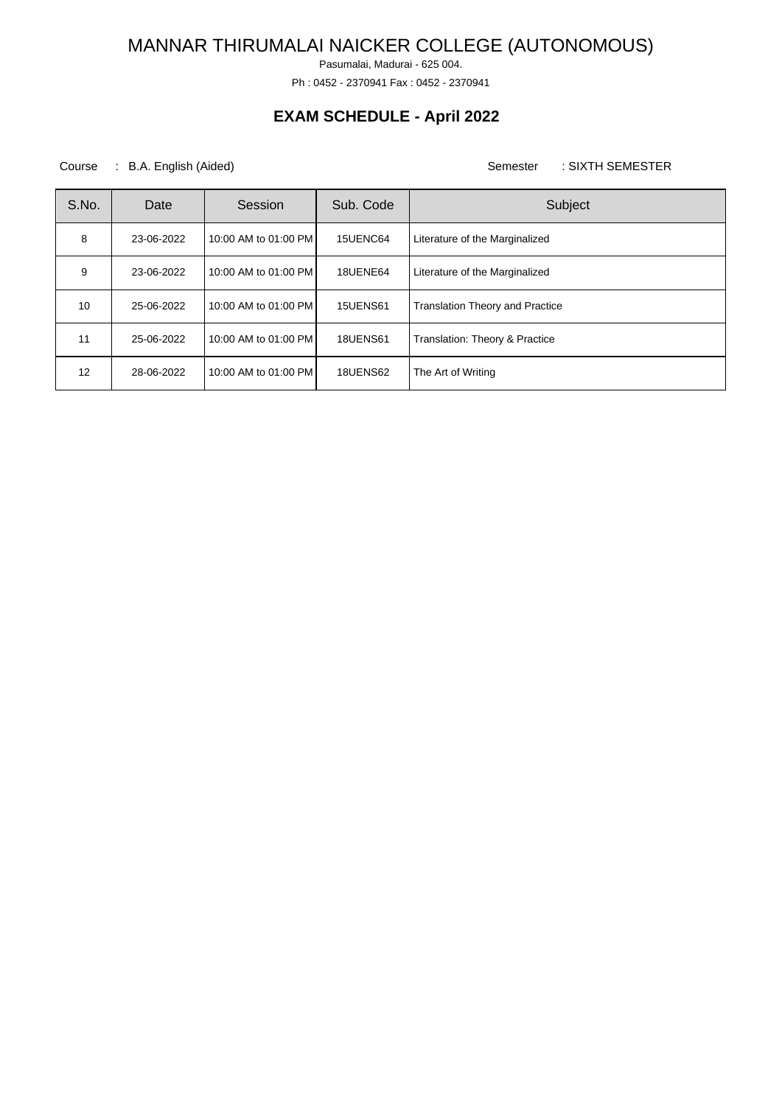Pasumalai, Madurai - 625 004.

Ph : 0452 - 2370941 Fax : 0452 - 2370941

## **EXAM SCHEDULE - April 2022**

Course : B.A. English (Aided) Course : SIXTH SEMESTER

| S.No. | Date       | Session              | Sub. Code       | Subject                                |
|-------|------------|----------------------|-----------------|----------------------------------------|
| 8     | 23-06-2022 | 10:00 AM to 01:00 PM | 15UENC64        | Literature of the Marginalized         |
| 9     | 23-06-2022 | 10:00 AM to 01:00 PM | 18UENE64        | Literature of the Marginalized         |
| 10    | 25-06-2022 | 10:00 AM to 01:00 PM | <b>15UENS61</b> | <b>Translation Theory and Practice</b> |
| 11    | 25-06-2022 | 10:00 AM to 01:00 PM | <b>18UENS61</b> | Translation: Theory & Practice         |
| 12    | 28-06-2022 | 10:00 AM to 01:00 PM | 18UENS62        | The Art of Writing                     |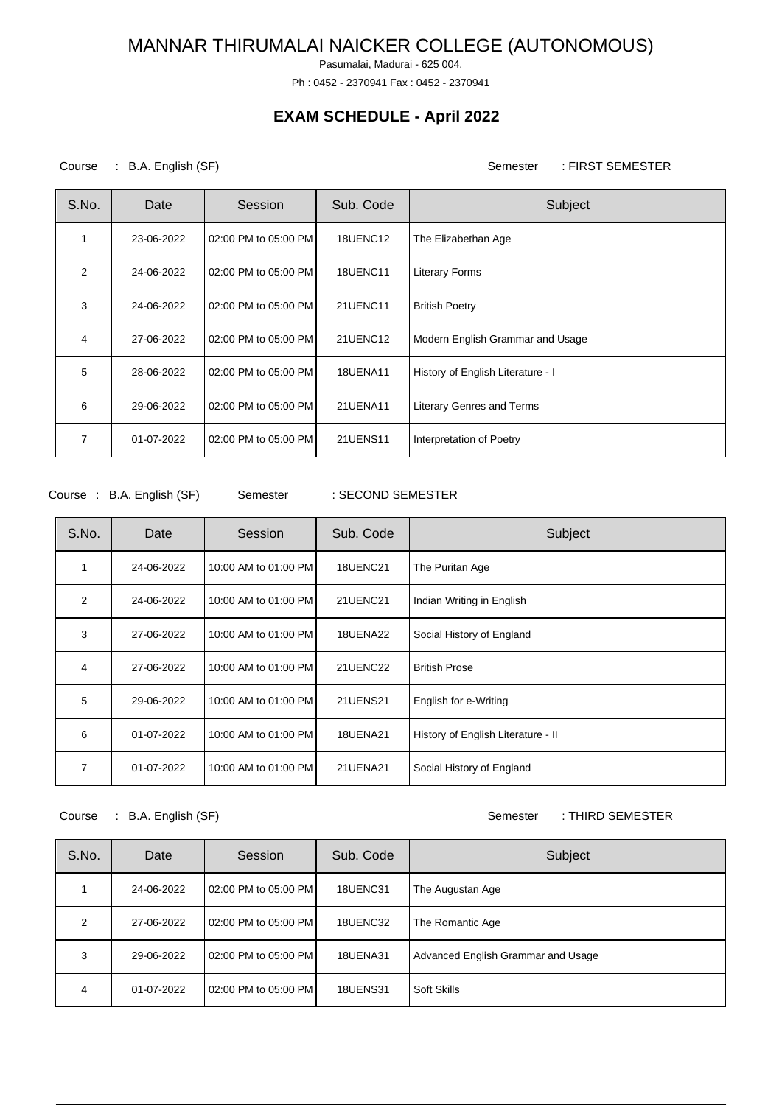Pasumalai, Madurai - 625 004.

Ph : 0452 - 2370941 Fax : 0452 - 2370941

## **EXAM SCHEDULE - April 2022**

Course : B.A. English (SF) Semester : FIRST SEMESTER

| S.No. | Date       | Session              | Sub. Code       | Subject                           |
|-------|------------|----------------------|-----------------|-----------------------------------|
|       | 23-06-2022 | 02:00 PM to 05:00 PM | 18UENC12        | The Elizabethan Age               |
| 2     | 24-06-2022 | 02:00 PM to 05:00 PM | <b>18UENC11</b> | <b>Literary Forms</b>             |
| 3     | 24-06-2022 | 02:00 PM to 05:00 PM | 21UENC11        | <b>British Poetry</b>             |
| 4     | 27-06-2022 | 02:00 PM to 05:00 PM | 21UENC12        | Modern English Grammar and Usage  |
| 5     | 28-06-2022 | 02:00 PM to 05:00 PM | <b>18UENA11</b> | History of English Literature - I |
| 6     | 29-06-2022 | 02:00 PM to 05:00 PM | 21UENA11        | Literary Genres and Terms         |
| 7     | 01-07-2022 | 02:00 PM to 05:00 PM | 21UENS11        | Interpretation of Poetry          |

Course : B.A. English (SF) Semester : SECOND SEMESTER

| S.No. | Date       | Session              | Sub. Code       | Subject                            |
|-------|------------|----------------------|-----------------|------------------------------------|
| 1     | 24-06-2022 | 10:00 AM to 01:00 PM | <b>18UENC21</b> | The Puritan Age                    |
| 2     | 24-06-2022 | 10:00 AM to 01:00 PM | <b>21UENC21</b> | Indian Writing in English          |
| 3     | 27-06-2022 | 10:00 AM to 01:00 PM | 18UENA22        | Social History of England          |
| 4     | 27-06-2022 | 10:00 AM to 01:00 PM | 21UENC22        | <b>British Prose</b>               |
| 5     | 29-06-2022 | 10:00 AM to 01:00 PM | <b>21UENS21</b> | English for e-Writing              |
| 6     | 01-07-2022 | 10:00 AM to 01:00 PM | <b>18UENA21</b> | History of English Literature - II |
| 7     | 01-07-2022 | 10:00 AM to 01:00 PM | 21UENA21        | Social History of England          |

Course : B.A. English (SF) Semester : THIRD SEMESTER

| S.No. | Date       | Session              | Sub. Code       | Subject                            |
|-------|------------|----------------------|-----------------|------------------------------------|
|       | 24-06-2022 | 02:00 PM to 05:00 PM | 18UENC31        | The Augustan Age                   |
| 2     | 27-06-2022 | 02:00 PM to 05:00 PM | 18UENC32        | The Romantic Age                   |
| 3     | 29-06-2022 | 02:00 PM to 05:00 PM | 18UENA31        | Advanced English Grammar and Usage |
| 4     | 01-07-2022 | 02:00 PM to 05:00 PM | <b>18UENS31</b> | Soft Skills                        |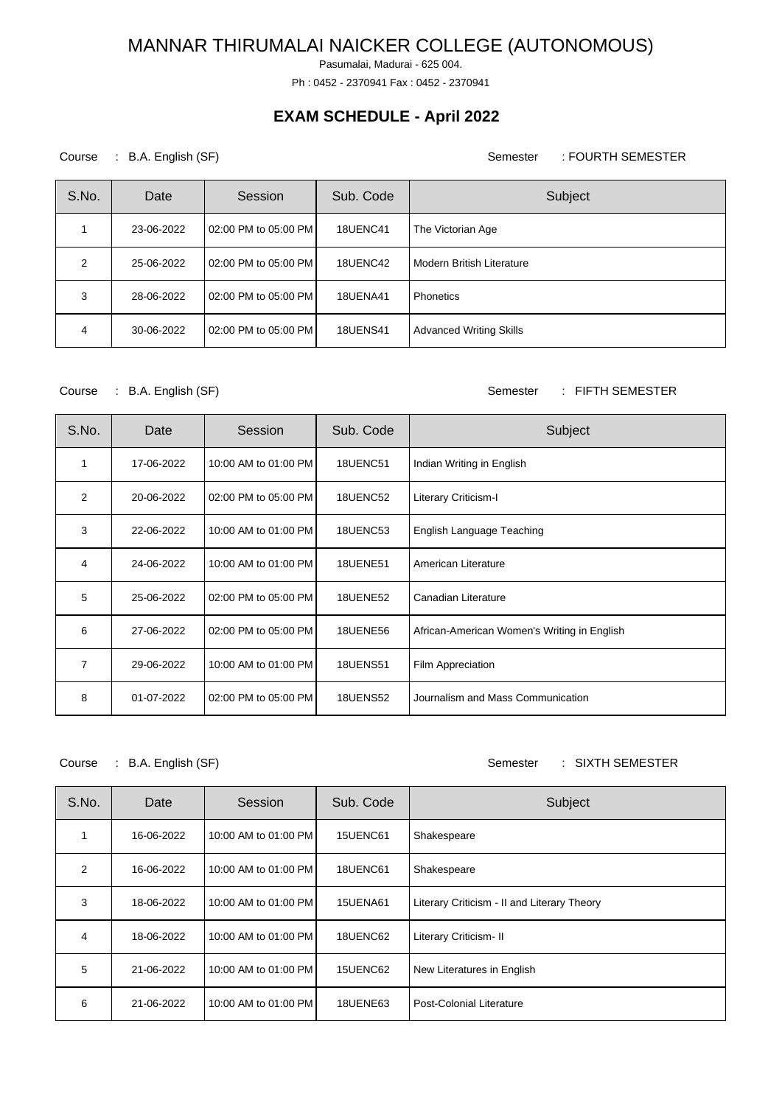Pasumalai, Madurai - 625 004.

Ph : 0452 - 2370941 Fax : 0452 - 2370941

## **EXAM SCHEDULE - April 2022**

### Course : B.A. English (SF) Semester : FOURTH SEMESTER

| S.No.         | Date       | Session              | Sub. Code       | Subject                        |
|---------------|------------|----------------------|-----------------|--------------------------------|
|               | 23-06-2022 | 02:00 PM to 05:00 PM | 18UENC41        | The Victorian Age              |
| $\mathcal{P}$ | 25-06-2022 | 02:00 PM to 05:00 PM | 18UENC42        | Modern British Literature      |
| 3             | 28-06-2022 | 02:00 PM to 05:00 PM | <b>18UENA41</b> | Phonetics                      |
| 4             | 30-06-2022 | 02:00 PM to 05:00 PM | <b>18UENS41</b> | <b>Advanced Writing Skills</b> |

#### Course : B.A. English (SF) Semester : FIFTH SEMESTER

| S.No.          | Date       | Session              | Sub. Code       | Subject                                     |
|----------------|------------|----------------------|-----------------|---------------------------------------------|
| 1              | 17-06-2022 | 10:00 AM to 01:00 PM | 18UENC51        | Indian Writing in English                   |
| 2              | 20-06-2022 | 02:00 PM to 05:00 PM | 18UENC52        | Literary Criticism-I                        |
| 3              | 22-06-2022 | 10:00 AM to 01:00 PM | 18UENC53        | English Language Teaching                   |
| 4              | 24-06-2022 | 10:00 AM to 01:00 PM | <b>18UENE51</b> | American Literature                         |
| 5              | 25-06-2022 | 02:00 PM to 05:00 PM | <b>18UENE52</b> | Canadian Literature                         |
| 6              | 27-06-2022 | 02:00 PM to 05:00 PM | <b>18UENE56</b> | African-American Women's Writing in English |
| $\overline{7}$ | 29-06-2022 | 10:00 AM to 01:00 PM | <b>18UENS51</b> | Film Appreciation                           |
| 8              | 01-07-2022 | 02:00 PM to 05:00 PM | <b>18UENS52</b> | Journalism and Mass Communication           |

Course : B.A. English (SF) Semester : SIXTH SEMESTER

| S.No. | Date       | Session              | Sub. Code | Subject                                     |
|-------|------------|----------------------|-----------|---------------------------------------------|
|       | 16-06-2022 | 10:00 AM to 01:00 PM | 15UENC61  | Shakespeare                                 |
| 2     | 16-06-2022 | 10:00 AM to 01:00 PM | 18UENC61  | Shakespeare                                 |
| 3     | 18-06-2022 | 10:00 AM to 01:00 PM | 15UENA61  | Literary Criticism - II and Literary Theory |
| 4     | 18-06-2022 | 10:00 AM to 01:00 PM | 18UENC62  | Literary Criticism- II                      |
| 5     | 21-06-2022 | 10:00 AM to 01:00 PM | 15UENC62  | New Literatures in English                  |
| 6     | 21-06-2022 | 10:00 AM to 01:00 PM | 18UENE63  | Post-Colonial Literature                    |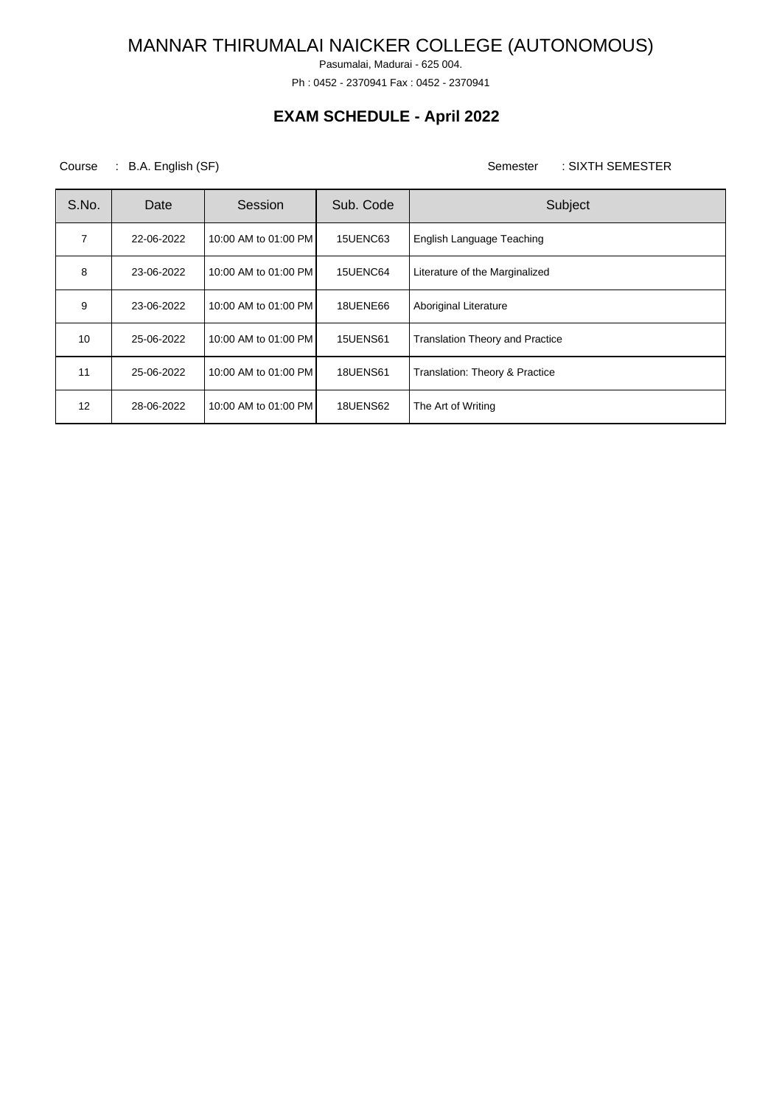Pasumalai, Madurai - 625 004.

Ph : 0452 - 2370941 Fax : 0452 - 2370941

## **EXAM SCHEDULE - April 2022**

Course : B.A. English (SF) Semester : SIXTH SEMESTER

| S.No.          | Date       | Session              | Sub. Code       | Subject                                |
|----------------|------------|----------------------|-----------------|----------------------------------------|
| $\overline{7}$ | 22-06-2022 | 10:00 AM to 01:00 PM | 15UENC63        | English Language Teaching              |
| 8              | 23-06-2022 | 10:00 AM to 01:00 PM | 15UENC64        | Literature of the Marginalized         |
| 9              | 23-06-2022 | 10:00 AM to 01:00 PM | <b>18UENE66</b> | Aboriginal Literature                  |
| 10             | 25-06-2022 | 10:00 AM to 01:00 PM | <b>15UENS61</b> | <b>Translation Theory and Practice</b> |
| 11             | 25-06-2022 | 10:00 AM to 01:00 PM | <b>18UENS61</b> | Translation: Theory & Practice         |
| 12             | 28-06-2022 | 10:00 AM to 01:00 PM | <b>18UENS62</b> | The Art of Writing                     |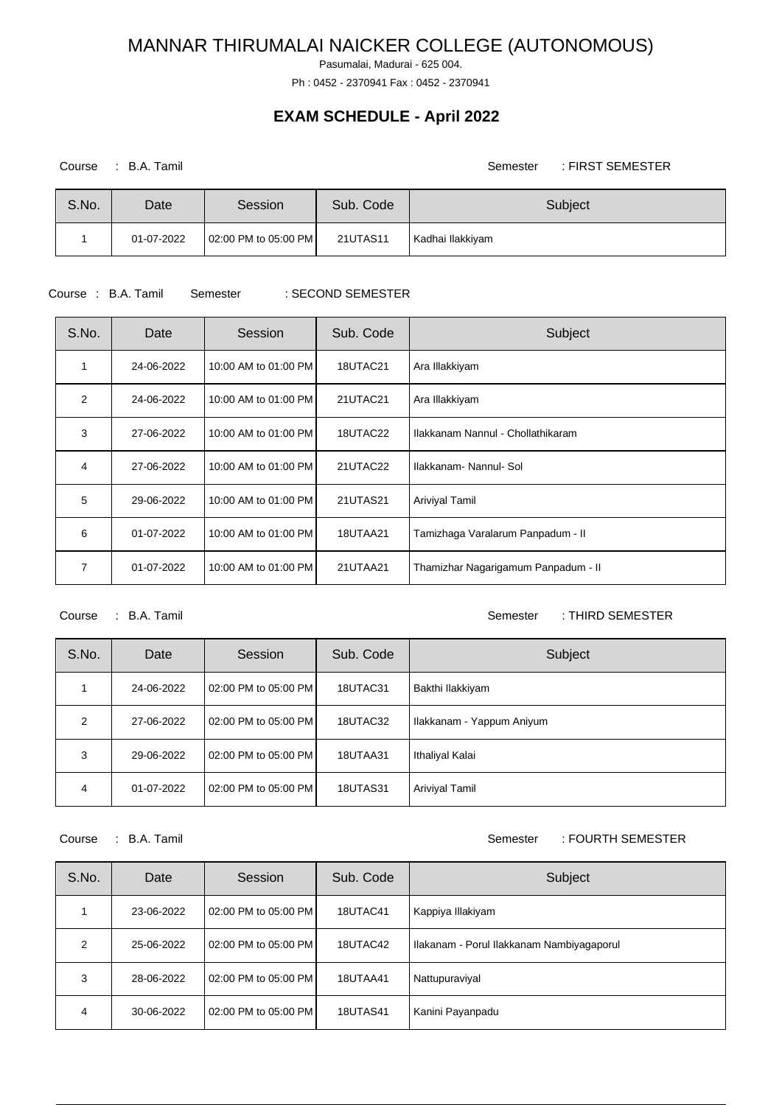Pasumalai, Madurai - 625 004.

Ph : 0452 - 2370941 Fax : 0452 - 2370941

### **EXAM SCHEDULE - April 2022**

Course : B.A. Tamil Semester : FIRST SEMESTER

| S.No. | Date       | Session              | Sub. Code | Subject          |
|-------|------------|----------------------|-----------|------------------|
|       | 01-07-2022 | 02:00 PM to 05:00 PM | 21UTAS11  | Kadhai Ilakkiyam |

Course : B.A. Tamil Semester : SECOND SEMESTER

# S.No. | Date | Session | Sub. Code | Subject 1 | 24-06-2022 | 10:00 AM to 01:00 PM | 18UTAC21 | Ara Illakkiyam 2 | 24-06-2022 | 10:00 AM to 01:00 PM | 21UTAC21 | Ara Illakkiyam 3 27-06-2022 10:00 AM to 01:00 PM 18UTAC22 Ilakkanam Nannul - Chollathikaram 4 27-06-2022 10:00 AM to 01:00 PM 21UTAC22 Ilakkanam- Nannul- Sol 5 29-06-2022 10:00 AM to 01:00 PM 21UTAS21 Ariviyal Tamil 6 01-07-2022 10:00 AM to 01:00 PM 18UTAA21 Tamizhaga Varalarum Panpadum - II 7 01-07-2022 10:00 AM to 01:00 PM 21UTAA21 Thamizhar Nagarigamum Panpadum - II

### Course : B.A. Tamil Semester : THIRD SEMESTER

| S.No.         | Date       | Session              | Sub. Code | Subject                   |
|---------------|------------|----------------------|-----------|---------------------------|
|               | 24-06-2022 | 02:00 PM to 05:00 PM | 18UTAC31  | Bakthi Ilakkiyam          |
| $\mathcal{P}$ | 27-06-2022 | 02:00 PM to 05:00 PM | 18UTAC32  | Ilakkanam - Yappum Aniyum |
| 3             | 29-06-2022 | 02:00 PM to 05:00 PM | 18UTAA31  | Ithaliyal Kalai           |
| 4             | 01-07-2022 | 02:00 PM to 05:00 PM | 18UTAS31  | Ariviyal Tamil            |

#### Course : B.A. Tamil Semester : FOURTH SEMESTER

| S.No. | Date       | Session              | Sub. Code | Subject                                   |
|-------|------------|----------------------|-----------|-------------------------------------------|
|       | 23-06-2022 | 02:00 PM to 05:00 PM | 18UTAC41  | Kappiya Illakiyam                         |
| 2     | 25-06-2022 | 02:00 PM to 05:00 PM | 18UTAC42  | Ilakanam - Porul Ilakkanam Nambiyagaporul |
| 3     | 28-06-2022 | 02:00 PM to 05:00 PM | 18UTAA41  | Nattupuraviyal                            |
| 4     | 30-06-2022 | 02:00 PM to 05:00 PM | 18UTAS41  | Kanini Payanpadu                          |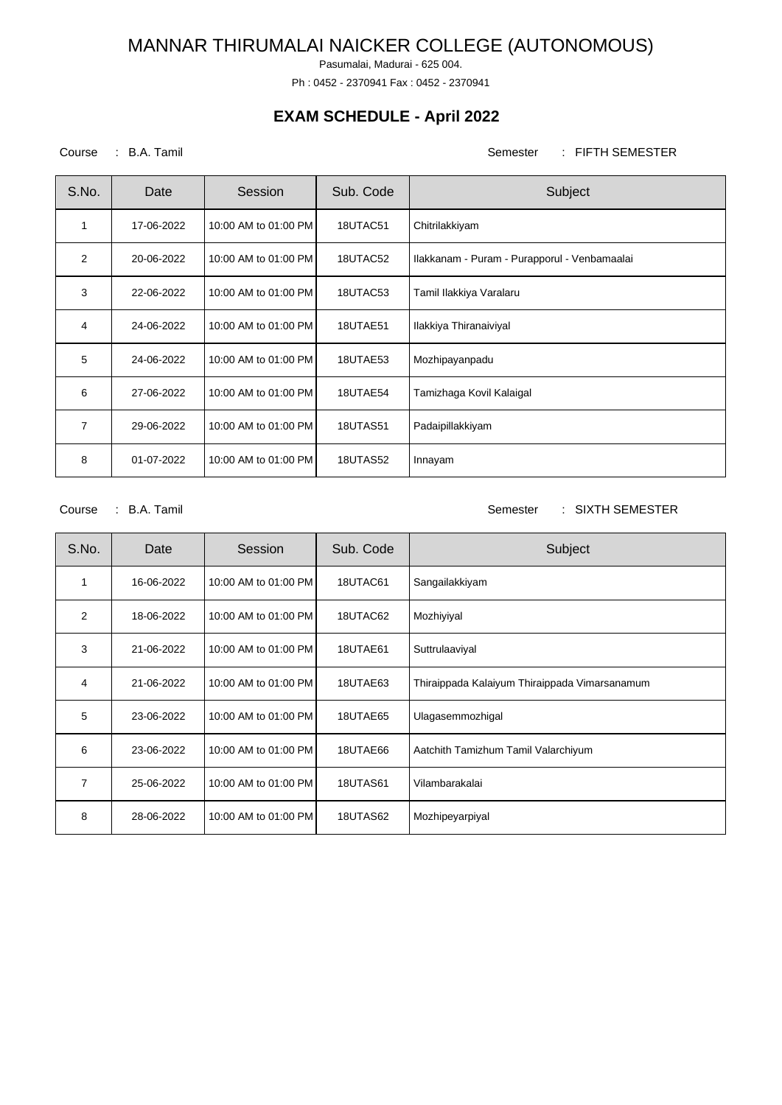Pasumalai, Madurai - 625 004.

Ph : 0452 - 2370941 Fax : 0452 - 2370941

## **EXAM SCHEDULE - April 2022**

Course : B.A. Tamil Semester : FIFTH SEMESTER

| S.No.          | Date       | Session              | Sub. Code | Subject                                      |
|----------------|------------|----------------------|-----------|----------------------------------------------|
| 1              | 17-06-2022 | 10:00 AM to 01:00 PM | 18UTAC51  | Chitrilakkiyam                               |
| 2              | 20-06-2022 | 10:00 AM to 01:00 PM | 18UTAC52  | Ilakkanam - Puram - Purapporul - Venbamaalai |
| 3              | 22-06-2022 | 10:00 AM to 01:00 PM | 18UTAC53  | Tamil Ilakkiya Varalaru                      |
| $\overline{4}$ | 24-06-2022 | 10:00 AM to 01:00 PM | 18UTAE51  | Ilakkiya Thiranaiviyal                       |
| 5              | 24-06-2022 | 10:00 AM to 01:00 PM | 18UTAE53  | Mozhipayanpadu                               |
| 6              | 27-06-2022 | 10:00 AM to 01:00 PM | 18UTAE54  | Tamizhaga Kovil Kalaigal                     |
| 7              | 29-06-2022 | 10:00 AM to 01:00 PM | 18UTAS51  | Padaipillakkiyam                             |
| 8              | 01-07-2022 | 10:00 AM to 01:00 PM | 18UTAS52  | Innayam                                      |

Course : B.A. Tamil Semester : SIXTH SEMESTER

| S.No. | Date       | Session              | Sub. Code | Subject                                       |
|-------|------------|----------------------|-----------|-----------------------------------------------|
| 1     | 16-06-2022 | 10:00 AM to 01:00 PM | 18UTAC61  | Sangailakkiyam                                |
| 2     | 18-06-2022 | 10:00 AM to 01:00 PM | 18UTAC62  | Mozhiyiyal                                    |
| 3     | 21-06-2022 | 10:00 AM to 01:00 PM | 18UTAE61  | Suttrulaaviyal                                |
| 4     | 21-06-2022 | 10:00 AM to 01:00 PM | 18UTAE63  | Thiraippada Kalaiyum Thiraippada Vimarsanamum |
| 5     | 23-06-2022 | 10:00 AM to 01:00 PM | 18UTAE65  | Ulagasemmozhigal                              |
| 6     | 23-06-2022 | 10:00 AM to 01:00 PM | 18UTAE66  | Aatchith Tamizhum Tamil Valarchiyum           |
| 7     | 25-06-2022 | 10:00 AM to 01:00 PM | 18UTAS61  | Vilambarakalai                                |
| 8     | 28-06-2022 | 10:00 AM to 01:00 PM | 18UTAS62  | Mozhipeyarpiyal                               |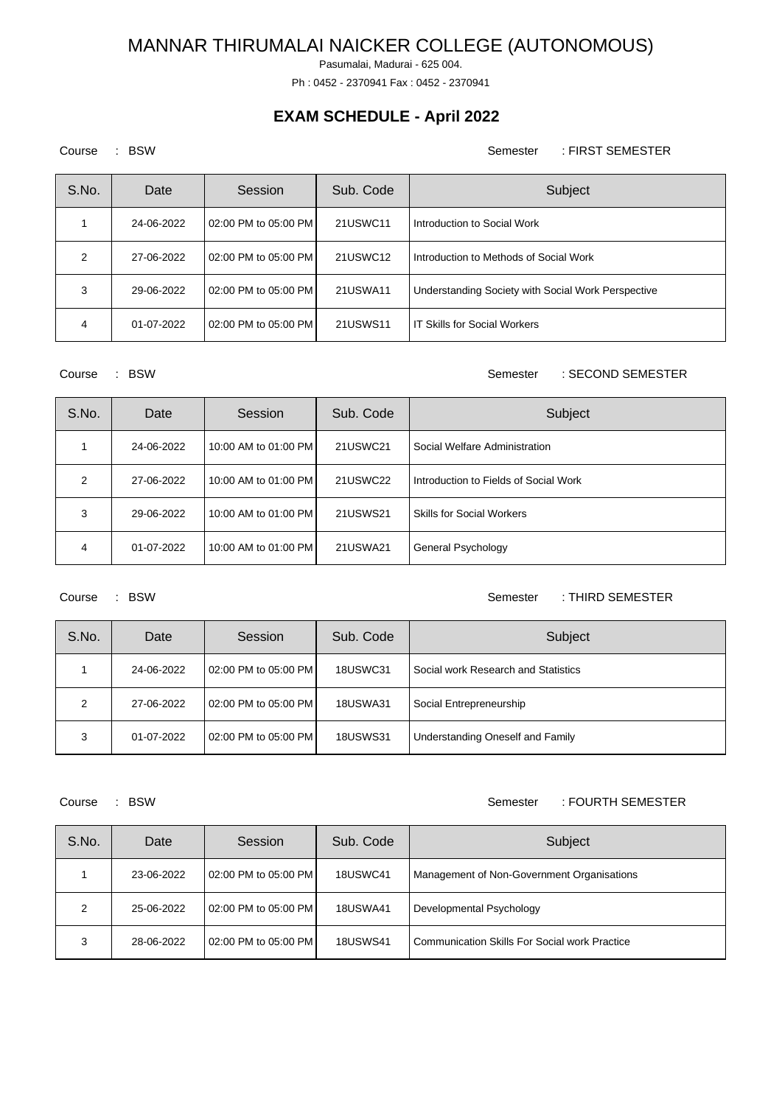Pasumalai, Madurai - 625 004.

Ph : 0452 - 2370941 Fax : 0452 - 2370941

## **EXAM SCHEDULE - April 2022**

Course : BSW Semester : FIRST SEMESTER

| S.No. | Date       | Session              | Sub. Code | Subject                                            |
|-------|------------|----------------------|-----------|----------------------------------------------------|
|       | 24-06-2022 | 02:00 PM to 05:00 PM | 21USWC11  | Introduction to Social Work                        |
| 2     | 27-06-2022 | 02:00 PM to 05:00 PM | 21USWC12  | Introduction to Methods of Social Work             |
| 3     | 29-06-2022 | 02:00 PM to 05:00 PM | 21USWA11  | Understanding Society with Social Work Perspective |
| 4     | 01-07-2022 | 02:00 PM to 05:00 PM | 21USWS11  | <b>IT Skills for Social Workers</b>                |

Course : BSW Semester : SECOND SEMESTER

| S.No.         | Date       | Session              | Sub. Code | Subject                               |
|---------------|------------|----------------------|-----------|---------------------------------------|
|               | 24-06-2022 | 10:00 AM to 01:00 PM | 21USWC21  | Social Welfare Administration         |
| $\mathcal{P}$ | 27-06-2022 | 10:00 AM to 01:00 PM | 21USWC22  | Introduction to Fields of Social Work |
| 3             | 29-06-2022 | 10:00 AM to 01:00 PM | 21USWS21  | <b>Skills for Social Workers</b>      |
| 4             | 01-07-2022 | 10:00 AM to 01:00 PM | 21USWA21  | General Psychology                    |

Course : BSW Semester : THIRD SEMESTER

| S.No. | Date       | Session              | Sub. Code       | Subject                             |
|-------|------------|----------------------|-----------------|-------------------------------------|
|       | 24-06-2022 | 02:00 PM to 05:00 PM | <b>18USWC31</b> | Social work Research and Statistics |
| 2     | 27-06-2022 | 02:00 PM to 05:00 PM | <b>18USWA31</b> | Social Entrepreneurship             |
| 3     | 01-07-2022 | 02:00 PM to 05:00 PM | <b>18USWS31</b> | Understanding Oneself and Family    |

### Course : BSW Semester : FOURTH SEMESTER

| S.No. | Date       | Session              | Sub. Code       | Subject                                       |
|-------|------------|----------------------|-----------------|-----------------------------------------------|
|       | 23-06-2022 | 02:00 PM to 05:00 PM | <b>18USWC41</b> | Management of Non-Government Organisations    |
| 2     | 25-06-2022 | 02:00 PM to 05:00 PM | <b>18USWA41</b> | Developmental Psychology                      |
| 3     | 28-06-2022 | 02:00 PM to 05:00 PM | <b>18USWS41</b> | Communication Skills For Social work Practice |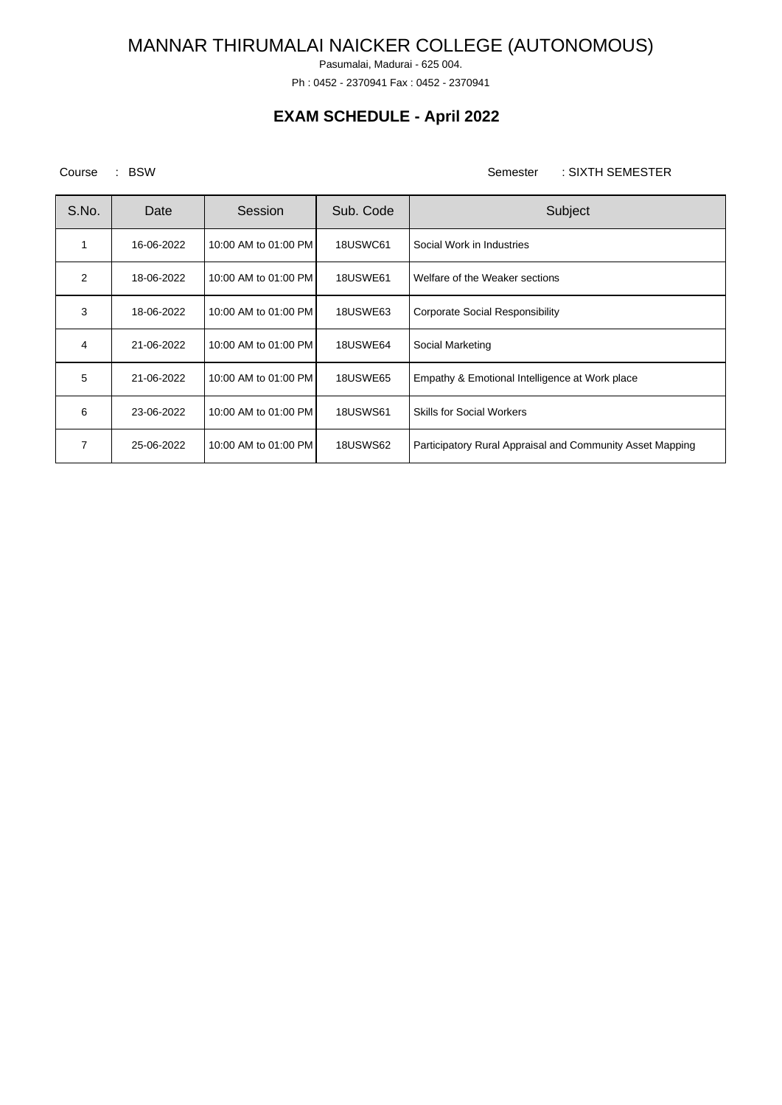Pasumalai, Madurai - 625 004.

Ph : 0452 - 2370941 Fax : 0452 - 2370941

## **EXAM SCHEDULE - April 2022**

Course : BSW Semester : SIXTH SEMESTER

| S.No.          | Date       | Session              | Sub. Code       | Subject                                                   |
|----------------|------------|----------------------|-----------------|-----------------------------------------------------------|
|                | 16-06-2022 | 10:00 AM to 01:00 PM | <b>18USWC61</b> | Social Work in Industries                                 |
| $\overline{2}$ | 18-06-2022 | 10:00 AM to 01:00 PM | <b>18USWE61</b> | Welfare of the Weaker sections                            |
| 3              | 18-06-2022 | 10:00 AM to 01:00 PM | <b>18USWE63</b> | Corporate Social Responsibility                           |
| 4              | 21-06-2022 | 10:00 AM to 01:00 PM | <b>18USWE64</b> | Social Marketing                                          |
| 5              | 21-06-2022 | 10:00 AM to 01:00 PM | <b>18USWE65</b> | Empathy & Emotional Intelligence at Work place            |
| 6              | 23-06-2022 | 10:00 AM to 01:00 PM | <b>18USWS61</b> | <b>Skills for Social Workers</b>                          |
| 7              | 25-06-2022 | 10:00 AM to 01:00 PM | <b>18USWS62</b> | Participatory Rural Appraisal and Community Asset Mapping |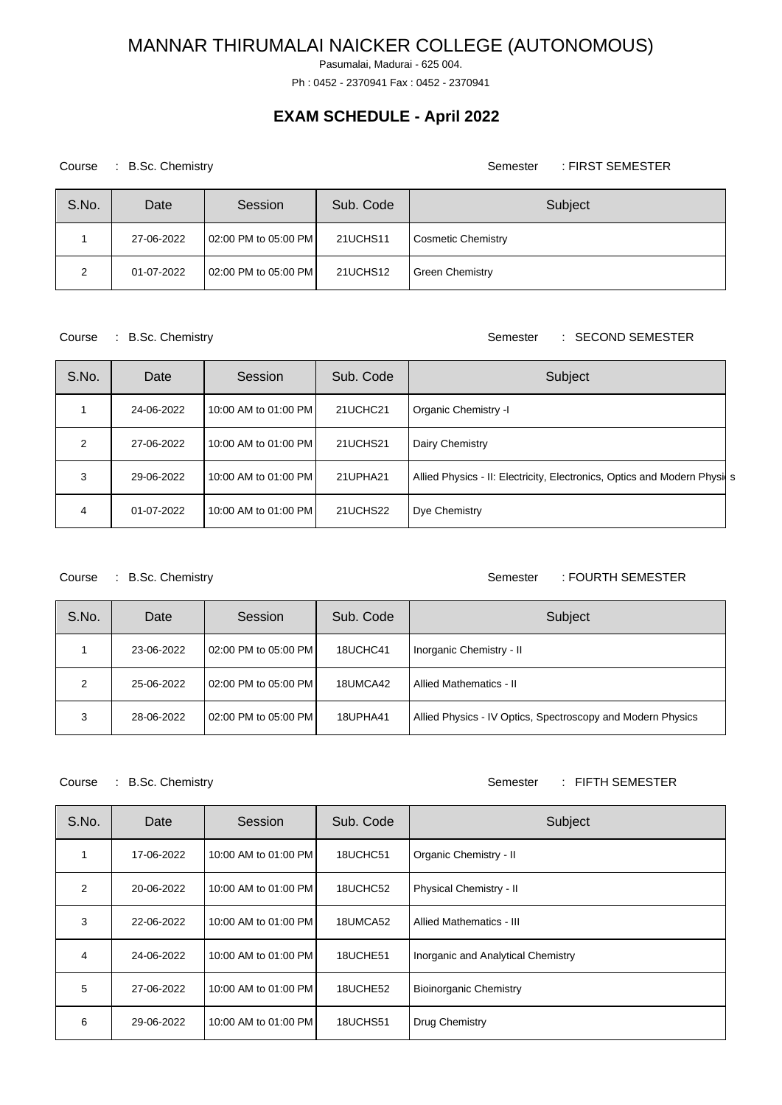Pasumalai, Madurai - 625 004.

Ph : 0452 - 2370941 Fax : 0452 - 2370941

## **EXAM SCHEDULE - April 2022**

Course : B.Sc. Chemistry Course : B.Sc. Chemistry

| S.No. | Date       | Session              | Sub. Code | Subject                |
|-------|------------|----------------------|-----------|------------------------|
|       | 27-06-2022 | 02:00 PM to 05:00 PM | 21UCHS11  | Cosmetic Chemistry     |
| 2     | 01-07-2022 | 02:00 PM to 05:00 PM | 21UCHS12  | <b>Green Chemistry</b> |

### Course : B.Sc. Chemistry Semester : SECOND SEMESTER

| S.No. | Date       | Session              | Sub. Code | Subject                                                                   |
|-------|------------|----------------------|-----------|---------------------------------------------------------------------------|
|       | 24-06-2022 | 10:00 AM to 01:00 PM | 21UCHC21  | Organic Chemistry -I                                                      |
| 2     | 27-06-2022 | 10:00 AM to 01:00 PM | 21UCHS21  | Dairy Chemistry                                                           |
| 3     | 29-06-2022 | 10:00 AM to 01:00 PM | 21UPHA21  | Allied Physics - II: Electricity, Electronics, Optics and Modern Physil s |
| 4     | 01-07-2022 | 10:00 AM to 01:00 PM | 21UCHS22  | Dye Chemistry                                                             |

Course : B.Sc. Chemistry **Semester** : FOURTH SEMESTER

| S.No. | Date       | Session              | Sub. Code | Subject                                                     |
|-------|------------|----------------------|-----------|-------------------------------------------------------------|
|       | 23-06-2022 | 02:00 PM to 05:00 PM | 18UCHC41  | Inorganic Chemistry - II                                    |
| 2     | 25-06-2022 | 02:00 PM to 05:00 PM | 18UMCA42  | Allied Mathematics - II                                     |
| 3     | 28-06-2022 | 02:00 PM to 05:00 PM | 18UPHA41  | Allied Physics - IV Optics, Spectroscopy and Modern Physics |

### Course : B.Sc. Chemistry Course : B.Sc. Chemistry

| S.No. | Date       | Session              | Sub. Code | Subject                            |
|-------|------------|----------------------|-----------|------------------------------------|
|       | 17-06-2022 | 10:00 AM to 01:00 PM | 18UCHC51  | Organic Chemistry - II             |
| 2     | 20-06-2022 | 10:00 AM to 01:00 PM | 18UCHC52  | Physical Chemistry - II            |
| 3     | 22-06-2022 | 10:00 AM to 01:00 PM | 18UMCA52  | Allied Mathematics - III           |
| 4     | 24-06-2022 | 10:00 AM to 01:00 PM | 18UCHE51  | Inorganic and Analytical Chemistry |
| 5     | 27-06-2022 | 10:00 AM to 01:00 PM | 18UCHE52  | <b>Bioinorganic Chemistry</b>      |
| 6     | 29-06-2022 | 10:00 AM to 01:00 PM | 18UCHS51  | Drug Chemistry                     |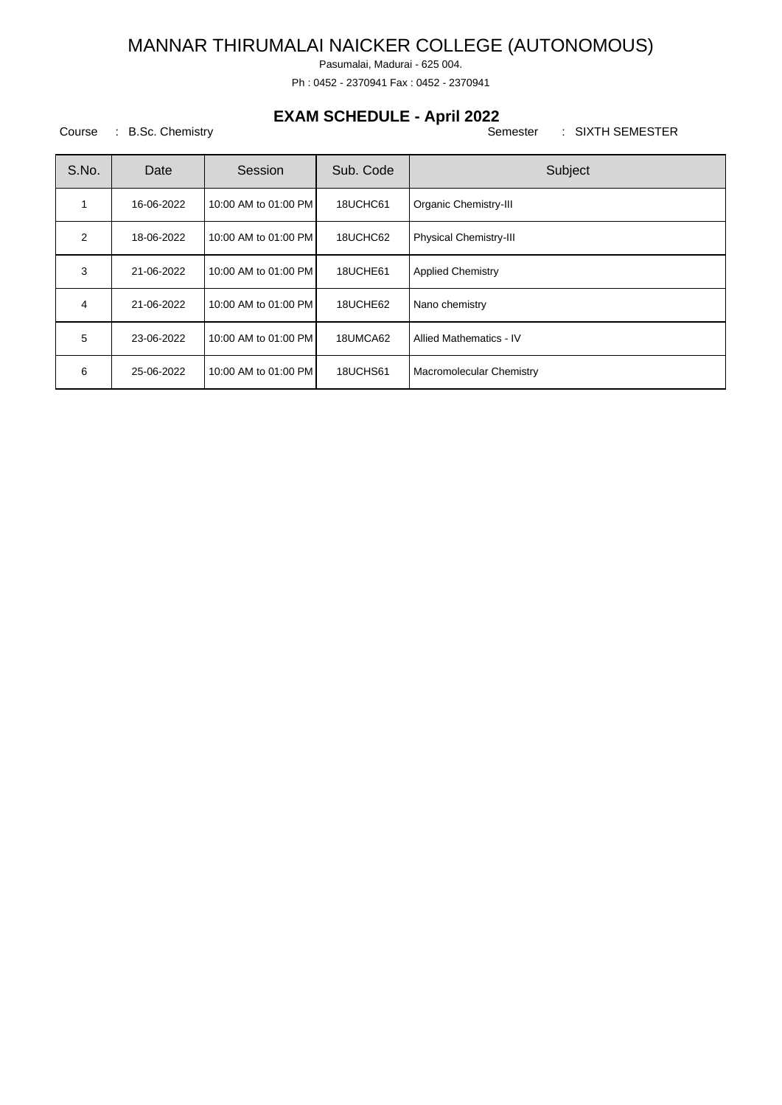Pasumalai, Madurai - 625 004.

Ph : 0452 - 2370941 Fax : 0452 - 2370941

## **EXAM SCHEDULE - April 2022**

| S.No. | Date       | Session              | Sub. Code | Subject                       |
|-------|------------|----------------------|-----------|-------------------------------|
|       | 16-06-2022 | 10:00 AM to 01:00 PM | 18UCHC61  | <b>Organic Chemistry-III</b>  |
| 2     | 18-06-2022 | 10:00 AM to 01:00 PM | 18UCHC62  | <b>Physical Chemistry-III</b> |
| 3     | 21-06-2022 | 10:00 AM to 01:00 PM | 18UCHE61  | <b>Applied Chemistry</b>      |
| 4     | 21-06-2022 | 10:00 AM to 01:00 PM | 18UCHE62  | Nano chemistry                |
| 5     | 23-06-2022 | 10:00 AM to 01:00 PM | 18UMCA62  | Allied Mathematics - IV       |
| 6     | 25-06-2022 | 10:00 AM to 01:00 PM | 18UCHS61  | Macromolecular Chemistry      |

Course : B.Sc. Chemistry Course : B.Sc. Chemistry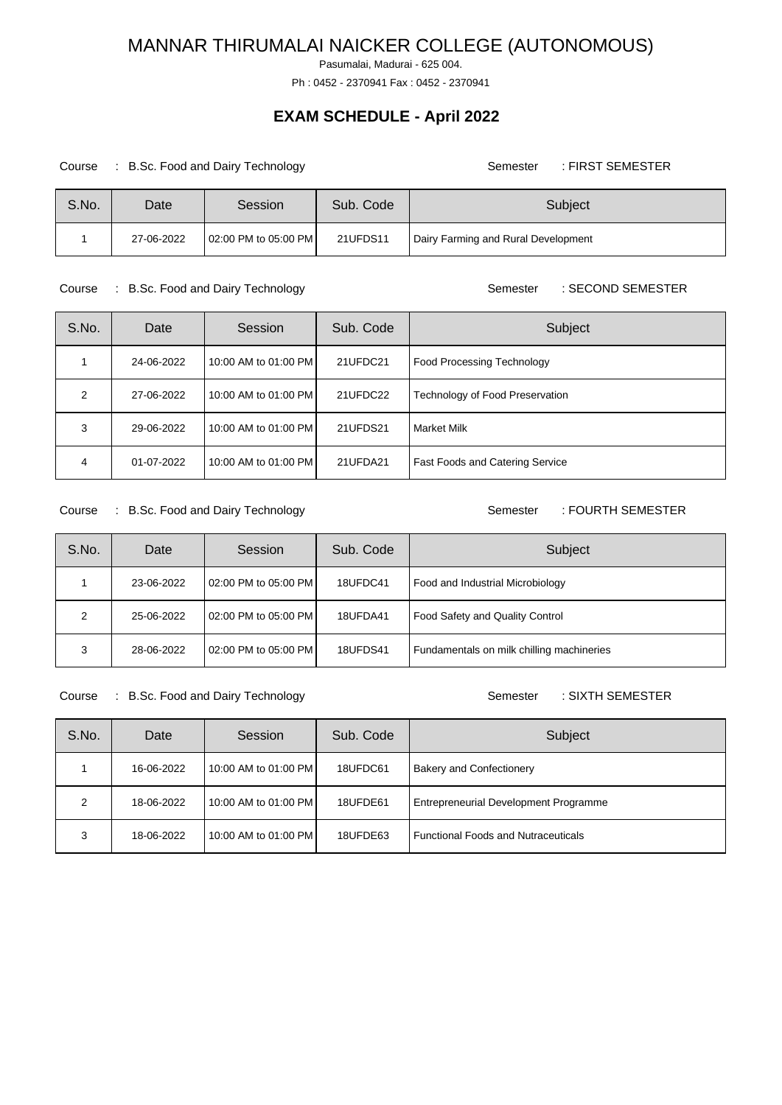Pasumalai, Madurai - 625 004.

Ph : 0452 - 2370941 Fax : 0452 - 2370941

## **EXAM SCHEDULE - April 2022**

#### Course : B.Sc. Food and Dairy Technology **Semester : FIRST SEMESTER** Semester : FIRST SEMESTER

| S.No. | Date       | Session              | Sub. Code | Subject                             |
|-------|------------|----------------------|-----------|-------------------------------------|
|       | 27-06-2022 | 02:00 PM to 05:00 PM | 21UFDS11  | Dairy Farming and Rural Development |

#### Course : B.Sc. Food and Dairy Technology **Semester : SECOND SEMESTER** Course 30 Semester : SECOND SEMESTER

| S.No.          | Date       | Session              | Sub. Code | Subject                                |
|----------------|------------|----------------------|-----------|----------------------------------------|
|                | 24-06-2022 | 10:00 AM to 01:00 PM | 21UFDC21  | <b>Food Processing Technology</b>      |
| $\mathcal{P}$  | 27-06-2022 | 10:00 AM to 01:00 PM | 21UFDC22  | Technology of Food Preservation        |
| 3              | 29-06-2022 | 10:00 AM to 01:00 PM | 21UFDS21  | Market Milk                            |
| $\overline{4}$ | 01-07-2022 | 10:00 AM to 01:00 PM | 21UFDA21  | <b>Fast Foods and Catering Service</b> |

### Course : B.Sc. Food and Dairy Technology **Semester : FOURTH SEMESTER**

| S.No. | Date       | Session              | Sub. Code | Subject                                   |
|-------|------------|----------------------|-----------|-------------------------------------------|
|       | 23-06-2022 | 02:00 PM to 05:00 PM | 18UFDC41  | Food and Industrial Microbiology          |
| າ     | 25-06-2022 | 02:00 PM to 05:00 PM | 18UFDA41  | Food Safety and Quality Control           |
| 3     | 28-06-2022 | 02:00 PM to 05:00 PM | 18UFDS41  | Fundamentals on milk chilling machineries |

Course : B.Sc. Food and Dairy Technology **Semester** : SIXTH SEMESTER

| S.No. | Date       | Session              | Sub. Code | Subject                                    |
|-------|------------|----------------------|-----------|--------------------------------------------|
|       | 16-06-2022 | 10:00 AM to 01:00 PM | 18UFDC61  | <b>Bakery and Confectionery</b>            |
| 2     | 18-06-2022 | 10:00 AM to 01:00 PM | 18UFDE61  | Entrepreneurial Development Programme      |
| 3     | 18-06-2022 | 10:00 AM to 01:00 PM | 18UFDE63  | <b>Functional Foods and Nutraceuticals</b> |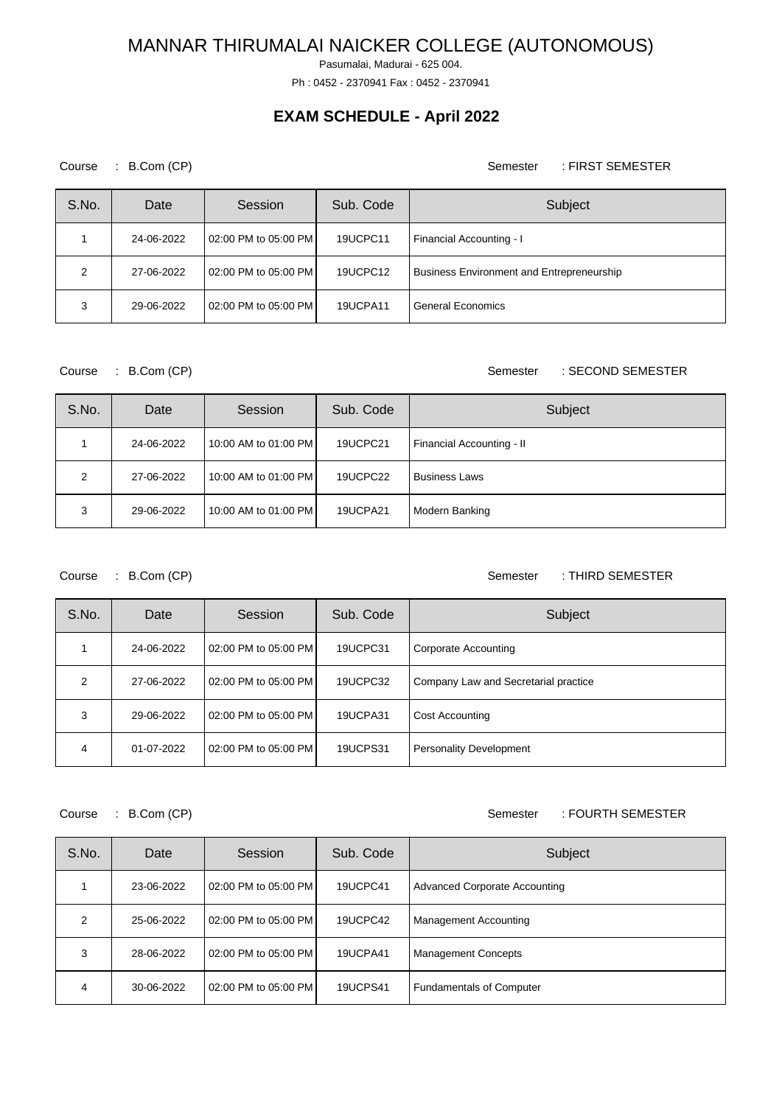Pasumalai, Madurai - 625 004.

Ph : 0452 - 2370941 Fax : 0452 - 2370941

## **EXAM SCHEDULE - April 2022**

Course : B.Com (CP) Semester : FIRST SEMESTER

| S.No. | Date       | Session              | Sub. Code | Subject                                          |
|-------|------------|----------------------|-----------|--------------------------------------------------|
|       | 24-06-2022 | 02:00 PM to 05:00 PM | 19UCPC11  | Financial Accounting - I                         |
| 2     | 27-06-2022 | 02:00 PM to 05:00 PM | 19UCPC12  | <b>Business Environment and Entrepreneurship</b> |
| 3     | 29-06-2022 | 02:00 PM to 05:00 PM | 19UCPA11  | General Economics                                |

### Course : B.Com (CP) Semester : SECOND SEMESTER

| S.No. | Date       | Session              | Sub. Code | Subject                   |
|-------|------------|----------------------|-----------|---------------------------|
|       | 24-06-2022 | 10:00 AM to 01:00 PM | 19UCPC21  | Financial Accounting - II |
| 2     | 27-06-2022 | 10:00 AM to 01:00 PM | 19UCPC22  | <b>Business Laws</b>      |
| 3     | 29-06-2022 | 10:00 AM to 01:00 PM | 19UCPA21  | Modern Banking            |

Course : B.Com (CP) Semester : THIRD SEMESTER

| S.No.         | Date       | Session              | Sub. Code       | Subject                              |
|---------------|------------|----------------------|-----------------|--------------------------------------|
|               | 24-06-2022 | 02:00 PM to 05:00 PM | 19UCPC31        | Corporate Accounting                 |
| $\mathcal{P}$ | 27-06-2022 | 02:00 PM to 05:00 PM | 19UCPC32        | Company Law and Secretarial practice |
| 3             | 29-06-2022 | 02:00 PM to 05:00 PM | 19UCPA31        | <b>Cost Accounting</b>               |
| 4             | 01-07-2022 | 02:00 PM to 05:00 PM | <b>19UCPS31</b> | <b>Personality Development</b>       |

Course : B.Com (CP) Quality Course : B.Com (CP) Quality Course : FOURTH SEMESTER

| S.No.         | Date       | Session              | Sub. Code       | Subject                              |
|---------------|------------|----------------------|-----------------|--------------------------------------|
|               | 23-06-2022 | 02:00 PM to 05:00 PM | 19UCPC41        | <b>Advanced Corporate Accounting</b> |
| $\mathcal{P}$ | 25-06-2022 | 02:00 PM to 05:00 PM | 19UCPC42        | <b>Management Accounting</b>         |
| 3             | 28-06-2022 | 02:00 PM to 05:00 PM | 19UCPA41        | <b>Management Concepts</b>           |
| 4             | 30-06-2022 | 02:00 PM to 05:00 PM | <b>19UCPS41</b> | <b>Fundamentals of Computer</b>      |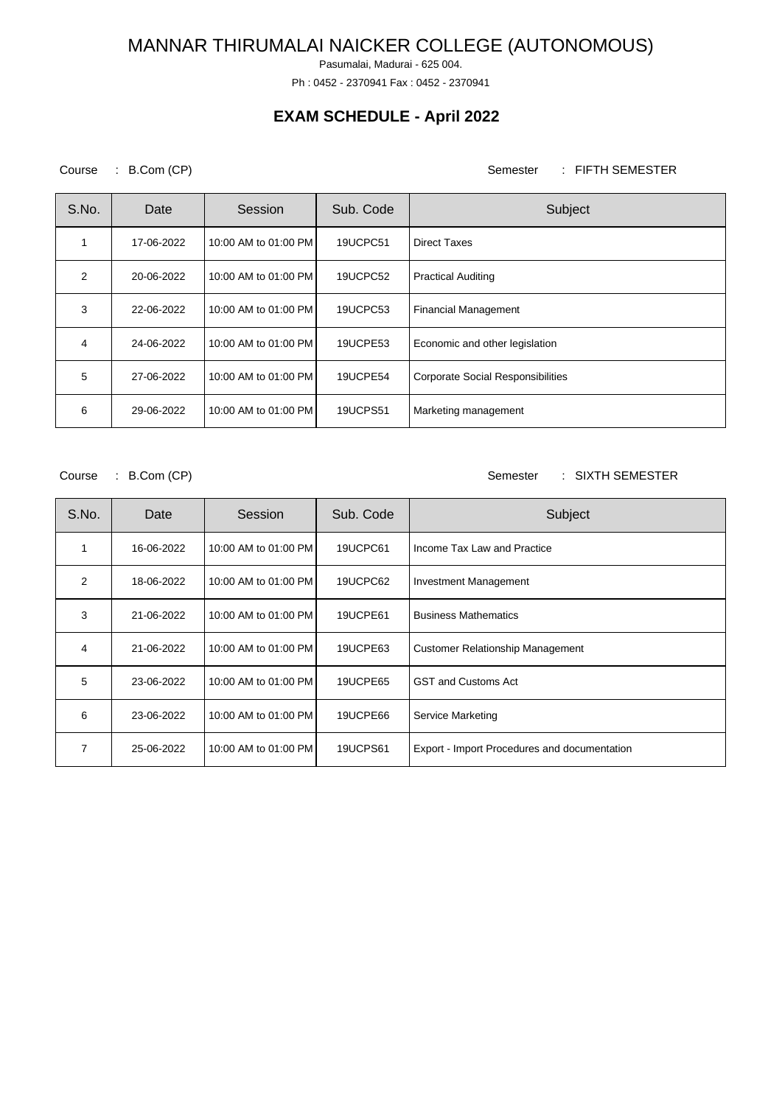Pasumalai, Madurai - 625 004.

Ph : 0452 - 2370941 Fax : 0452 - 2370941

## **EXAM SCHEDULE - April 2022**

Course : B.Com (CP) Semester : FIFTH SEMESTER

| S.No.          | Date       | Session              | Sub. Code       | Subject                                  |
|----------------|------------|----------------------|-----------------|------------------------------------------|
|                | 17-06-2022 | 10:00 AM to 01:00 PM | 19UCPC51        | Direct Taxes                             |
| $\overline{2}$ | 20-06-2022 | 10:00 AM to 01:00 PM | 19UCPC52        | <b>Practical Auditing</b>                |
| 3              | 22-06-2022 | 10:00 AM to 01:00 PM | 19UCPC53        | <b>Financial Management</b>              |
| 4              | 24-06-2022 | 10:00 AM to 01:00 PM | 19UCPE53        | Economic and other legislation           |
| 5              | 27-06-2022 | 10:00 AM to 01:00 PM | 19UCPE54        | <b>Corporate Social Responsibilities</b> |
| 6              | 29-06-2022 | 10:00 AM to 01:00 PM | <b>19UCPS51</b> | Marketing management                     |

Course : B.Com (CP) Semester : SIXTH SEMESTER

| S.No. | Date       | Session              | Sub. Code | Subject                                      |
|-------|------------|----------------------|-----------|----------------------------------------------|
| 1     | 16-06-2022 | 10:00 AM to 01:00 PM | 19UCPC61  | Income Tax Law and Practice                  |
| 2     | 18-06-2022 | 10:00 AM to 01:00 PM | 19UCPC62  | <b>Investment Management</b>                 |
| 3     | 21-06-2022 | 10:00 AM to 01:00 PM | 19UCPE61  | <b>Business Mathematics</b>                  |
| 4     | 21-06-2022 | 10:00 AM to 01:00 PM | 19UCPE63  | <b>Customer Relationship Management</b>      |
| 5     | 23-06-2022 | 10:00 AM to 01:00 PM | 19UCPE65  | <b>GST and Customs Act</b>                   |
| 6     | 23-06-2022 | 10:00 AM to 01:00 PM | 19UCPE66  | Service Marketing                            |
| 7     | 25-06-2022 | 10:00 AM to 01:00 PM | 19UCPS61  | Export - Import Procedures and documentation |